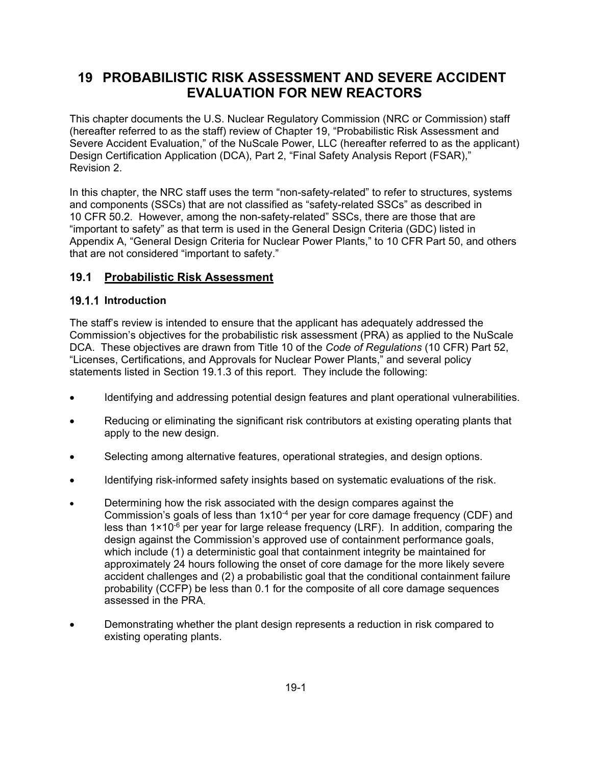# **19 PROBABILISTIC RISK ASSESSMENT AND SEVERE ACCIDENT EVALUATION FOR NEW REACTORS**

This chapter documents the U.S. Nuclear Regulatory Commission (NRC or Commission) staff (hereafter referred to as the staff) review of Chapter 19, "Probabilistic Risk Assessment and Severe Accident Evaluation," of the NuScale Power, LLC (hereafter referred to as the applicant) Design Certification Application (DCA), Part 2, "Final Safety Analysis Report (FSAR)," Revision 2.

In this chapter, the NRC staff uses the term "non-safety-related" to refer to structures, systems and components (SSCs) that are not classified as "safety-related SSCs" as described in 10 CFR 50.2. However, among the non-safety-related" SSCs, there are those that are "important to safety" as that term is used in the General Design Criteria (GDC) listed in Appendix A, "General Design Criteria for Nuclear Power Plants," to 10 CFR Part 50, and others that are not considered "important to safety."

## **19.1 Probabilistic Risk Assessment**

### **19.1.1 Introduction**

The staff's review is intended to ensure that the applicant has adequately addressed the Commission's objectives for the probabilistic risk assessment (PRA) as applied to the NuScale DCA. These objectives are drawn from Title 10 of the *Code of Regulations* (10 CFR) Part 52, "Licenses, Certifications, and Approvals for Nuclear Power Plants," and several policy statements listed in Section 19.1.3 of this report. They include the following:

- Identifying and addressing potential design features and plant operational vulnerabilities.
- Reducing or eliminating the significant risk contributors at existing operating plants that apply to the new design.
- Selecting among alternative features, operational strategies, and design options.
- Identifying risk-informed safety insights based on systematic evaluations of the risk.
- Determining how the risk associated with the design compares against the Commission's goals of less than  $1x10^{-4}$  per year for core damage frequency (CDF) and less than 1×10-6 per year for large release frequency (LRF). In addition, comparing the design against the Commission's approved use of containment performance goals, which include (1) a deterministic goal that containment integrity be maintained for approximately 24 hours following the onset of core damage for the more likely severe accident challenges and (2) a probabilistic goal that the conditional containment failure probability (CCFP) be less than 0.1 for the composite of all core damage sequences assessed in the PRA.
- Demonstrating whether the plant design represents a reduction in risk compared to existing operating plants.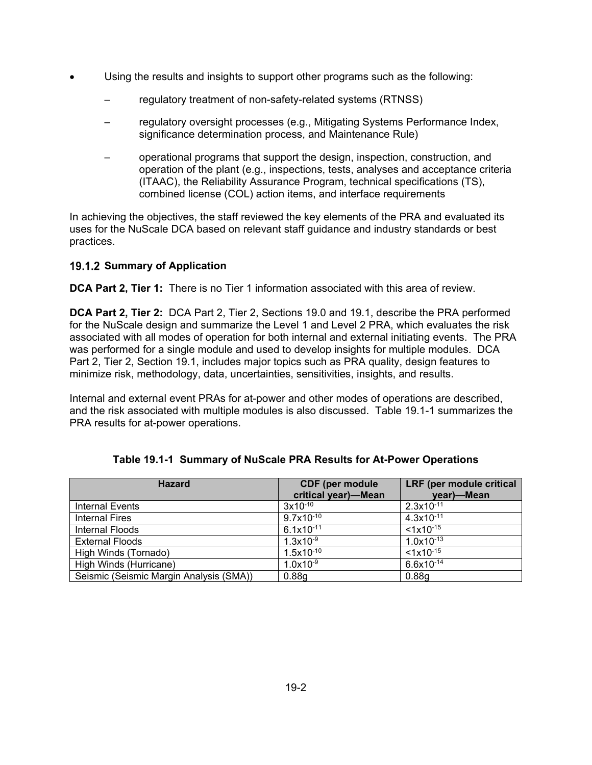- Using the results and insights to support other programs such as the following:
	- regulatory treatment of non-safety-related systems (RTNSS)
	- regulatory oversight processes (e.g., Mitigating Systems Performance Index, significance determination process, and Maintenance Rule)
	- operational programs that support the design, inspection, construction, and operation of the plant (e.g., inspections, tests, analyses and acceptance criteria (ITAAC), the Reliability Assurance Program, technical specifications (TS), combined license (COL) action items, and interface requirements

In achieving the objectives, the staff reviewed the key elements of the PRA and evaluated its uses for the NuScale DCA based on relevant staff guidance and industry standards or best practices.

### **19.1.2 Summary of Application**

**DCA Part 2, Tier 1:** There is no Tier 1 information associated with this area of review.

**DCA Part 2, Tier 2:** DCA Part 2, Tier 2, Sections 19.0 and 19.1, describe the PRA performed for the NuScale design and summarize the Level 1 and Level 2 PRA, which evaluates the risk associated with all modes of operation for both internal and external initiating events. The PRA was performed for a single module and used to develop insights for multiple modules. DCA Part 2, Tier 2, Section 19.1, includes major topics such as PRA quality, design features to minimize risk, methodology, data, uncertainties, sensitivities, insights, and results.

Internal and external event PRAs for at-power and other modes of operations are described, and the risk associated with multiple modules is also discussed. Table 19.1-1 summarizes the PRA results for at-power operations.

| <b>Hazard</b>                           | <b>CDF</b> (per module<br>critical year)-Mean | LRF (per module critical<br>year)-Mean |
|-----------------------------------------|-----------------------------------------------|----------------------------------------|
| <b>Internal Events</b>                  | $3x10^{-10}$                                  | $2.3x10^{-11}$                         |
| <b>Internal Fires</b>                   | $9.7x\sqrt{10^{-10}}$                         | $4.3x10^{-11}$                         |
| Internal Floods                         | $6.1x10^{-11}$                                | $< 1x10^{-15}$                         |
| <b>External Floods</b>                  | $1.3x10^{-9}$                                 | $1.0x10^{-13}$                         |
| High Winds (Tornado)                    | $1.5x10^{-10}$                                | $< 1x10^{-15}$                         |
| High Winds (Hurricane)                  | $1.0x10^{-9}$                                 | $6.6x10^{-14}$                         |
| Seismic (Seismic Margin Analysis (SMA)) | 0.88 <sub>g</sub>                             | 0.88 <sub>g</sub>                      |

|  | Table 19.1-1 Summary of NuScale PRA Results for At-Power Operations |  |  |
|--|---------------------------------------------------------------------|--|--|
|  |                                                                     |  |  |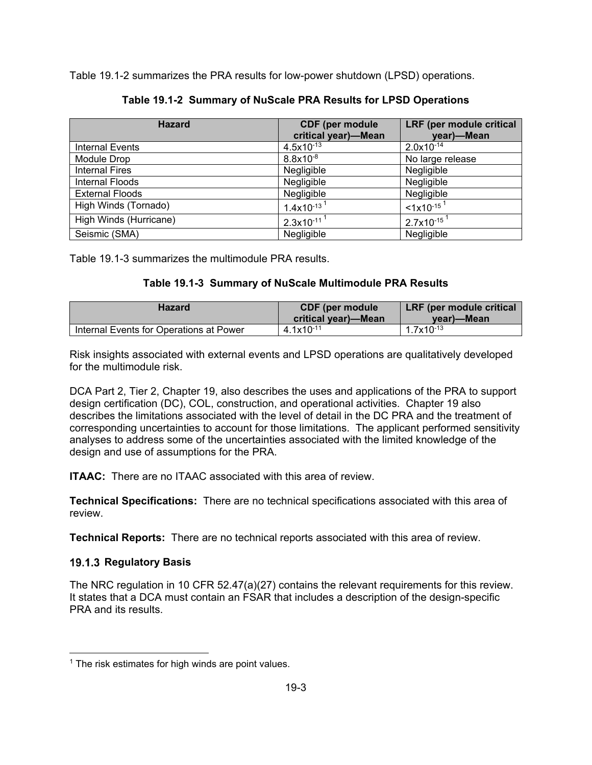Table 19.1-2 summarizes the PRA results for low-power shutdown (LPSD) operations.

| <b>Hazard</b>          | <b>CDF</b> (per module      | LRF (per module critical         |
|------------------------|-----------------------------|----------------------------------|
|                        | critical year)-Mean         | year)-Mean                       |
| <b>Internal Events</b> | $4.5x10^{-13}$              | $2.0x10^{-14}$                   |
| Module Drop            | $8.8x10^{-8}$               | No large release                 |
| <b>Internal Fires</b>  | Negligible                  | Negligible                       |
| Internal Floods        | Negligible                  | Negligible                       |
| <b>External Floods</b> | Negligible                  | Negligible                       |
| High Winds (Tornado)   | $1.4x10^{-13}$ <sup>1</sup> | $1 \times 10^{-15}$ <sup>1</sup> |
| High Winds (Hurricane) | $2.3x10^{-11}$ <sup>1</sup> | $2.7x10^{-15}$ <sup>1</sup>      |
| Seismic (SMA)          | Negligible                  | Negligible                       |

**Table 19.1-2 Summary of NuScale PRA Results for LPSD Operations** 

Table 19.1-3 summarizes the multimodule PRA results.

## **Table 19.1-3 Summary of NuScale Multimodule PRA Results**

| Hazard                                  | <b>CDF</b> (per module<br><b>critical year)—Mean</b> | LRF (per module critical<br>vear)—Mean |
|-----------------------------------------|------------------------------------------------------|----------------------------------------|
| Internal Events for Operations at Power | $4.1x10^{-11}$                                       | $1.7x10^{-13}$                         |

Risk insights associated with external events and LPSD operations are qualitatively developed for the multimodule risk.

DCA Part 2, Tier 2, Chapter 19, also describes the uses and applications of the PRA to support design certification (DC), COL, construction, and operational activities. Chapter 19 also describes the limitations associated with the level of detail in the DC PRA and the treatment of corresponding uncertainties to account for those limitations. The applicant performed sensitivity analyses to address some of the uncertainties associated with the limited knowledge of the design and use of assumptions for the PRA.

**ITAAC:** There are no ITAAC associated with this area of review.

**Technical Specifications:** There are no technical specifications associated with this area of review.

**Technical Reports:** There are no technical reports associated with this area of review.

## **19.1.3 Regulatory Basis**

The NRC regulation in 10 CFR 52.47(a)(27) contains the relevant requirements for this review. It states that a DCA must contain an FSAR that includes a description of the design-specific PRA and its results.

 $1$  The risk estimates for high winds are point values.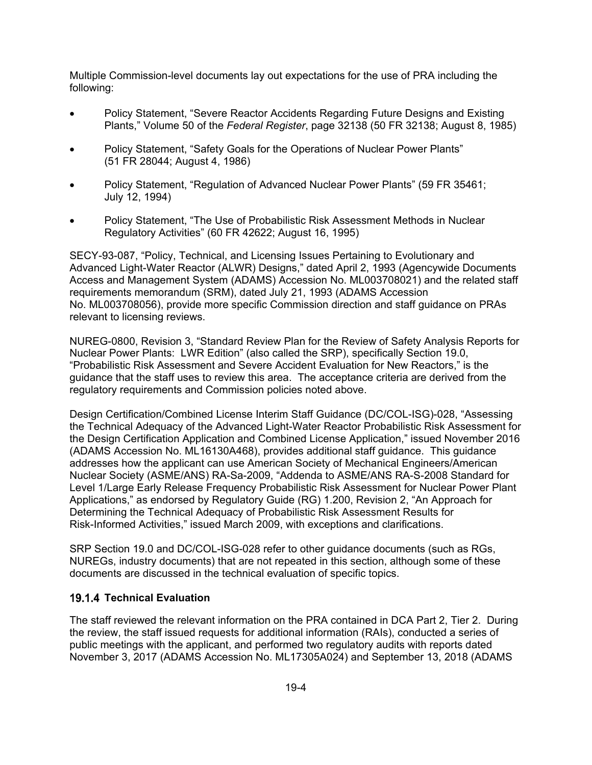Multiple Commission-level documents lay out expectations for the use of PRA including the following:

- Policy Statement, "Severe Reactor Accidents Regarding Future Designs and Existing Plants," Volume 50 of the *Federal Register*, page 32138 (50 FR 32138; August 8, 1985)
- Policy Statement, "Safety Goals for the Operations of Nuclear Power Plants" (51 FR 28044; August 4, 1986)
- Policy Statement, "Regulation of Advanced Nuclear Power Plants" (59 FR 35461; July 12, 1994)
- Policy Statement, "The Use of Probabilistic Risk Assessment Methods in Nuclear Regulatory Activities" (60 FR 42622; August 16, 1995)

SECY-93-087, "Policy, Technical, and Licensing Issues Pertaining to Evolutionary and Advanced Light-Water Reactor (ALWR) Designs," dated April 2, 1993 (Agencywide Documents Access and Management System (ADAMS) Accession No. ML003708021) and the related staff requirements memorandum (SRM), dated July 21, 1993 (ADAMS Accession No. ML003708056), provide more specific Commission direction and staff guidance on PRAs relevant to licensing reviews.

NUREG-0800, Revision 3, "Standard Review Plan for the Review of Safety Analysis Reports for Nuclear Power Plants: LWR Edition" (also called the SRP), specifically Section 19.0, "Probabilistic Risk Assessment and Severe Accident Evaluation for New Reactors," is the guidance that the staff uses to review this area. The acceptance criteria are derived from the regulatory requirements and Commission policies noted above.

Design Certification/Combined License Interim Staff Guidance (DC/COL-ISG)-028, "Assessing the Technical Adequacy of the Advanced Light-Water Reactor Probabilistic Risk Assessment for the Design Certification Application and Combined License Application," issued November 2016 (ADAMS Accession No. ML16130A468), provides additional staff guidance. This guidance addresses how the applicant can use American Society of Mechanical Engineers/American Nuclear Society (ASME/ANS) RA-Sa-2009, "Addenda to ASME/ANS RA-S-2008 Standard for Level 1/Large Early Release Frequency Probabilistic Risk Assessment for Nuclear Power Plant Applications," as endorsed by Regulatory Guide (RG) 1.200, Revision 2, "An Approach for Determining the Technical Adequacy of Probabilistic Risk Assessment Results for Risk-Informed Activities," issued March 2009, with exceptions and clarifications.

SRP Section 19.0 and DC/COL-ISG-028 refer to other guidance documents (such as RGs, NUREGs, industry documents) that are not repeated in this section, although some of these documents are discussed in the technical evaluation of specific topics.

### **19.1.4 Technical Evaluation**

The staff reviewed the relevant information on the PRA contained in DCA Part 2, Tier 2. During the review, the staff issued requests for additional information (RAIs), conducted a series of public meetings with the applicant, and performed two regulatory audits with reports dated November 3, 2017 (ADAMS Accession No. ML17305A024) and September 13, 2018 (ADAMS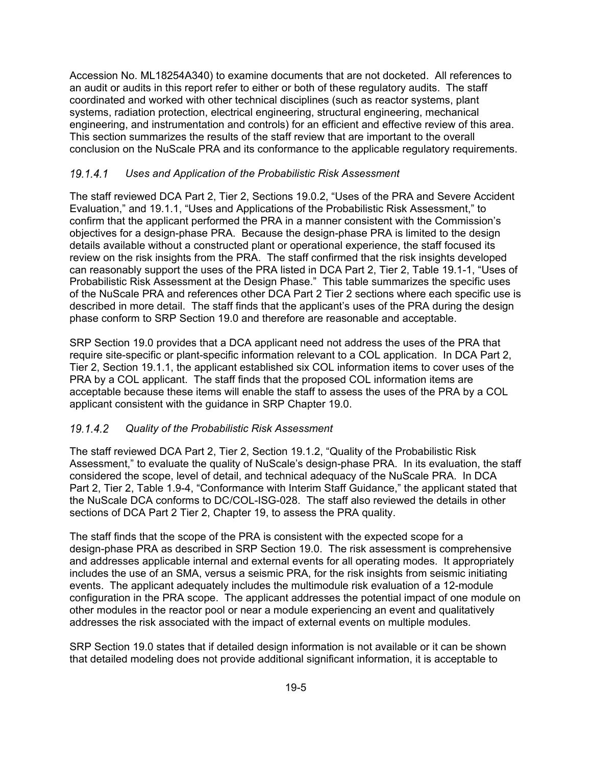Accession No. ML18254A340) to examine documents that are not docketed. All references to an audit or audits in this report refer to either or both of these regulatory audits. The staff coordinated and worked with other technical disciplines (such as reactor systems, plant systems, radiation protection, electrical engineering, structural engineering, mechanical engineering, and instrumentation and controls) for an efficient and effective review of this area. This section summarizes the results of the staff review that are important to the overall conclusion on the NuScale PRA and its conformance to the applicable regulatory requirements.

### *Uses and Application of the Probabilistic Risk Assessment*

The staff reviewed DCA Part 2, Tier 2, Sections 19.0.2, "Uses of the PRA and Severe Accident Evaluation," and 19.1.1, "Uses and Applications of the Probabilistic Risk Assessment," to confirm that the applicant performed the PRA in a manner consistent with the Commission's objectives for a design-phase PRA. Because the design-phase PRA is limited to the design details available without a constructed plant or operational experience, the staff focused its review on the risk insights from the PRA. The staff confirmed that the risk insights developed can reasonably support the uses of the PRA listed in DCA Part 2, Tier 2, Table 19.1-1, "Uses of Probabilistic Risk Assessment at the Design Phase." This table summarizes the specific uses of the NuScale PRA and references other DCA Part 2 Tier 2 sections where each specific use is described in more detail. The staff finds that the applicant's uses of the PRA during the design phase conform to SRP Section 19.0 and therefore are reasonable and acceptable.

SRP Section 19.0 provides that a DCA applicant need not address the uses of the PRA that require site-specific or plant-specific information relevant to a COL application. In DCA Part 2, Tier 2, Section 19.1.1, the applicant established six COL information items to cover uses of the PRA by a COL applicant. The staff finds that the proposed COL information items are acceptable because these items will enable the staff to assess the uses of the PRA by a COL applicant consistent with the guidance in SRP Chapter 19.0.

### *Quality of the Probabilistic Risk Assessment*

The staff reviewed DCA Part 2, Tier 2, Section 19.1.2, "Quality of the Probabilistic Risk Assessment," to evaluate the quality of NuScale's design-phase PRA. In its evaluation, the staff considered the scope, level of detail, and technical adequacy of the NuScale PRA. In DCA Part 2, Tier 2, Table 1.9-4, "Conformance with Interim Staff Guidance," the applicant stated that the NuScale DCA conforms to DC/COL-ISG-028. The staff also reviewed the details in other sections of DCA Part 2 Tier 2, Chapter 19, to assess the PRA quality.

The staff finds that the scope of the PRA is consistent with the expected scope for a design-phase PRA as described in SRP Section 19.0. The risk assessment is comprehensive and addresses applicable internal and external events for all operating modes. It appropriately includes the use of an SMA, versus a seismic PRA, for the risk insights from seismic initiating events. The applicant adequately includes the multimodule risk evaluation of a 12-module configuration in the PRA scope. The applicant addresses the potential impact of one module on other modules in the reactor pool or near a module experiencing an event and qualitatively addresses the risk associated with the impact of external events on multiple modules.

SRP Section 19.0 states that if detailed design information is not available or it can be shown that detailed modeling does not provide additional significant information, it is acceptable to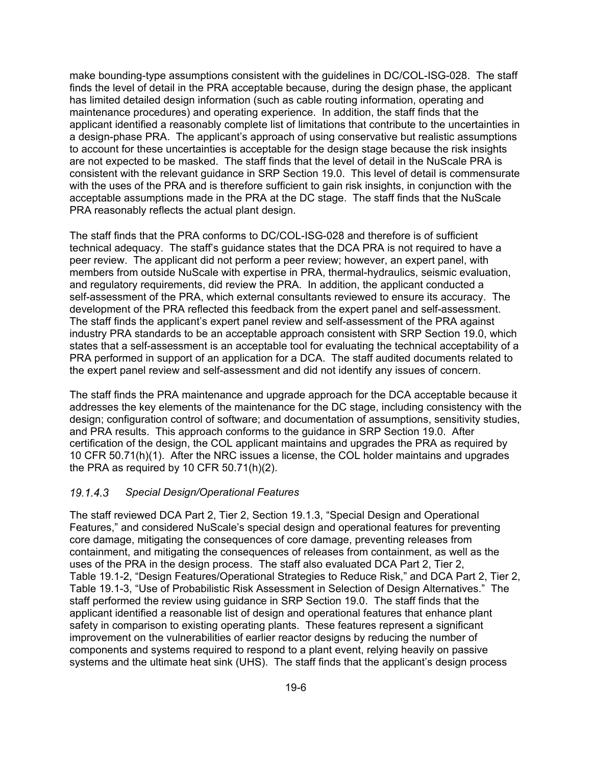make bounding-type assumptions consistent with the guidelines in DC/COL-ISG-028. The staff finds the level of detail in the PRA acceptable because, during the design phase, the applicant has limited detailed design information (such as cable routing information, operating and maintenance procedures) and operating experience. In addition, the staff finds that the applicant identified a reasonably complete list of limitations that contribute to the uncertainties in a design-phase PRA. The applicant's approach of using conservative but realistic assumptions to account for these uncertainties is acceptable for the design stage because the risk insights are not expected to be masked. The staff finds that the level of detail in the NuScale PRA is consistent with the relevant guidance in SRP Section 19.0. This level of detail is commensurate with the uses of the PRA and is therefore sufficient to gain risk insights, in conjunction with the acceptable assumptions made in the PRA at the DC stage. The staff finds that the NuScale PRA reasonably reflects the actual plant design.

The staff finds that the PRA conforms to DC/COL-ISG-028 and therefore is of sufficient technical adequacy. The staff's guidance states that the DCA PRA is not required to have a peer review. The applicant did not perform a peer review; however, an expert panel, with members from outside NuScale with expertise in PRA, thermal-hydraulics, seismic evaluation, and regulatory requirements, did review the PRA. In addition, the applicant conducted a self-assessment of the PRA, which external consultants reviewed to ensure its accuracy. The development of the PRA reflected this feedback from the expert panel and self-assessment. The staff finds the applicant's expert panel review and self-assessment of the PRA against industry PRA standards to be an acceptable approach consistent with SRP Section 19.0, which states that a self-assessment is an acceptable tool for evaluating the technical acceptability of a PRA performed in support of an application for a DCA. The staff audited documents related to the expert panel review and self-assessment and did not identify any issues of concern.

The staff finds the PRA maintenance and upgrade approach for the DCA acceptable because it addresses the key elements of the maintenance for the DC stage, including consistency with the design; configuration control of software; and documentation of assumptions, sensitivity studies, and PRA results. This approach conforms to the guidance in SRP Section 19.0. After certification of the design, the COL applicant maintains and upgrades the PRA as required by 10 CFR 50.71(h)(1). After the NRC issues a license, the COL holder maintains and upgrades the PRA as required by 10 CFR 50.71(h)(2).

#### *Special Design/Operational Features*

The staff reviewed DCA Part 2, Tier 2, Section 19.1.3, "Special Design and Operational Features," and considered NuScale's special design and operational features for preventing core damage, mitigating the consequences of core damage, preventing releases from containment, and mitigating the consequences of releases from containment, as well as the uses of the PRA in the design process. The staff also evaluated DCA Part 2, Tier 2, Table 19.1-2, "Design Features/Operational Strategies to Reduce Risk," and DCA Part 2, Tier 2, Table 19.1-3, "Use of Probabilistic Risk Assessment in Selection of Design Alternatives." The staff performed the review using guidance in SRP Section 19.0. The staff finds that the applicant identified a reasonable list of design and operational features that enhance plant safety in comparison to existing operating plants. These features represent a significant improvement on the vulnerabilities of earlier reactor designs by reducing the number of components and systems required to respond to a plant event, relying heavily on passive systems and the ultimate heat sink (UHS). The staff finds that the applicant's design process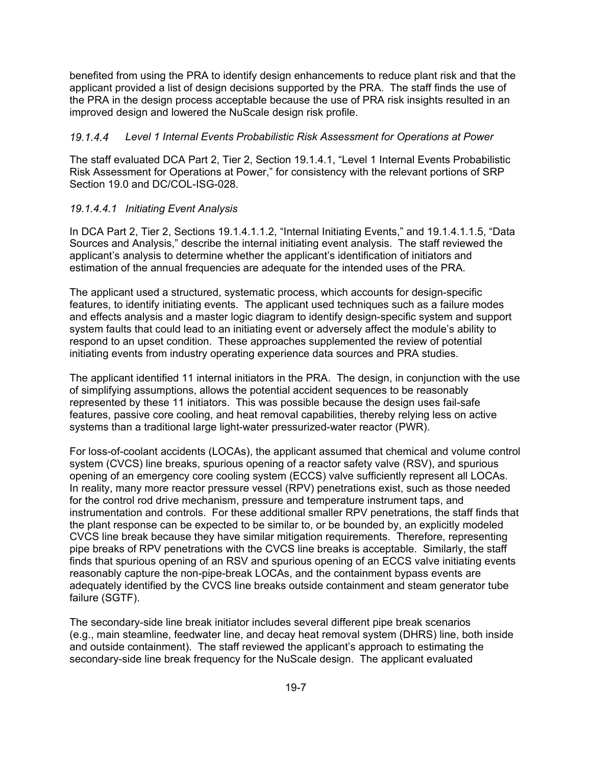benefited from using the PRA to identify design enhancements to reduce plant risk and that the applicant provided a list of design decisions supported by the PRA. The staff finds the use of the PRA in the design process acceptable because the use of PRA risk insights resulted in an improved design and lowered the NuScale design risk profile.

#### *Level 1 Internal Events Probabilistic Risk Assessment for Operations at Power*

The staff evaluated DCA Part 2, Tier 2, Section 19.1.4.1, "Level 1 Internal Events Probabilistic Risk Assessment for Operations at Power," for consistency with the relevant portions of SRP Section 19.0 and DC/COL-ISG-028

#### *19.1.4.4.1 Initiating Event Analysis*

In DCA Part 2, Tier 2, Sections 19.1.4.1.1.2, "Internal Initiating Events," and 19.1.4.1.1.5, "Data Sources and Analysis," describe the internal initiating event analysis. The staff reviewed the applicant's analysis to determine whether the applicant's identification of initiators and estimation of the annual frequencies are adequate for the intended uses of the PRA.

The applicant used a structured, systematic process, which accounts for design-specific features, to identify initiating events. The applicant used techniques such as a failure modes and effects analysis and a master logic diagram to identify design-specific system and support system faults that could lead to an initiating event or adversely affect the module's ability to respond to an upset condition. These approaches supplemented the review of potential initiating events from industry operating experience data sources and PRA studies.

The applicant identified 11 internal initiators in the PRA. The design, in conjunction with the use of simplifying assumptions, allows the potential accident sequences to be reasonably represented by these 11 initiators. This was possible because the design uses fail-safe features, passive core cooling, and heat removal capabilities, thereby relying less on active systems than a traditional large light-water pressurized-water reactor (PWR).

For loss-of-coolant accidents (LOCAs), the applicant assumed that chemical and volume control system (CVCS) line breaks, spurious opening of a reactor safety valve (RSV), and spurious opening of an emergency core cooling system (ECCS) valve sufficiently represent all LOCAs. In reality, many more reactor pressure vessel (RPV) penetrations exist, such as those needed for the control rod drive mechanism, pressure and temperature instrument taps, and instrumentation and controls. For these additional smaller RPV penetrations, the staff finds that the plant response can be expected to be similar to, or be bounded by, an explicitly modeled CVCS line break because they have similar mitigation requirements. Therefore, representing pipe breaks of RPV penetrations with the CVCS line breaks is acceptable. Similarly, the staff finds that spurious opening of an RSV and spurious opening of an ECCS valve initiating events reasonably capture the non-pipe-break LOCAs, and the containment bypass events are adequately identified by the CVCS line breaks outside containment and steam generator tube failure (SGTF).

The secondary-side line break initiator includes several different pipe break scenarios (e.g., main steamline, feedwater line, and decay heat removal system (DHRS) line, both inside and outside containment). The staff reviewed the applicant's approach to estimating the secondary-side line break frequency for the NuScale design. The applicant evaluated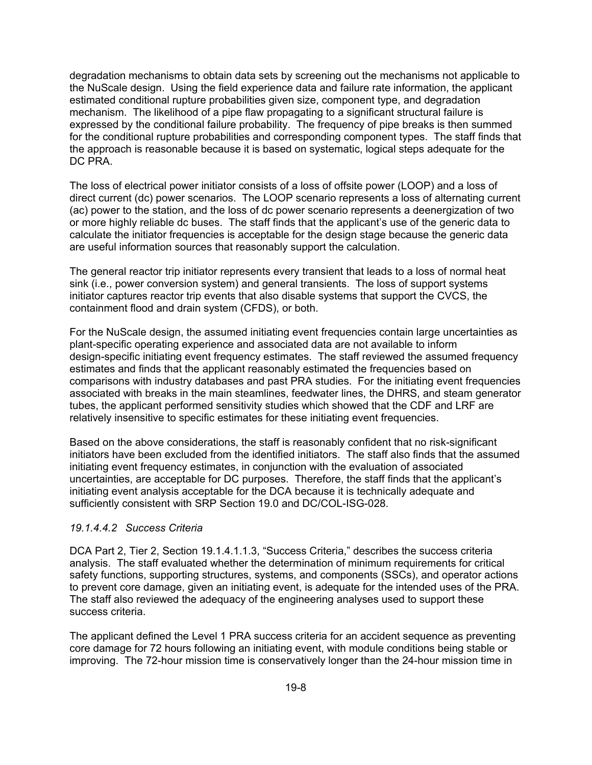degradation mechanisms to obtain data sets by screening out the mechanisms not applicable to the NuScale design. Using the field experience data and failure rate information, the applicant estimated conditional rupture probabilities given size, component type, and degradation mechanism. The likelihood of a pipe flaw propagating to a significant structural failure is expressed by the conditional failure probability. The frequency of pipe breaks is then summed for the conditional rupture probabilities and corresponding component types. The staff finds that the approach is reasonable because it is based on systematic, logical steps adequate for the DC PRA.

The loss of electrical power initiator consists of a loss of offsite power (LOOP) and a loss of direct current (dc) power scenarios. The LOOP scenario represents a loss of alternating current (ac) power to the station, and the loss of dc power scenario represents a deenergization of two or more highly reliable dc buses. The staff finds that the applicant's use of the generic data to calculate the initiator frequencies is acceptable for the design stage because the generic data are useful information sources that reasonably support the calculation.

The general reactor trip initiator represents every transient that leads to a loss of normal heat sink (i.e., power conversion system) and general transients. The loss of support systems initiator captures reactor trip events that also disable systems that support the CVCS, the containment flood and drain system (CFDS), or both.

For the NuScale design, the assumed initiating event frequencies contain large uncertainties as plant-specific operating experience and associated data are not available to inform design-specific initiating event frequency estimates. The staff reviewed the assumed frequency estimates and finds that the applicant reasonably estimated the frequencies based on comparisons with industry databases and past PRA studies. For the initiating event frequencies associated with breaks in the main steamlines, feedwater lines, the DHRS, and steam generator tubes, the applicant performed sensitivity studies which showed that the CDF and LRF are relatively insensitive to specific estimates for these initiating event frequencies.

Based on the above considerations, the staff is reasonably confident that no risk-significant initiators have been excluded from the identified initiators. The staff also finds that the assumed initiating event frequency estimates, in conjunction with the evaluation of associated uncertainties, are acceptable for DC purposes. Therefore, the staff finds that the applicant's initiating event analysis acceptable for the DCA because it is technically adequate and sufficiently consistent with SRP Section 19.0 and DC/COL-ISG-028.

#### *19.1.4.4.2 Success Criteria*

DCA Part 2, Tier 2, Section 19.1.4.1.1.3, "Success Criteria," describes the success criteria analysis. The staff evaluated whether the determination of minimum requirements for critical safety functions, supporting structures, systems, and components (SSCs), and operator actions to prevent core damage, given an initiating event, is adequate for the intended uses of the PRA. The staff also reviewed the adequacy of the engineering analyses used to support these success criteria.

The applicant defined the Level 1 PRA success criteria for an accident sequence as preventing core damage for 72 hours following an initiating event, with module conditions being stable or improving. The 72-hour mission time is conservatively longer than the 24-hour mission time in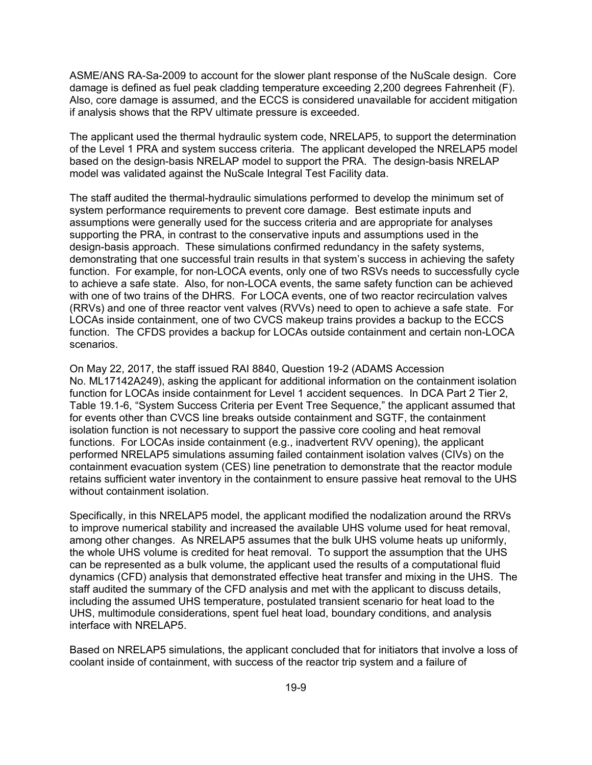ASME/ANS RA-Sa-2009 to account for the slower plant response of the NuScale design. Core damage is defined as fuel peak cladding temperature exceeding 2,200 degrees Fahrenheit (F). Also, core damage is assumed, and the ECCS is considered unavailable for accident mitigation if analysis shows that the RPV ultimate pressure is exceeded.

The applicant used the thermal hydraulic system code, NRELAP5, to support the determination of the Level 1 PRA and system success criteria. The applicant developed the NRELAP5 model based on the design-basis NRELAP model to support the PRA. The design-basis NRELAP model was validated against the NuScale Integral Test Facility data.

The staff audited the thermal-hydraulic simulations performed to develop the minimum set of system performance requirements to prevent core damage. Best estimate inputs and assumptions were generally used for the success criteria and are appropriate for analyses supporting the PRA, in contrast to the conservative inputs and assumptions used in the design-basis approach. These simulations confirmed redundancy in the safety systems, demonstrating that one successful train results in that system's success in achieving the safety function. For example, for non-LOCA events, only one of two RSVs needs to successfully cycle to achieve a safe state. Also, for non-LOCA events, the same safety function can be achieved with one of two trains of the DHRS. For LOCA events, one of two reactor recirculation valves (RRVs) and one of three reactor vent valves (RVVs) need to open to achieve a safe state. For LOCAs inside containment, one of two CVCS makeup trains provides a backup to the ECCS function. The CFDS provides a backup for LOCAs outside containment and certain non-LOCA scenarios.

On May 22, 2017, the staff issued RAI 8840, Question 19-2 (ADAMS Accession No. ML17142A249), asking the applicant for additional information on the containment isolation function for LOCAs inside containment for Level 1 accident sequences. In DCA Part 2 Tier 2, Table 19.1-6, "System Success Criteria per Event Tree Sequence," the applicant assumed that for events other than CVCS line breaks outside containment and SGTF, the containment isolation function is not necessary to support the passive core cooling and heat removal functions. For LOCAs inside containment (e.g., inadvertent RVV opening), the applicant performed NRELAP5 simulations assuming failed containment isolation valves (CIVs) on the containment evacuation system (CES) line penetration to demonstrate that the reactor module retains sufficient water inventory in the containment to ensure passive heat removal to the UHS without containment isolation.

Specifically, in this NRELAP5 model, the applicant modified the nodalization around the RRVs to improve numerical stability and increased the available UHS volume used for heat removal, among other changes. As NRELAP5 assumes that the bulk UHS volume heats up uniformly, the whole UHS volume is credited for heat removal. To support the assumption that the UHS can be represented as a bulk volume, the applicant used the results of a computational fluid dynamics (CFD) analysis that demonstrated effective heat transfer and mixing in the UHS. The staff audited the summary of the CFD analysis and met with the applicant to discuss details, including the assumed UHS temperature, postulated transient scenario for heat load to the UHS, multimodule considerations, spent fuel heat load, boundary conditions, and analysis interface with NRELAP5.

Based on NRELAP5 simulations, the applicant concluded that for initiators that involve a loss of coolant inside of containment, with success of the reactor trip system and a failure of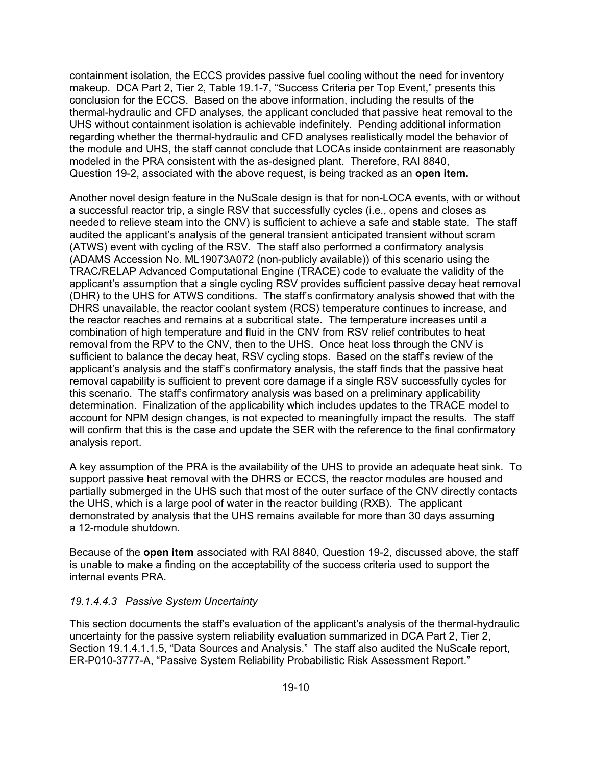containment isolation, the ECCS provides passive fuel cooling without the need for inventory makeup. DCA Part 2, Tier 2, Table 19.1-7, "Success Criteria per Top Event," presents this conclusion for the ECCS. Based on the above information, including the results of the thermal-hydraulic and CFD analyses, the applicant concluded that passive heat removal to the UHS without containment isolation is achievable indefinitely. Pending additional information regarding whether the thermal-hydraulic and CFD analyses realistically model the behavior of the module and UHS, the staff cannot conclude that LOCAs inside containment are reasonably modeled in the PRA consistent with the as-designed plant. Therefore, RAI 8840, Question 19-2, associated with the above request, is being tracked as an **open item.**

Another novel design feature in the NuScale design is that for non-LOCA events, with or without a successful reactor trip, a single RSV that successfully cycles (i.e., opens and closes as needed to relieve steam into the CNV) is sufficient to achieve a safe and stable state. The staff audited the applicant's analysis of the general transient anticipated transient without scram (ATWS) event with cycling of the RSV. The staff also performed a confirmatory analysis (ADAMS Accession No. ML19073A072 (non-publicly available)) of this scenario using the TRAC/RELAP Advanced Computational Engine (TRACE) code to evaluate the validity of the applicant's assumption that a single cycling RSV provides sufficient passive decay heat removal (DHR) to the UHS for ATWS conditions. The staff's confirmatory analysis showed that with the DHRS unavailable, the reactor coolant system (RCS) temperature continues to increase, and the reactor reaches and remains at a subcritical state. The temperature increases until a combination of high temperature and fluid in the CNV from RSV relief contributes to heat removal from the RPV to the CNV, then to the UHS. Once heat loss through the CNV is sufficient to balance the decay heat, RSV cycling stops. Based on the staff's review of the applicant's analysis and the staff's confirmatory analysis, the staff finds that the passive heat removal capability is sufficient to prevent core damage if a single RSV successfully cycles for this scenario. The staff's confirmatory analysis was based on a preliminary applicability determination. Finalization of the applicability which includes updates to the TRACE model to account for NPM design changes, is not expected to meaningfully impact the results. The staff will confirm that this is the case and update the SER with the reference to the final confirmatory analysis report.

A key assumption of the PRA is the availability of the UHS to provide an adequate heat sink. To support passive heat removal with the DHRS or ECCS, the reactor modules are housed and partially submerged in the UHS such that most of the outer surface of the CNV directly contacts the UHS, which is a large pool of water in the reactor building (RXB). The applicant demonstrated by analysis that the UHS remains available for more than 30 days assuming a 12-module shutdown.

Because of the **open item** associated with RAI 8840, Question 19-2, discussed above, the staff is unable to make a finding on the acceptability of the success criteria used to support the internal events PRA.

### *19.1.4.4.3 Passive System Uncertainty*

This section documents the staff's evaluation of the applicant's analysis of the thermal-hydraulic uncertainty for the passive system reliability evaluation summarized in DCA Part 2, Tier 2, Section 19.1.4.1.1.5, "Data Sources and Analysis." The staff also audited the NuScale report, ER-P010-3777-A, "Passive System Reliability Probabilistic Risk Assessment Report."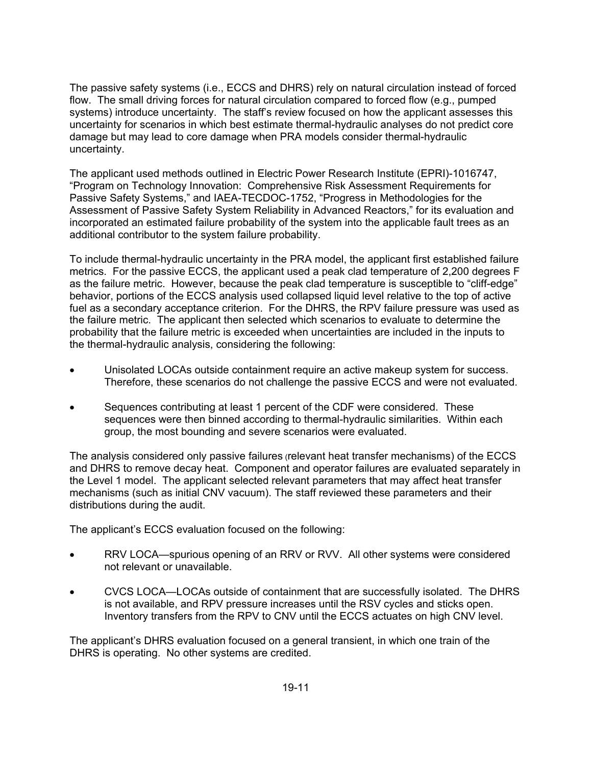The passive safety systems (i.e., ECCS and DHRS) rely on natural circulation instead of forced flow. The small driving forces for natural circulation compared to forced flow (e.g., pumped systems) introduce uncertainty. The staff's review focused on how the applicant assesses this uncertainty for scenarios in which best estimate thermal-hydraulic analyses do not predict core damage but may lead to core damage when PRA models consider thermal-hydraulic uncertainty.

The applicant used methods outlined in Electric Power Research Institute (EPRI)-1016747, "Program on Technology Innovation: Comprehensive Risk Assessment Requirements for Passive Safety Systems," and IAEA-TECDOC-1752, "Progress in Methodologies for the Assessment of Passive Safety System Reliability in Advanced Reactors," for its evaluation and incorporated an estimated failure probability of the system into the applicable fault trees as an additional contributor to the system failure probability.

To include thermal-hydraulic uncertainty in the PRA model, the applicant first established failure metrics. For the passive ECCS, the applicant used a peak clad temperature of 2,200 degrees F as the failure metric. However, because the peak clad temperature is susceptible to "cliff-edge" behavior, portions of the ECCS analysis used collapsed liquid level relative to the top of active fuel as a secondary acceptance criterion. For the DHRS, the RPV failure pressure was used as the failure metric. The applicant then selected which scenarios to evaluate to determine the probability that the failure metric is exceeded when uncertainties are included in the inputs to the thermal-hydraulic analysis, considering the following:

- Unisolated LOCAs outside containment require an active makeup system for success. Therefore, these scenarios do not challenge the passive ECCS and were not evaluated.
- Sequences contributing at least 1 percent of the CDF were considered. These sequences were then binned according to thermal-hydraulic similarities. Within each group, the most bounding and severe scenarios were evaluated.

The analysis considered only passive failures (relevant heat transfer mechanisms) of the ECCS and DHRS to remove decay heat. Component and operator failures are evaluated separately in the Level 1 model. The applicant selected relevant parameters that may affect heat transfer mechanisms (such as initial CNV vacuum). The staff reviewed these parameters and their distributions during the audit.

The applicant's ECCS evaluation focused on the following:

- RRV LOCA—spurious opening of an RRV or RVV. All other systems were considered not relevant or unavailable.
- CVCS LOCA—LOCAs outside of containment that are successfully isolated. The DHRS is not available, and RPV pressure increases until the RSV cycles and sticks open. Inventory transfers from the RPV to CNV until the ECCS actuates on high CNV level.

The applicant's DHRS evaluation focused on a general transient, in which one train of the DHRS is operating. No other systems are credited.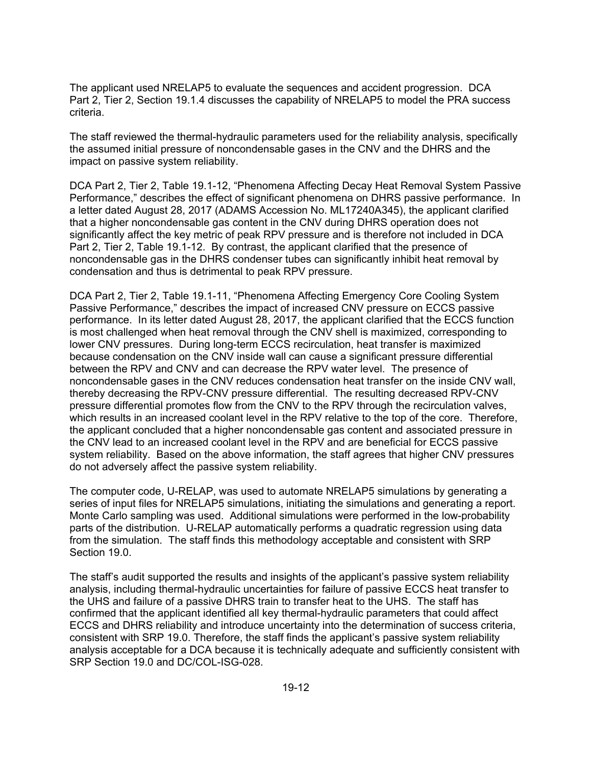The applicant used NRELAP5 to evaluate the sequences and accident progression. DCA Part 2, Tier 2, Section 19.1.4 discusses the capability of NRELAP5 to model the PRA success criteria.

The staff reviewed the thermal-hydraulic parameters used for the reliability analysis, specifically the assumed initial pressure of noncondensable gases in the CNV and the DHRS and the impact on passive system reliability.

DCA Part 2, Tier 2, Table 19.1-12, "Phenomena Affecting Decay Heat Removal System Passive Performance," describes the effect of significant phenomena on DHRS passive performance. In a letter dated August 28, 2017 (ADAMS Accession No. ML17240A345), the applicant clarified that a higher noncondensable gas content in the CNV during DHRS operation does not significantly affect the key metric of peak RPV pressure and is therefore not included in DCA Part 2, Tier 2, Table 19.1-12. By contrast, the applicant clarified that the presence of noncondensable gas in the DHRS condenser tubes can significantly inhibit heat removal by condensation and thus is detrimental to peak RPV pressure.

DCA Part 2, Tier 2, Table 19.1-11, "Phenomena Affecting Emergency Core Cooling System Passive Performance," describes the impact of increased CNV pressure on ECCS passive performance. In its letter dated August 28, 2017, the applicant clarified that the ECCS function is most challenged when heat removal through the CNV shell is maximized, corresponding to lower CNV pressures. During long-term ECCS recirculation, heat transfer is maximized because condensation on the CNV inside wall can cause a significant pressure differential between the RPV and CNV and can decrease the RPV water level. The presence of noncondensable gases in the CNV reduces condensation heat transfer on the inside CNV wall, thereby decreasing the RPV-CNV pressure differential. The resulting decreased RPV-CNV pressure differential promotes flow from the CNV to the RPV through the recirculation valves, which results in an increased coolant level in the RPV relative to the top of the core. Therefore, the applicant concluded that a higher noncondensable gas content and associated pressure in the CNV lead to an increased coolant level in the RPV and are beneficial for ECCS passive system reliability. Based on the above information, the staff agrees that higher CNV pressures do not adversely affect the passive system reliability.

The computer code, U-RELAP, was used to automate NRELAP5 simulations by generating a series of input files for NRELAP5 simulations, initiating the simulations and generating a report. Monte Carlo sampling was used. Additional simulations were performed in the low-probability parts of the distribution. U-RELAP automatically performs a quadratic regression using data from the simulation. The staff finds this methodology acceptable and consistent with SRP Section 19.0.

The staff's audit supported the results and insights of the applicant's passive system reliability analysis, including thermal-hydraulic uncertainties for failure of passive ECCS heat transfer to the UHS and failure of a passive DHRS train to transfer heat to the UHS. The staff has confirmed that the applicant identified all key thermal-hydraulic parameters that could affect ECCS and DHRS reliability and introduce uncertainty into the determination of success criteria, consistent with SRP 19.0. Therefore, the staff finds the applicant's passive system reliability analysis acceptable for a DCA because it is technically adequate and sufficiently consistent with SRP Section 19.0 and DC/COL-ISG-028.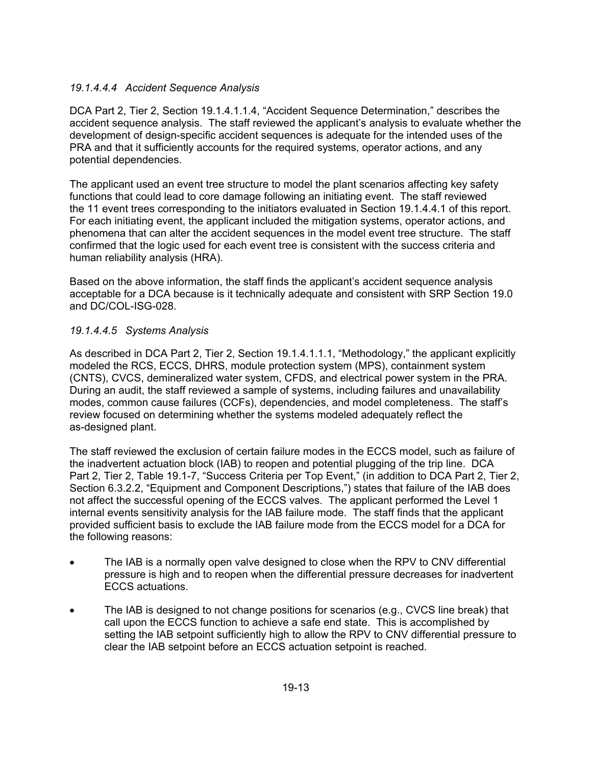### *19.1.4.4.4 Accident Sequence Analysis*

DCA Part 2, Tier 2, Section 19.1.4.1.1.4, "Accident Sequence Determination," describes the accident sequence analysis. The staff reviewed the applicant's analysis to evaluate whether the development of design-specific accident sequences is adequate for the intended uses of the PRA and that it sufficiently accounts for the required systems, operator actions, and any potential dependencies.

The applicant used an event tree structure to model the plant scenarios affecting key safety functions that could lead to core damage following an initiating event. The staff reviewed the 11 event trees corresponding to the initiators evaluated in Section 19.1.4.4.1 of this report. For each initiating event, the applicant included the mitigation systems, operator actions, and phenomena that can alter the accident sequences in the model event tree structure. The staff confirmed that the logic used for each event tree is consistent with the success criteria and human reliability analysis (HRA).

Based on the above information, the staff finds the applicant's accident sequence analysis acceptable for a DCA because is it technically adequate and consistent with SRP Section 19.0 and DC/COL-ISG-028.

### *19.1.4.4.5 Systems Analysis*

As described in DCA Part 2, Tier 2, Section 19.1.4.1.1.1, "Methodology," the applicant explicitly modeled the RCS, ECCS, DHRS, module protection system (MPS), containment system (CNTS), CVCS, demineralized water system, CFDS, and electrical power system in the PRA. During an audit, the staff reviewed a sample of systems, including failures and unavailability modes, common cause failures (CCFs), dependencies, and model completeness. The staff's review focused on determining whether the systems modeled adequately reflect the as-designed plant.

The staff reviewed the exclusion of certain failure modes in the ECCS model, such as failure of the inadvertent actuation block (IAB) to reopen and potential plugging of the trip line. DCA Part 2, Tier 2, Table 19.1-7, "Success Criteria per Top Event," (in addition to DCA Part 2, Tier 2, Section 6.3.2.2, "Equipment and Component Descriptions,") states that failure of the IAB does not affect the successful opening of the ECCS valves. The applicant performed the Level 1 internal events sensitivity analysis for the IAB failure mode. The staff finds that the applicant provided sufficient basis to exclude the IAB failure mode from the ECCS model for a DCA for the following reasons:

- The IAB is a normally open valve designed to close when the RPV to CNV differential pressure is high and to reopen when the differential pressure decreases for inadvertent ECCS actuations.
- The IAB is designed to not change positions for scenarios (e.g., CVCS line break) that call upon the ECCS function to achieve a safe end state. This is accomplished by setting the IAB setpoint sufficiently high to allow the RPV to CNV differential pressure to clear the IAB setpoint before an ECCS actuation setpoint is reached.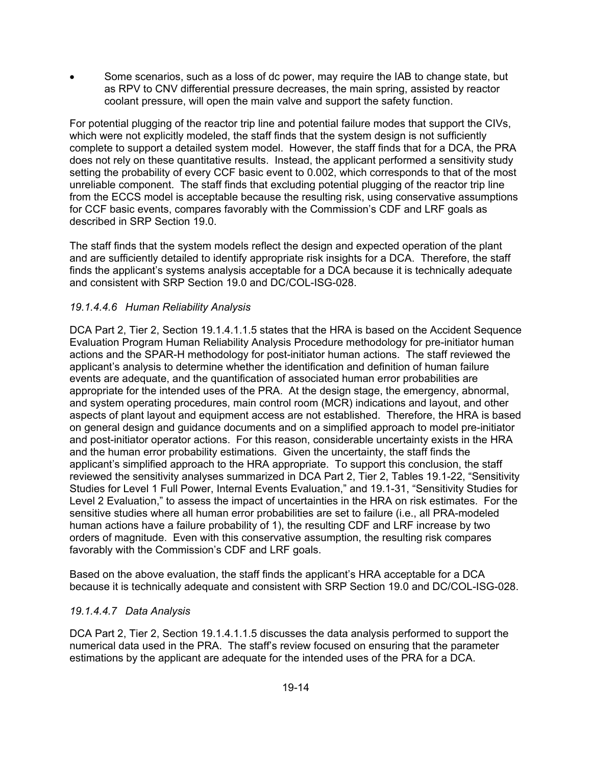Some scenarios, such as a loss of dc power, may require the IAB to change state, but as RPV to CNV differential pressure decreases, the main spring, assisted by reactor coolant pressure, will open the main valve and support the safety function.

For potential plugging of the reactor trip line and potential failure modes that support the CIVs, which were not explicitly modeled, the staff finds that the system design is not sufficiently complete to support a detailed system model. However, the staff finds that for a DCA, the PRA does not rely on these quantitative results. Instead, the applicant performed a sensitivity study setting the probability of every CCF basic event to 0.002, which corresponds to that of the most unreliable component. The staff finds that excluding potential plugging of the reactor trip line from the ECCS model is acceptable because the resulting risk, using conservative assumptions for CCF basic events, compares favorably with the Commission's CDF and LRF goals as described in SRP Section 19.0.

The staff finds that the system models reflect the design and expected operation of the plant and are sufficiently detailed to identify appropriate risk insights for a DCA. Therefore, the staff finds the applicant's systems analysis acceptable for a DCA because it is technically adequate and consistent with SRP Section 19.0 and DC/COL-ISG-028.

### *19.1.4.4.6 Human Reliability Analysis*

DCA Part 2, Tier 2, Section 19.1.4.1.1.5 states that the HRA is based on the Accident Sequence Evaluation Program Human Reliability Analysis Procedure methodology for pre-initiator human actions and the SPAR-H methodology for post-initiator human actions. The staff reviewed the applicant's analysis to determine whether the identification and definition of human failure events are adequate, and the quantification of associated human error probabilities are appropriate for the intended uses of the PRA. At the design stage, the emergency, abnormal, and system operating procedures, main control room (MCR) indications and layout, and other aspects of plant layout and equipment access are not established. Therefore, the HRA is based on general design and guidance documents and on a simplified approach to model pre-initiator and post-initiator operator actions. For this reason, considerable uncertainty exists in the HRA and the human error probability estimations. Given the uncertainty, the staff finds the applicant's simplified approach to the HRA appropriate. To support this conclusion, the staff reviewed the sensitivity analyses summarized in DCA Part 2, Tier 2, Tables 19.1-22, "Sensitivity Studies for Level 1 Full Power, Internal Events Evaluation," and 19.1-31, "Sensitivity Studies for Level 2 Evaluation," to assess the impact of uncertainties in the HRA on risk estimates. For the sensitive studies where all human error probabilities are set to failure (i.e., all PRA-modeled human actions have a failure probability of 1), the resulting CDF and LRF increase by two orders of magnitude. Even with this conservative assumption, the resulting risk compares favorably with the Commission's CDF and LRF goals.

Based on the above evaluation, the staff finds the applicant's HRA acceptable for a DCA because it is technically adequate and consistent with SRP Section 19.0 and DC/COL-ISG-028.

### *19.1.4.4.7 Data Analysis*

DCA Part 2, Tier 2, Section 19.1.4.1.1.5 discusses the data analysis performed to support the numerical data used in the PRA. The staff's review focused on ensuring that the parameter estimations by the applicant are adequate for the intended uses of the PRA for a DCA.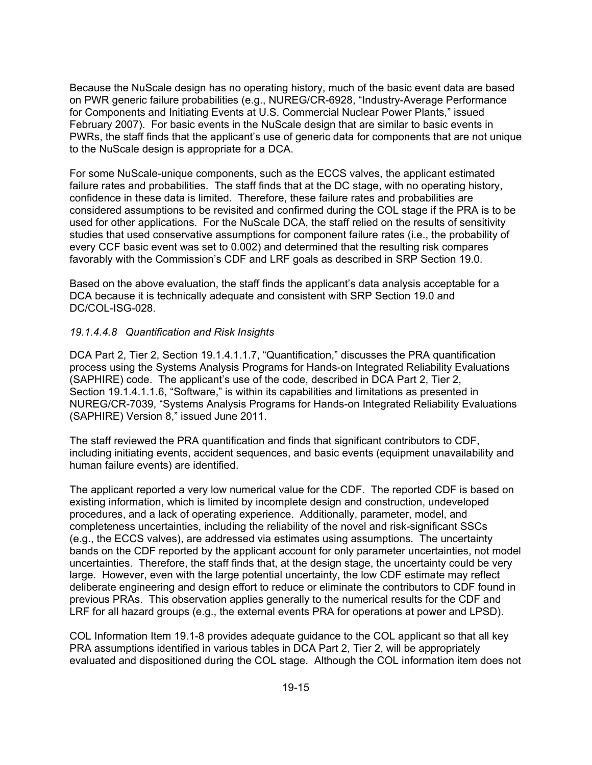Because the NuScale design has no operating history, much of the basic event data are based on PWR generic failure probabilities (e.g., NUREG/CR-6928, "Industry-Average Performance for Components and Initiating Events at U.S. Commercial Nuclear Power Plants," issued February 2007). For basic events in the NuScale design that are similar to basic events in PWRs, the staff finds that the applicant's use of generic data for components that are not unique to the NuScale design is appropriate for a DCA.

For some NuScale-unique components, such as the ECCS valves, the applicant estimated failure rates and probabilities. The staff finds that at the DC stage, with no operating history, confidence in these data is limited. Therefore, these failure rates and probabilities are considered assumptions to be revisited and confirmed during the COL stage if the PRA is to be used for other applications. For the NuScale DCA, the staff relied on the results of sensitivity studies that used conservative assumptions for component failure rates (i.e., the probability of every CCF basic event was set to 0.002) and determined that the resulting risk compares favorably with the Commission's CDF and LRF goals as described in SRP Section 19.0.

Based on the above evaluation, the staff finds the applicant's data analysis acceptable for a DCA because it is technically adequate and consistent with SRP Section 19.0 and DC/COL-ISG-028.

### *19.1.4.4.8 Quantification and Risk Insights*

DCA Part 2, Tier 2, Section 19.1.4.1.1.7, "Quantification," discusses the PRA quantification process using the Systems Analysis Programs for Hands-on Integrated Reliability Evaluations (SAPHIRE) code. The applicant's use of the code, described in DCA Part 2, Tier 2, Section 19.1.4.1.1.6, "Software," is within its capabilities and limitations as presented in NUREG/CR-7039, "Systems Analysis Programs for Hands-on Integrated Reliability Evaluations (SAPHIRE) Version 8," issued June 2011.

The staff reviewed the PRA quantification and finds that significant contributors to CDF, including initiating events, accident sequences, and basic events (equipment unavailability and human failure events) are identified.

The applicant reported a very low numerical value for the CDF. The reported CDF is based on existing information, which is limited by incomplete design and construction, undeveloped procedures, and a lack of operating experience. Additionally, parameter, model, and completeness uncertainties, including the reliability of the novel and risk-significant SSCs (e.g., the ECCS valves), are addressed via estimates using assumptions. The uncertainty bands on the CDF reported by the applicant account for only parameter uncertainties, not model uncertainties. Therefore, the staff finds that, at the design stage, the uncertainty could be very large. However, even with the large potential uncertainty, the low CDF estimate may reflect deliberate engineering and design effort to reduce or eliminate the contributors to CDF found in previous PRAs. This observation applies generally to the numerical results for the CDF and LRF for all hazard groups (e.g., the external events PRA for operations at power and LPSD).

COL Information Item 19.1-8 provides adequate guidance to the COL applicant so that all key PRA assumptions identified in various tables in DCA Part 2, Tier 2, will be appropriately evaluated and dispositioned during the COL stage. Although the COL information item does not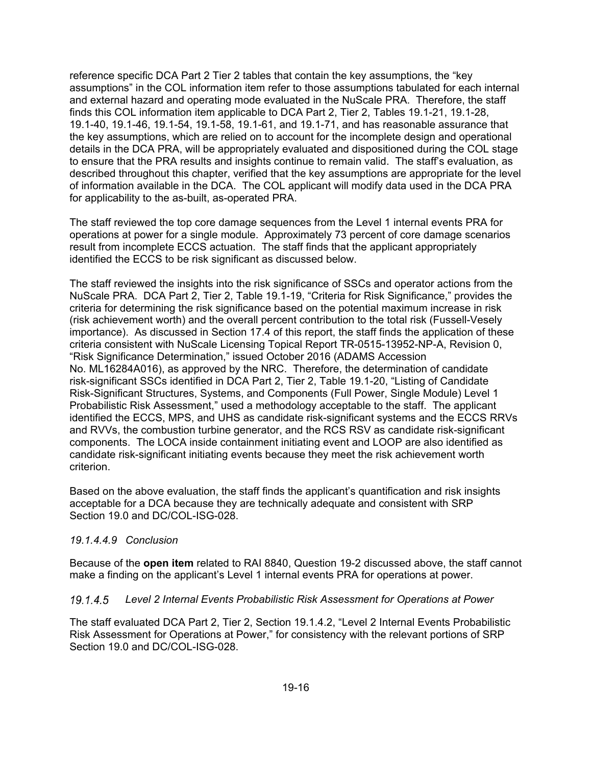reference specific DCA Part 2 Tier 2 tables that contain the key assumptions, the "key assumptions" in the COL information item refer to those assumptions tabulated for each internal and external hazard and operating mode evaluated in the NuScale PRA. Therefore, the staff finds this COL information item applicable to DCA Part 2, Tier 2, Tables 19.1-21, 19.1-28, 19.1-40, 19.1-46, 19.1-54, 19.1-58, 19.1-61, and 19.1-71, and has reasonable assurance that the key assumptions, which are relied on to account for the incomplete design and operational details in the DCA PRA, will be appropriately evaluated and dispositioned during the COL stage to ensure that the PRA results and insights continue to remain valid. The staff's evaluation, as described throughout this chapter, verified that the key assumptions are appropriate for the level of information available in the DCA. The COL applicant will modify data used in the DCA PRA for applicability to the as-built, as-operated PRA.

The staff reviewed the top core damage sequences from the Level 1 internal events PRA for operations at power for a single module. Approximately 73 percent of core damage scenarios result from incomplete ECCS actuation. The staff finds that the applicant appropriately identified the ECCS to be risk significant as discussed below.

The staff reviewed the insights into the risk significance of SSCs and operator actions from the NuScale PRA. DCA Part 2, Tier 2, Table 19.1-19, "Criteria for Risk Significance," provides the criteria for determining the risk significance based on the potential maximum increase in risk (risk achievement worth) and the overall percent contribution to the total risk (Fussell-Vesely importance). As discussed in Section 17.4 of this report, the staff finds the application of these criteria consistent with NuScale Licensing Topical Report TR-0515-13952-NP-A, Revision 0, "Risk Significance Determination," issued October 2016 (ADAMS Accession No. ML16284A016), as approved by the NRC. Therefore, the determination of candidate risk-significant SSCs identified in DCA Part 2, Tier 2, Table 19.1-20, "Listing of Candidate Risk-Significant Structures, Systems, and Components (Full Power, Single Module) Level 1 Probabilistic Risk Assessment," used a methodology acceptable to the staff. The applicant identified the ECCS, MPS, and UHS as candidate risk-significant systems and the ECCS RRVs and RVVs, the combustion turbine generator, and the RCS RSV as candidate risk-significant components. The LOCA inside containment initiating event and LOOP are also identified as candidate risk-significant initiating events because they meet the risk achievement worth criterion.

Based on the above evaluation, the staff finds the applicant's quantification and risk insights acceptable for a DCA because they are technically adequate and consistent with SRP Section 19.0 and DC/COL-ISG-028.

### *19.1.4.4.9 Conclusion*

Because of the **open item** related to RAI 8840, Question 19-2 discussed above, the staff cannot make a finding on the applicant's Level 1 internal events PRA for operations at power.

### *Level 2 Internal Events Probabilistic Risk Assessment for Operations at Power*

The staff evaluated DCA Part 2, Tier 2, Section 19.1.4.2, "Level 2 Internal Events Probabilistic Risk Assessment for Operations at Power," for consistency with the relevant portions of SRP Section 19.0 and DC/COL-ISG-028.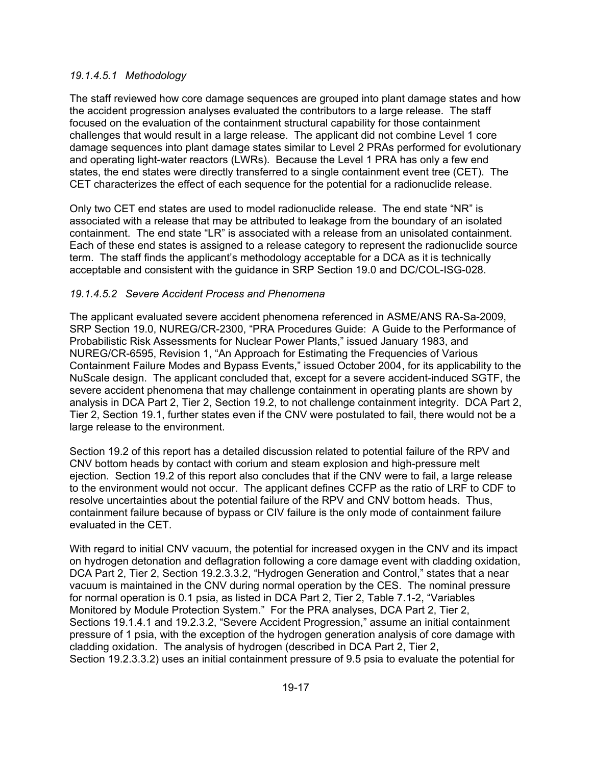### *19.1.4.5.1 Methodology*

The staff reviewed how core damage sequences are grouped into plant damage states and how the accident progression analyses evaluated the contributors to a large release. The staff focused on the evaluation of the containment structural capability for those containment challenges that would result in a large release. The applicant did not combine Level 1 core damage sequences into plant damage states similar to Level 2 PRAs performed for evolutionary and operating light-water reactors (LWRs). Because the Level 1 PRA has only a few end states, the end states were directly transferred to a single containment event tree (CET). The CET characterizes the effect of each sequence for the potential for a radionuclide release.

Only two CET end states are used to model radionuclide release. The end state "NR" is associated with a release that may be attributed to leakage from the boundary of an isolated containment. The end state "LR" is associated with a release from an unisolated containment. Each of these end states is assigned to a release category to represent the radionuclide source term. The staff finds the applicant's methodology acceptable for a DCA as it is technically acceptable and consistent with the guidance in SRP Section 19.0 and DC/COL-ISG-028.

## *19.1.4.5.2 Severe Accident Process and Phenomena*

The applicant evaluated severe accident phenomena referenced in ASME/ANS RA-Sa-2009, SRP Section 19.0, NUREG/CR-2300, "PRA Procedures Guide: A Guide to the Performance of Probabilistic Risk Assessments for Nuclear Power Plants," issued January 1983, and NUREG/CR-6595, Revision 1, "An Approach for Estimating the Frequencies of Various Containment Failure Modes and Bypass Events," issued October 2004, for its applicability to the NuScale design. The applicant concluded that, except for a severe accident-induced SGTF, the severe accident phenomena that may challenge containment in operating plants are shown by analysis in DCA Part 2, Tier 2, Section 19.2, to not challenge containment integrity. DCA Part 2, Tier 2, Section 19.1, further states even if the CNV were postulated to fail, there would not be a large release to the environment.

Section 19.2 of this report has a detailed discussion related to potential failure of the RPV and CNV bottom heads by contact with corium and steam explosion and high-pressure melt ejection. Section 19.2 of this report also concludes that if the CNV were to fail, a large release to the environment would not occur. The applicant defines CCFP as the ratio of LRF to CDF to resolve uncertainties about the potential failure of the RPV and CNV bottom heads. Thus, containment failure because of bypass or CIV failure is the only mode of containment failure evaluated in the CET.

With regard to initial CNV vacuum, the potential for increased oxygen in the CNV and its impact on hydrogen detonation and deflagration following a core damage event with cladding oxidation, DCA Part 2, Tier 2, Section 19.2.3.3.2, "Hydrogen Generation and Control," states that a near vacuum is maintained in the CNV during normal operation by the CES. The nominal pressure for normal operation is 0.1 psia, as listed in DCA Part 2, Tier 2, Table 7.1-2, "Variables Monitored by Module Protection System." For the PRA analyses, DCA Part 2, Tier 2, Sections 19.1.4.1 and 19.2.3.2, "Severe Accident Progression," assume an initial containment pressure of 1 psia, with the exception of the hydrogen generation analysis of core damage with cladding oxidation. The analysis of hydrogen (described in DCA Part 2, Tier 2, Section 19.2.3.3.2) uses an initial containment pressure of 9.5 psia to evaluate the potential for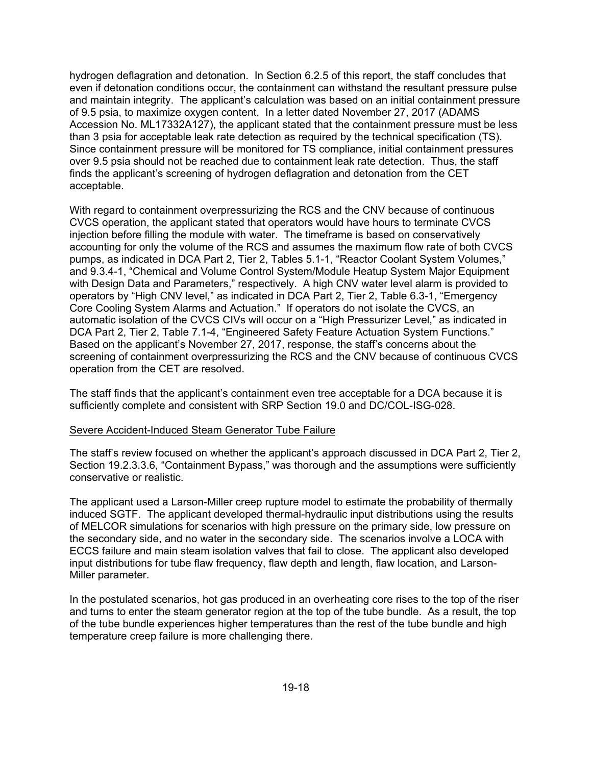hydrogen deflagration and detonation. In Section 6.2.5 of this report, the staff concludes that even if detonation conditions occur, the containment can withstand the resultant pressure pulse and maintain integrity. The applicant's calculation was based on an initial containment pressure of 9.5 psia, to maximize oxygen content. In a letter dated November 27, 2017 (ADAMS Accession No. ML17332A127), the applicant stated that the containment pressure must be less than 3 psia for acceptable leak rate detection as required by the technical specification (TS). Since containment pressure will be monitored for TS compliance, initial containment pressures over 9.5 psia should not be reached due to containment leak rate detection. Thus, the staff finds the applicant's screening of hydrogen deflagration and detonation from the CET acceptable.

With regard to containment overpressurizing the RCS and the CNV because of continuous CVCS operation, the applicant stated that operators would have hours to terminate CVCS injection before filling the module with water. The timeframe is based on conservatively accounting for only the volume of the RCS and assumes the maximum flow rate of both CVCS pumps, as indicated in DCA Part 2, Tier 2, Tables 5.1-1, "Reactor Coolant System Volumes," and 9.3.4-1, "Chemical and Volume Control System/Module Heatup System Major Equipment with Design Data and Parameters," respectively. A high CNV water level alarm is provided to operators by "High CNV level," as indicated in DCA Part 2, Tier 2, Table 6.3-1, "Emergency Core Cooling System Alarms and Actuation." If operators do not isolate the CVCS, an automatic isolation of the CVCS CIVs will occur on a "High Pressurizer Level," as indicated in DCA Part 2, Tier 2, Table 7.1-4, "Engineered Safety Feature Actuation System Functions." Based on the applicant's November 27, 2017, response, the staff's concerns about the screening of containment overpressurizing the RCS and the CNV because of continuous CVCS operation from the CET are resolved.

The staff finds that the applicant's containment even tree acceptable for a DCA because it is sufficiently complete and consistent with SRP Section 19.0 and DC/COL-ISG-028.

#### Severe Accident-Induced Steam Generator Tube Failure

The staff's review focused on whether the applicant's approach discussed in DCA Part 2, Tier 2, Section 19.2.3.3.6, "Containment Bypass," was thorough and the assumptions were sufficiently conservative or realistic.

The applicant used a Larson-Miller creep rupture model to estimate the probability of thermally induced SGTF. The applicant developed thermal-hydraulic input distributions using the results of MELCOR simulations for scenarios with high pressure on the primary side, low pressure on the secondary side, and no water in the secondary side. The scenarios involve a LOCA with ECCS failure and main steam isolation valves that fail to close. The applicant also developed input distributions for tube flaw frequency, flaw depth and length, flaw location, and Larson-Miller parameter.

In the postulated scenarios, hot gas produced in an overheating core rises to the top of the riser and turns to enter the steam generator region at the top of the tube bundle. As a result, the top of the tube bundle experiences higher temperatures than the rest of the tube bundle and high temperature creep failure is more challenging there.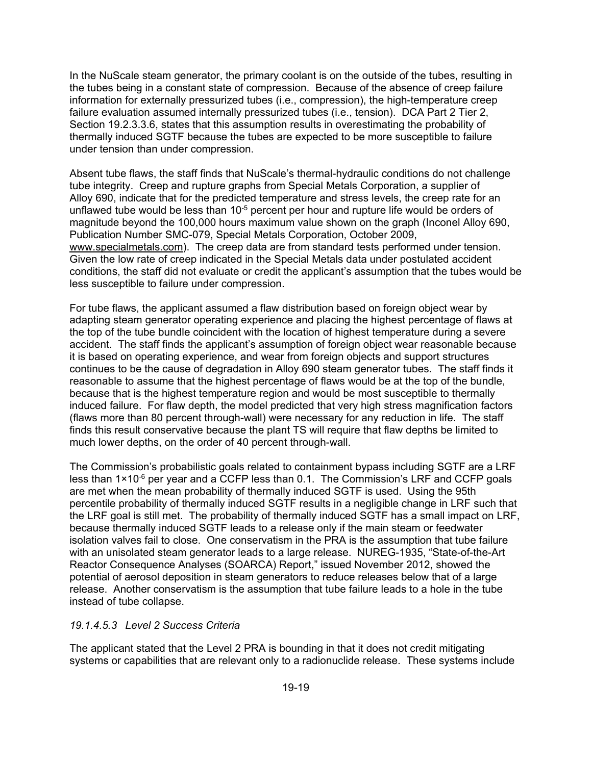In the NuScale steam generator, the primary coolant is on the outside of the tubes, resulting in the tubes being in a constant state of compression. Because of the absence of creep failure information for externally pressurized tubes (i.e., compression), the high-temperature creep failure evaluation assumed internally pressurized tubes (i.e., tension). DCA Part 2 Tier 2, Section 19.2.3.3.6, states that this assumption results in overestimating the probability of thermally induced SGTF because the tubes are expected to be more susceptible to failure under tension than under compression.

Absent tube flaws, the staff finds that NuScale's thermal-hydraulic conditions do not challenge tube integrity. Creep and rupture graphs from Special Metals Corporation, a supplier of Alloy 690, indicate that for the predicted temperature and stress levels, the creep rate for an unflawed tube would be less than  $10^{-5}$  percent per hour and rupture life would be orders of magnitude beyond the 100,000 hours maximum value shown on the graph (Inconel Alloy 690, Publication Number SMC-079, Special Metals Corporation, October 2009, www.specialmetals.com). The creep data are from standard tests performed under tension. Given the low rate of creep indicated in the Special Metals data under postulated accident conditions, the staff did not evaluate or credit the applicant's assumption that the tubes would be less susceptible to failure under compression.

For tube flaws, the applicant assumed a flaw distribution based on foreign object wear by adapting steam generator operating experience and placing the highest percentage of flaws at the top of the tube bundle coincident with the location of highest temperature during a severe accident. The staff finds the applicant's assumption of foreign object wear reasonable because it is based on operating experience, and wear from foreign objects and support structures continues to be the cause of degradation in Alloy 690 steam generator tubes. The staff finds it reasonable to assume that the highest percentage of flaws would be at the top of the bundle, because that is the highest temperature region and would be most susceptible to thermally induced failure. For flaw depth, the model predicted that very high stress magnification factors (flaws more than 80 percent through-wall) were necessary for any reduction in life. The staff finds this result conservative because the plant TS will require that flaw depths be limited to much lower depths, on the order of 40 percent through-wall.

The Commission's probabilistic goals related to containment bypass including SGTF are a LRF less than  $1 \times 10^{-6}$  per year and a CCFP less than 0.1. The Commission's LRF and CCFP goals are met when the mean probability of thermally induced SGTF is used. Using the 95th percentile probability of thermally induced SGTF results in a negligible change in LRF such that the LRF goal is still met. The probability of thermally induced SGTF has a small impact on LRF, because thermally induced SGTF leads to a release only if the main steam or feedwater isolation valves fail to close. One conservatism in the PRA is the assumption that tube failure with an unisolated steam generator leads to a large release. NUREG-1935, "State-of-the-Art Reactor Consequence Analyses (SOARCA) Report," issued November 2012, showed the potential of aerosol deposition in steam generators to reduce releases below that of a large release. Another conservatism is the assumption that tube failure leads to a hole in the tube instead of tube collapse.

### *19.1.4.5.3 Level 2 Success Criteria*

The applicant stated that the Level 2 PRA is bounding in that it does not credit mitigating systems or capabilities that are relevant only to a radionuclide release. These systems include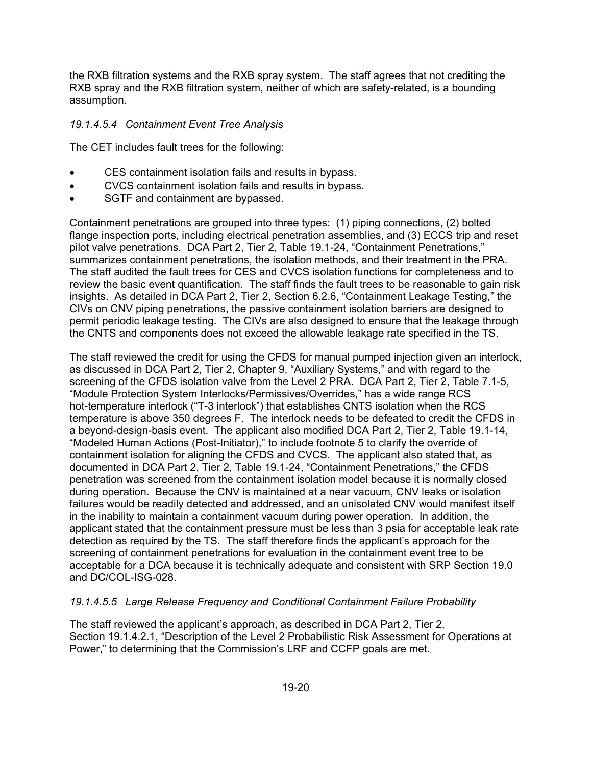the RXB filtration systems and the RXB spray system. The staff agrees that not crediting the RXB spray and the RXB filtration system, neither of which are safety-related, is a bounding assumption.

### *19.1.4.5.4 Containment Event Tree Analysis*

The CET includes fault trees for the following:

- CES containment isolation fails and results in bypass.
- CVCS containment isolation fails and results in bypass.
- SGTF and containment are bypassed.

Containment penetrations are grouped into three types: (1) piping connections, (2) bolted flange inspection ports, including electrical penetration assemblies, and (3) ECCS trip and reset pilot valve penetrations. DCA Part 2, Tier 2, Table 19.1-24, "Containment Penetrations," summarizes containment penetrations, the isolation methods, and their treatment in the PRA. The staff audited the fault trees for CES and CVCS isolation functions for completeness and to review the basic event quantification. The staff finds the fault trees to be reasonable to gain risk insights. As detailed in DCA Part 2, Tier 2, Section 6.2.6, "Containment Leakage Testing," the CIVs on CNV piping penetrations, the passive containment isolation barriers are designed to permit periodic leakage testing. The CIVs are also designed to ensure that the leakage through the CNTS and components does not exceed the allowable leakage rate specified in the TS.

The staff reviewed the credit for using the CFDS for manual pumped injection given an interlock, as discussed in DCA Part 2, Tier 2, Chapter 9, "Auxiliary Systems," and with regard to the screening of the CFDS isolation valve from the Level 2 PRA. DCA Part 2, Tier 2, Table 7.1-5, "Module Protection System Interlocks/Permissives/Overrides," has a wide range RCS hot-temperature interlock ("T-3 interlock") that establishes CNTS isolation when the RCS temperature is above 350 degrees F. The interlock needs to be defeated to credit the CFDS in a beyond-design-basis event. The applicant also modified DCA Part 2, Tier 2, Table 19.1-14, "Modeled Human Actions (Post-Initiator)," to include footnote 5 to clarify the override of containment isolation for aligning the CFDS and CVCS. The applicant also stated that, as documented in DCA Part 2, Tier 2, Table 19.1-24, "Containment Penetrations," the CFDS penetration was screened from the containment isolation model because it is normally closed during operation. Because the CNV is maintained at a near vacuum, CNV leaks or isolation failures would be readily detected and addressed, and an unisolated CNV would manifest itself in the inability to maintain a containment vacuum during power operation. In addition, the applicant stated that the containment pressure must be less than 3 psia for acceptable leak rate detection as required by the TS. The staff therefore finds the applicant's approach for the screening of containment penetrations for evaluation in the containment event tree to be acceptable for a DCA because it is technically adequate and consistent with SRP Section 19.0 and DC/COL-ISG-028.

## *19.1.4.5.5 Large Release Frequency and Conditional Containment Failure Probability*

The staff reviewed the applicant's approach, as described in DCA Part 2, Tier 2, Section 19.1.4.2.1, "Description of the Level 2 Probabilistic Risk Assessment for Operations at Power," to determining that the Commission's LRF and CCFP goals are met.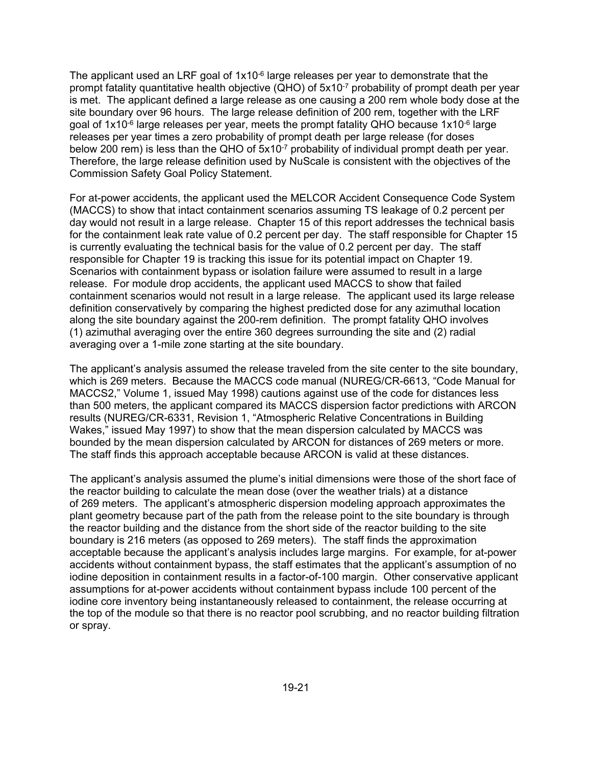The applicant used an LRF goal of  $1x10^{-6}$  large releases per year to demonstrate that the prompt fatality quantitative health objective (QHO) of 5x10<sup>-7</sup> probability of prompt death per year is met. The applicant defined a large release as one causing a 200 rem whole body dose at the site boundary over 96 hours. The large release definition of 200 rem, together with the LRF goal of  $1x10^{-6}$  large releases per year, meets the prompt fatality QHO because  $1x10^{-6}$  large releases per year times a zero probability of prompt death per large release (for doses below 200 rem) is less than the QHO of 5x10<sup>-7</sup> probability of individual prompt death per year. Therefore, the large release definition used by NuScale is consistent with the objectives of the Commission Safety Goal Policy Statement.

For at-power accidents, the applicant used the MELCOR Accident Consequence Code System (MACCS) to show that intact containment scenarios assuming TS leakage of 0.2 percent per day would not result in a large release. Chapter 15 of this report addresses the technical basis for the containment leak rate value of 0.2 percent per day. The staff responsible for Chapter 15 is currently evaluating the technical basis for the value of 0.2 percent per day. The staff responsible for Chapter 19 is tracking this issue for its potential impact on Chapter 19. Scenarios with containment bypass or isolation failure were assumed to result in a large release. For module drop accidents, the applicant used MACCS to show that failed containment scenarios would not result in a large release. The applicant used its large release definition conservatively by comparing the highest predicted dose for any azimuthal location along the site boundary against the 200-rem definition. The prompt fatality QHO involves (1) azimuthal averaging over the entire 360 degrees surrounding the site and (2) radial averaging over a 1-mile zone starting at the site boundary.

The applicant's analysis assumed the release traveled from the site center to the site boundary, which is 269 meters. Because the MACCS code manual (NUREG/CR-6613, "Code Manual for MACCS2," Volume 1, issued May 1998) cautions against use of the code for distances less than 500 meters, the applicant compared its MACCS dispersion factor predictions with ARCON results (NUREG/CR-6331, Revision 1, "Atmospheric Relative Concentrations in Building Wakes," issued May 1997) to show that the mean dispersion calculated by MACCS was bounded by the mean dispersion calculated by ARCON for distances of 269 meters or more. The staff finds this approach acceptable because ARCON is valid at these distances.

The applicant's analysis assumed the plume's initial dimensions were those of the short face of the reactor building to calculate the mean dose (over the weather trials) at a distance of 269 meters. The applicant's atmospheric dispersion modeling approach approximates the plant geometry because part of the path from the release point to the site boundary is through the reactor building and the distance from the short side of the reactor building to the site boundary is 216 meters (as opposed to 269 meters). The staff finds the approximation acceptable because the applicant's analysis includes large margins. For example, for at-power accidents without containment bypass, the staff estimates that the applicant's assumption of no iodine deposition in containment results in a factor-of-100 margin. Other conservative applicant assumptions for at-power accidents without containment bypass include 100 percent of the iodine core inventory being instantaneously released to containment, the release occurring at the top of the module so that there is no reactor pool scrubbing, and no reactor building filtration or spray.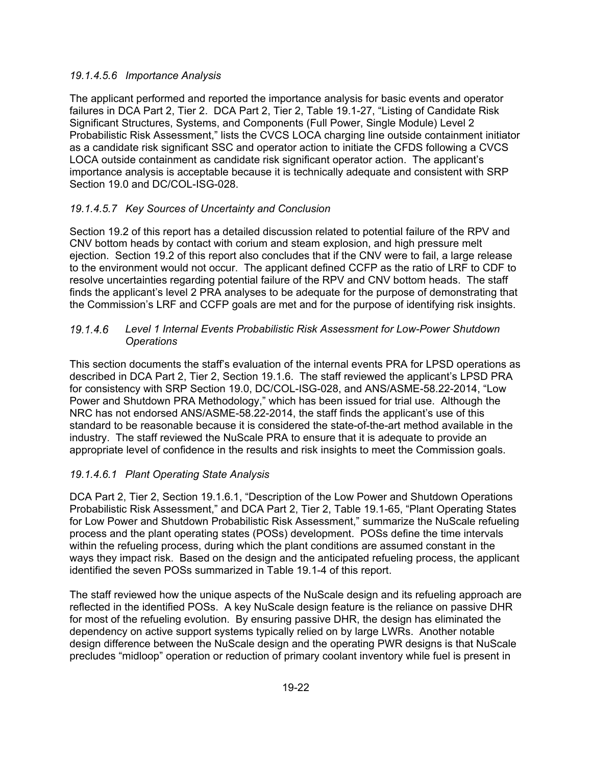### *19.1.4.5.6 Importance Analysis*

The applicant performed and reported the importance analysis for basic events and operator failures in DCA Part 2, Tier 2. DCA Part 2, Tier 2, Table 19.1-27, "Listing of Candidate Risk Significant Structures, Systems, and Components (Full Power, Single Module) Level 2 Probabilistic Risk Assessment," lists the CVCS LOCA charging line outside containment initiator as a candidate risk significant SSC and operator action to initiate the CFDS following a CVCS LOCA outside containment as candidate risk significant operator action. The applicant's importance analysis is acceptable because it is technically adequate and consistent with SRP Section 19.0 and DC/COL-ISG-028.

## *19.1.4.5.7 Key Sources of Uncertainty and Conclusion*

Section 19.2 of this report has a detailed discussion related to potential failure of the RPV and CNV bottom heads by contact with corium and steam explosion, and high pressure melt ejection. Section 19.2 of this report also concludes that if the CNV were to fail, a large release to the environment would not occur. The applicant defined CCFP as the ratio of LRF to CDF to resolve uncertainties regarding potential failure of the RPV and CNV bottom heads. The staff finds the applicant's level 2 PRA analyses to be adequate for the purpose of demonstrating that the Commission's LRF and CCFP goals are met and for the purpose of identifying risk insights.

### *Level 1 Internal Events Probabilistic Risk Assessment for Low-Power Shutdown Operations*

This section documents the staff's evaluation of the internal events PRA for LPSD operations as described in DCA Part 2, Tier 2, Section 19.1.6. The staff reviewed the applicant's LPSD PRA for consistency with SRP Section 19.0, DC/COL-ISG-028, and ANS/ASME-58.22-2014, "Low Power and Shutdown PRA Methodology," which has been issued for trial use. Although the NRC has not endorsed ANS/ASME-58.22-2014, the staff finds the applicant's use of this standard to be reasonable because it is considered the state-of-the-art method available in the industry. The staff reviewed the NuScale PRA to ensure that it is adequate to provide an appropriate level of confidence in the results and risk insights to meet the Commission goals.

## *19.1.4.6.1 Plant Operating State Analysis*

DCA Part 2, Tier 2, Section 19.1.6.1, "Description of the Low Power and Shutdown Operations Probabilistic Risk Assessment," and DCA Part 2, Tier 2, Table 19.1-65, "Plant Operating States for Low Power and Shutdown Probabilistic Risk Assessment," summarize the NuScale refueling process and the plant operating states (POSs) development. POSs define the time intervals within the refueling process, during which the plant conditions are assumed constant in the ways they impact risk. Based on the design and the anticipated refueling process, the applicant identified the seven POSs summarized in Table 19.1-4 of this report.

The staff reviewed how the unique aspects of the NuScale design and its refueling approach are reflected in the identified POSs. A key NuScale design feature is the reliance on passive DHR for most of the refueling evolution. By ensuring passive DHR, the design has eliminated the dependency on active support systems typically relied on by large LWRs. Another notable design difference between the NuScale design and the operating PWR designs is that NuScale precludes "midloop" operation or reduction of primary coolant inventory while fuel is present in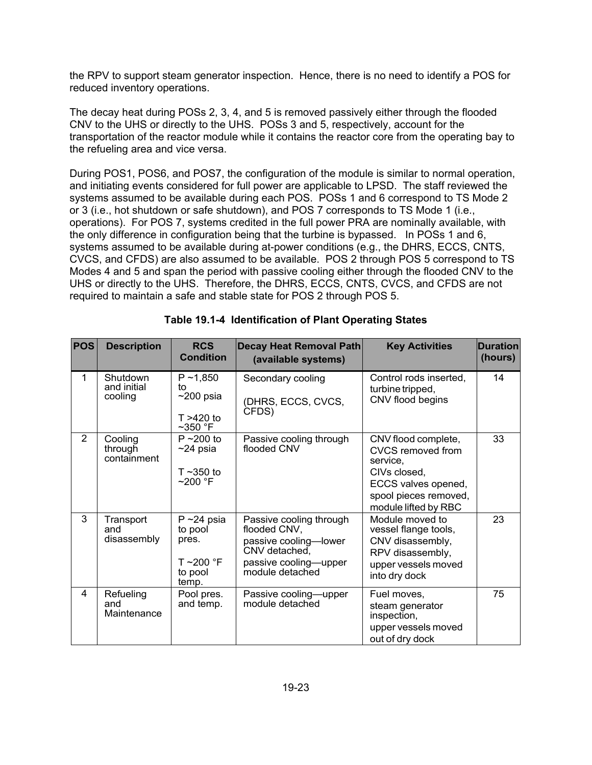the RPV to support steam generator inspection. Hence, there is no need to identify a POS for reduced inventory operations.

The decay heat during POSs 2, 3, 4, and 5 is removed passively either through the flooded CNV to the UHS or directly to the UHS. POSs 3 and 5, respectively, account for the transportation of the reactor module while it contains the reactor core from the operating bay to the refueling area and vice versa.

During POS1, POS6, and POS7, the configuration of the module is similar to normal operation, and initiating events considered for full power are applicable to LPSD. The staff reviewed the systems assumed to be available during each POS. POSs 1 and 6 correspond to TS Mode 2 or 3 (i.e., hot shutdown or safe shutdown), and POS 7 corresponds to TS Mode 1 (i.e., operations). For POS 7, systems credited in the full power PRA are nominally available, with the only difference in configuration being that the turbine is bypassed. In POSs 1 and 6, systems assumed to be available during at-power conditions (e.g., the DHRS, ECCS, CNTS, CVCS, and CFDS) are also assumed to be available. POS 2 through POS 5 correspond to TS Modes 4 and 5 and span the period with passive cooling either through the flooded CNV to the UHS or directly to the UHS. Therefore, the DHRS, ECCS, CNTS, CVCS, and CFDS are not required to maintain a safe and stable state for POS 2 through POS 5.

| <b>POS</b>     | <b>Description</b>                 | <b>RCS</b><br><b>Condition</b>                                       | Decay Heat Removal Path<br>(available systems)                                                                                | <b>Key Activities</b>                                                                                                                               | <b>Duration</b><br>(hours) |
|----------------|------------------------------------|----------------------------------------------------------------------|-------------------------------------------------------------------------------------------------------------------------------|-----------------------------------------------------------------------------------------------------------------------------------------------------|----------------------------|
| 1              | Shutdown<br>and initial<br>cooling | $P \sim 1,850$<br>to<br>$\sim$ 200 psia<br>$T > 420$ to<br>$~50$ °F  | Secondary cooling<br>(DHRS, ECCS, CVCS,<br>CFDS)                                                                              | Control rods inserted,<br>turbine tripped,<br>CNV flood begins                                                                                      | 14                         |
| $\overline{2}$ | Cooling<br>through<br>containment  | $P \sim 200$ to<br>$~24$ psia<br>$T \sim 350$ to<br>$~200$ °F        | Passive cooling through<br>flooded CNV                                                                                        | CNV flood complete,<br><b>CVCS removed from</b><br>service,<br>CIVs closed,<br>ECCS valves opened,<br>spool pieces removed,<br>module lifted by RBC | 33                         |
| 3              | Transport<br>and<br>disassembly    | $P \sim 24$ psia<br>to pool<br>pres.<br>T~200 °F<br>to pool<br>temp. | Passive cooling through<br>flooded CNV,<br>passive cooling-lower<br>CNV detached,<br>passive cooling-upper<br>module detached | Module moved to<br>vessel flange tools,<br>CNV disassembly,<br>RPV disassembly,<br>upper vessels moved<br>into dry dock                             | 23                         |
| 4              | Refueling<br>and<br>Maintenance    | Pool pres.<br>and temp.                                              | Passive cooling-upper<br>module detached                                                                                      | Fuel moves,<br>steam generator<br>inspection,<br>upper vessels moved<br>out of dry dock                                                             | 75                         |

|  | Table 19.1-4 Identification of Plant Operating States |
|--|-------------------------------------------------------|
|  |                                                       |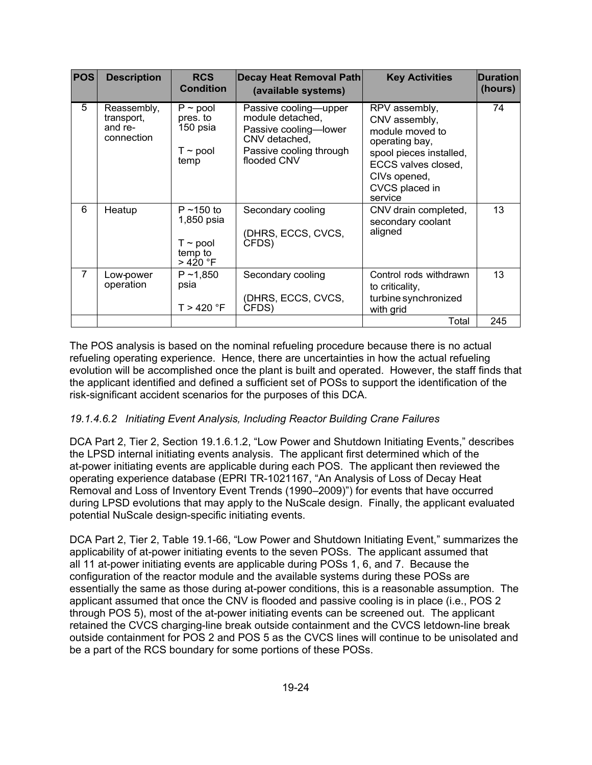| <b>POS</b>     | <b>Description</b>                                 | <b>RCS</b><br><b>Condition</b>                                        | <b>Decay Heat Removal Path</b><br>(available systems)                                                                         | <b>Key Activities</b>                                                                                                                                              | <b>Duration</b><br>(hours) |
|----------------|----------------------------------------------------|-----------------------------------------------------------------------|-------------------------------------------------------------------------------------------------------------------------------|--------------------------------------------------------------------------------------------------------------------------------------------------------------------|----------------------------|
| 5              | Reassembly,<br>transport,<br>and re-<br>connection | $P \sim$ pool<br>pres. to<br>150 psia<br>$T \sim$ pool<br>temp        | Passive cooling-upper<br>module detached,<br>Passive cooling-lower<br>CNV detached,<br>Passive cooling through<br>flooded CNV | RPV assembly,<br>CNV assembly,<br>module moved to<br>operating bay,<br>spool pieces installed,<br>ECCS valves closed,<br>CIVs opened,<br>CVCS placed in<br>service | 74                         |
| 6              | Heatup                                             | $P \sim 150$ to<br>1,850 psia<br>T $\sim$ pool<br>temp to<br>> 420 °F | Secondary cooling<br>(DHRS, ECCS, CVCS,<br>CFDS)                                                                              | CNV drain completed,<br>secondary coolant<br>aligned                                                                                                               | 13                         |
| $\overline{7}$ | Low-power<br>operation                             | $P \sim 1,850$<br>psia<br>T > 420 °F                                  | Secondary cooling<br>(DHRS, ECCS, CVCS,<br>CFDS)                                                                              | Control rods withdrawn<br>to criticality,<br>turbine synchronized<br>with grid                                                                                     | 13                         |
|                |                                                    |                                                                       |                                                                                                                               | Total                                                                                                                                                              | 245                        |

The POS analysis is based on the nominal refueling procedure because there is no actual refueling operating experience. Hence, there are uncertainties in how the actual refueling evolution will be accomplished once the plant is built and operated. However, the staff finds that the applicant identified and defined a sufficient set of POSs to support the identification of the risk-significant accident scenarios for the purposes of this DCA.

## *19.1.4.6.2 Initiating Event Analysis, Including Reactor Building Crane Failures*

DCA Part 2, Tier 2, Section 19.1.6.1.2, "Low Power and Shutdown Initiating Events," describes the LPSD internal initiating events analysis. The applicant first determined which of the at-power initiating events are applicable during each POS. The applicant then reviewed the operating experience database (EPRI TR-1021167, "An Analysis of Loss of Decay Heat Removal and Loss of Inventory Event Trends (1990–2009)") for events that have occurred during LPSD evolutions that may apply to the NuScale design. Finally, the applicant evaluated potential NuScale design-specific initiating events.

DCA Part 2, Tier 2, Table 19.1-66, "Low Power and Shutdown Initiating Event," summarizes the applicability of at-power initiating events to the seven POSs. The applicant assumed that all 11 at-power initiating events are applicable during POSs 1, 6, and 7. Because the configuration of the reactor module and the available systems during these POSs are essentially the same as those during at-power conditions, this is a reasonable assumption. The applicant assumed that once the CNV is flooded and passive cooling is in place (i.e., POS 2 through POS 5), most of the at-power initiating events can be screened out. The applicant retained the CVCS charging-line break outside containment and the CVCS letdown-line break outside containment for POS 2 and POS 5 as the CVCS lines will continue to be unisolated and be a part of the RCS boundary for some portions of these POSs.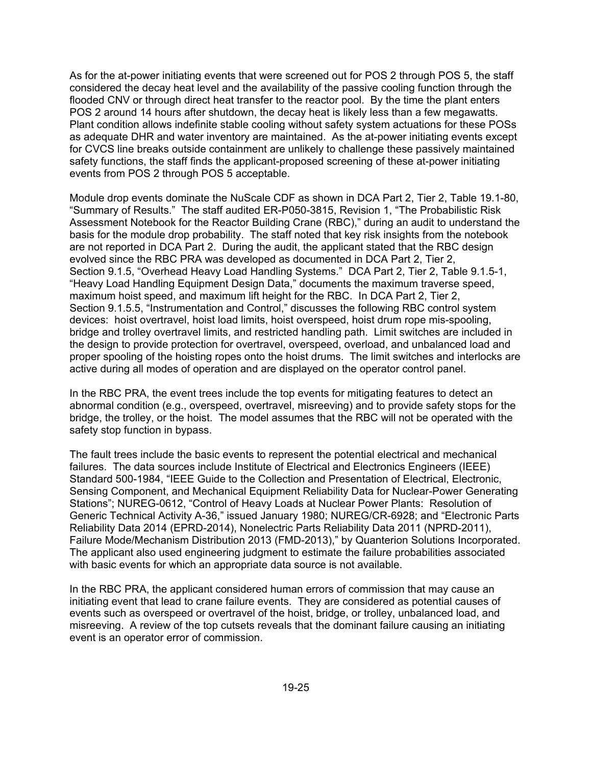As for the at-power initiating events that were screened out for POS 2 through POS 5, the staff considered the decay heat level and the availability of the passive cooling function through the flooded CNV or through direct heat transfer to the reactor pool. By the time the plant enters POS 2 around 14 hours after shutdown, the decay heat is likely less than a few megawatts. Plant condition allows indefinite stable cooling without safety system actuations for these POSs as adequate DHR and water inventory are maintained. As the at-power initiating events except for CVCS line breaks outside containment are unlikely to challenge these passively maintained safety functions, the staff finds the applicant-proposed screening of these at-power initiating events from POS 2 through POS 5 acceptable.

Module drop events dominate the NuScale CDF as shown in DCA Part 2, Tier 2, Table 19.1-80, "Summary of Results." The staff audited ER-P050-3815, Revision 1, "The Probabilistic Risk Assessment Notebook for the Reactor Building Crane (RBC)," during an audit to understand the basis for the module drop probability. The staff noted that key risk insights from the notebook are not reported in DCA Part 2. During the audit, the applicant stated that the RBC design evolved since the RBC PRA was developed as documented in DCA Part 2, Tier 2, Section 9.1.5, "Overhead Heavy Load Handling Systems." DCA Part 2, Tier 2, Table 9.1.5-1, "Heavy Load Handling Equipment Design Data," documents the maximum traverse speed, maximum hoist speed, and maximum lift height for the RBC. In DCA Part 2, Tier 2, Section 9.1.5.5, "Instrumentation and Control," discusses the following RBC control system devices: hoist overtravel, hoist load limits, hoist overspeed, hoist drum rope mis-spooling, bridge and trolley overtravel limits, and restricted handling path. Limit switches are included in the design to provide protection for overtravel, overspeed, overload, and unbalanced load and proper spooling of the hoisting ropes onto the hoist drums. The limit switches and interlocks are active during all modes of operation and are displayed on the operator control panel.

In the RBC PRA, the event trees include the top events for mitigating features to detect an abnormal condition (e.g., overspeed, overtravel, misreeving) and to provide safety stops for the bridge, the trolley, or the hoist. The model assumes that the RBC will not be operated with the safety stop function in bypass.

The fault trees include the basic events to represent the potential electrical and mechanical failures. The data sources include Institute of Electrical and Electronics Engineers (IEEE) Standard 500-1984, "IEEE Guide to the Collection and Presentation of Electrical, Electronic, Sensing Component, and Mechanical Equipment Reliability Data for Nuclear-Power Generating Stations"; NUREG-0612, "Control of Heavy Loads at Nuclear Power Plants: Resolution of Generic Technical Activity A-36," issued January 1980; NUREG/CR-6928; and "Electronic Parts Reliability Data 2014 (EPRD-2014), Nonelectric Parts Reliability Data 2011 (NPRD-2011), Failure Mode/Mechanism Distribution 2013 (FMD-2013)," by Quanterion Solutions Incorporated. The applicant also used engineering judgment to estimate the failure probabilities associated with basic events for which an appropriate data source is not available.

In the RBC PRA, the applicant considered human errors of commission that may cause an initiating event that lead to crane failure events. They are considered as potential causes of events such as overspeed or overtravel of the hoist, bridge, or trolley, unbalanced load, and misreeving. A review of the top cutsets reveals that the dominant failure causing an initiating event is an operator error of commission.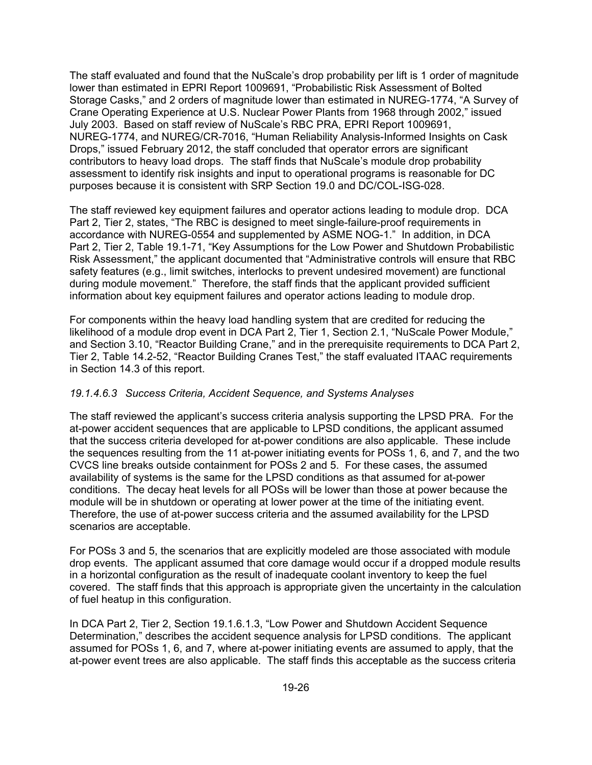The staff evaluated and found that the NuScale's drop probability per lift is 1 order of magnitude lower than estimated in EPRI Report 1009691, "Probabilistic Risk Assessment of Bolted Storage Casks," and 2 orders of magnitude lower than estimated in NUREG-1774, "A Survey of Crane Operating Experience at U.S. Nuclear Power Plants from 1968 through 2002," issued July 2003. Based on staff review of NuScale's RBC PRA, EPRI Report 1009691, NUREG-1774, and NUREG/CR-7016, "Human Reliability Analysis-Informed Insights on Cask Drops," issued February 2012, the staff concluded that operator errors are significant contributors to heavy load drops. The staff finds that NuScale's module drop probability assessment to identify risk insights and input to operational programs is reasonable for DC purposes because it is consistent with SRP Section 19.0 and DC/COL-ISG-028.

The staff reviewed key equipment failures and operator actions leading to module drop. DCA Part 2, Tier 2, states, "The RBC is designed to meet single-failure-proof requirements in accordance with NUREG-0554 and supplemented by ASME NOG-1." In addition, in DCA Part 2, Tier 2, Table 19.1-71, "Key Assumptions for the Low Power and Shutdown Probabilistic Risk Assessment," the applicant documented that "Administrative controls will ensure that RBC safety features (e.g., limit switches, interlocks to prevent undesired movement) are functional during module movement." Therefore, the staff finds that the applicant provided sufficient information about key equipment failures and operator actions leading to module drop.

For components within the heavy load handling system that are credited for reducing the likelihood of a module drop event in DCA Part 2, Tier 1, Section 2.1, "NuScale Power Module," and Section 3.10, "Reactor Building Crane," and in the prerequisite requirements to DCA Part 2, Tier 2, Table 14.2-52, "Reactor Building Cranes Test," the staff evaluated ITAAC requirements in Section 14.3 of this report.

### *19.1.4.6.3 Success Criteria, Accident Sequence, and Systems Analyses*

The staff reviewed the applicant's success criteria analysis supporting the LPSD PRA. For the at-power accident sequences that are applicable to LPSD conditions, the applicant assumed that the success criteria developed for at-power conditions are also applicable. These include the sequences resulting from the 11 at-power initiating events for POSs 1, 6, and 7, and the two CVCS line breaks outside containment for POSs 2 and 5. For these cases, the assumed availability of systems is the same for the LPSD conditions as that assumed for at-power conditions. The decay heat levels for all POSs will be lower than those at power because the module will be in shutdown or operating at lower power at the time of the initiating event. Therefore, the use of at-power success criteria and the assumed availability for the LPSD scenarios are acceptable.

For POSs 3 and 5, the scenarios that are explicitly modeled are those associated with module drop events. The applicant assumed that core damage would occur if a dropped module results in a horizontal configuration as the result of inadequate coolant inventory to keep the fuel covered. The staff finds that this approach is appropriate given the uncertainty in the calculation of fuel heatup in this configuration.

In DCA Part 2, Tier 2, Section 19.1.6.1.3, "Low Power and Shutdown Accident Sequence Determination," describes the accident sequence analysis for LPSD conditions. The applicant assumed for POSs 1, 6, and 7, where at-power initiating events are assumed to apply, that the at-power event trees are also applicable. The staff finds this acceptable as the success criteria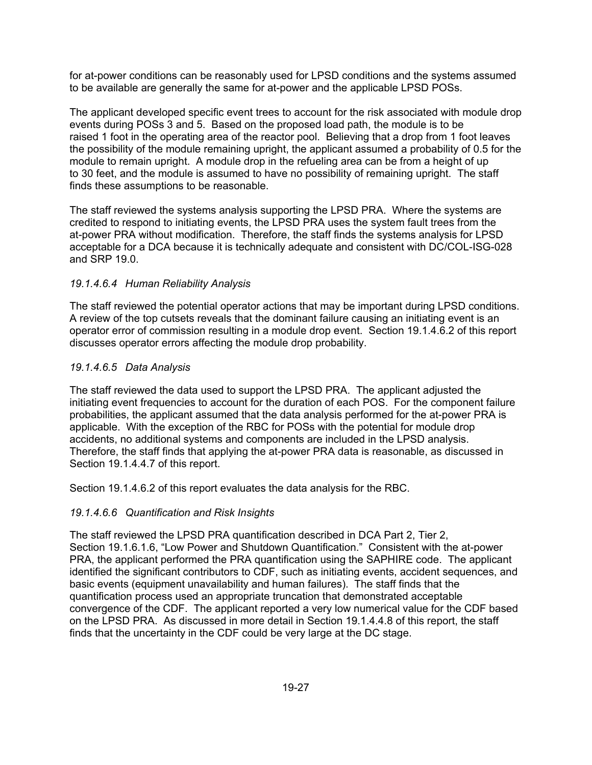for at-power conditions can be reasonably used for LPSD conditions and the systems assumed to be available are generally the same for at-power and the applicable LPSD POSs.

The applicant developed specific event trees to account for the risk associated with module drop events during POSs 3 and 5. Based on the proposed load path, the module is to be raised 1 foot in the operating area of the reactor pool. Believing that a drop from 1 foot leaves the possibility of the module remaining upright, the applicant assumed a probability of 0.5 for the module to remain upright. A module drop in the refueling area can be from a height of up to 30 feet, and the module is assumed to have no possibility of remaining upright. The staff finds these assumptions to be reasonable.

The staff reviewed the systems analysis supporting the LPSD PRA. Where the systems are credited to respond to initiating events, the LPSD PRA uses the system fault trees from the at-power PRA without modification. Therefore, the staff finds the systems analysis for LPSD acceptable for a DCA because it is technically adequate and consistent with DC/COL-ISG-028 and SRP 19.0.

### *19.1.4.6.4 Human Reliability Analysis*

The staff reviewed the potential operator actions that may be important during LPSD conditions. A review of the top cutsets reveals that the dominant failure causing an initiating event is an operator error of commission resulting in a module drop event. Section 19.1.4.6.2 of this report discusses operator errors affecting the module drop probability.

### *19.1.4.6.5 Data Analysis*

The staff reviewed the data used to support the LPSD PRA. The applicant adjusted the initiating event frequencies to account for the duration of each POS. For the component failure probabilities, the applicant assumed that the data analysis performed for the at-power PRA is applicable. With the exception of the RBC for POSs with the potential for module drop accidents, no additional systems and components are included in the LPSD analysis. Therefore, the staff finds that applying the at-power PRA data is reasonable, as discussed in Section 19.1.4.4.7 of this report.

Section 19.1.4.6.2 of this report evaluates the data analysis for the RBC.

### *19.1.4.6.6 Quantification and Risk Insights*

The staff reviewed the LPSD PRA quantification described in DCA Part 2, Tier 2, Section 19.1.6.1.6, "Low Power and Shutdown Quantification." Consistent with the at-power PRA, the applicant performed the PRA quantification using the SAPHIRE code. The applicant identified the significant contributors to CDF, such as initiating events, accident sequences, and basic events (equipment unavailability and human failures). The staff finds that the quantification process used an appropriate truncation that demonstrated acceptable convergence of the CDF. The applicant reported a very low numerical value for the CDF based on the LPSD PRA. As discussed in more detail in Section 19.1.4.4.8 of this report, the staff finds that the uncertainty in the CDF could be very large at the DC stage.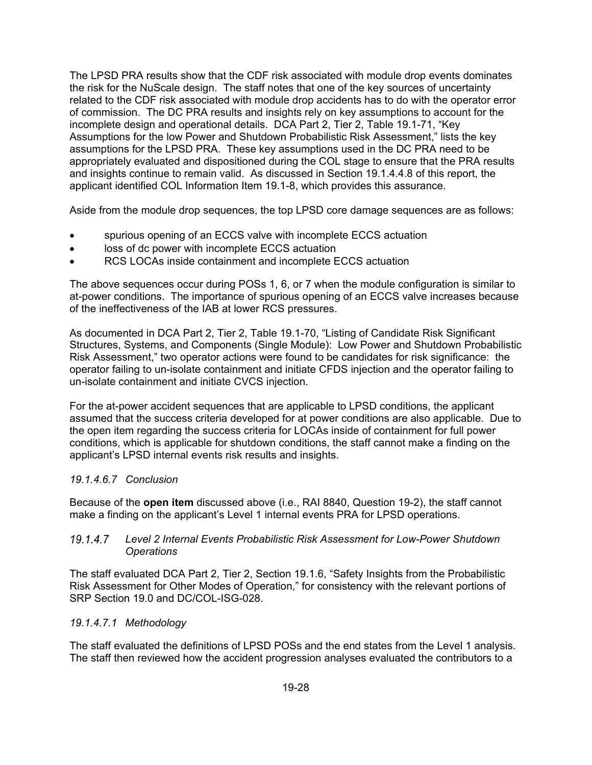The LPSD PRA results show that the CDF risk associated with module drop events dominates the risk for the NuScale design. The staff notes that one of the key sources of uncertainty related to the CDF risk associated with module drop accidents has to do with the operator error of commission. The DC PRA results and insights rely on key assumptions to account for the incomplete design and operational details. DCA Part 2, Tier 2, Table 19.1-71, "Key Assumptions for the low Power and Shutdown Probabilistic Risk Assessment," lists the key assumptions for the LPSD PRA. These key assumptions used in the DC PRA need to be appropriately evaluated and dispositioned during the COL stage to ensure that the PRA results and insights continue to remain valid. As discussed in Section 19.1.4.4.8 of this report, the applicant identified COL Information Item 19.1-8, which provides this assurance.

Aside from the module drop sequences, the top LPSD core damage sequences are as follows:

- spurious opening of an ECCS valve with incomplete ECCS actuation
- loss of dc power with incomplete ECCS actuation
- RCS LOCAs inside containment and incomplete ECCS actuation

The above sequences occur during POSs 1, 6, or 7 when the module configuration is similar to at-power conditions. The importance of spurious opening of an ECCS valve increases because of the ineffectiveness of the IAB at lower RCS pressures.

As documented in DCA Part 2, Tier 2, Table 19.1-70, "Listing of Candidate Risk Significant Structures, Systems, and Components (Single Module): Low Power and Shutdown Probabilistic Risk Assessment," two operator actions were found to be candidates for risk significance: the operator failing to un-isolate containment and initiate CFDS injection and the operator failing to un-isolate containment and initiate CVCS injection.

For the at-power accident sequences that are applicable to LPSD conditions, the applicant assumed that the success criteria developed for at power conditions are also applicable. Due to the open item regarding the success criteria for LOCAs inside of containment for full power conditions, which is applicable for shutdown conditions, the staff cannot make a finding on the applicant's LPSD internal events risk results and insights.

### *19.1.4.6.7 Conclusion*

Because of the **open item** discussed above (i.e., RAI 8840, Question 19-2), the staff cannot make a finding on the applicant's Level 1 internal events PRA for LPSD operations.

#### *Level 2 Internal Events Probabilistic Risk Assessment for Low-Power Shutdown Operations*

The staff evaluated DCA Part 2, Tier 2, Section 19.1.6, "Safety Insights from the Probabilistic Risk Assessment for Other Modes of Operation," for consistency with the relevant portions of SRP Section 19.0 and DC/COL-ISG-028.

### *19.1.4.7.1 Methodology*

The staff evaluated the definitions of LPSD POSs and the end states from the Level 1 analysis. The staff then reviewed how the accident progression analyses evaluated the contributors to a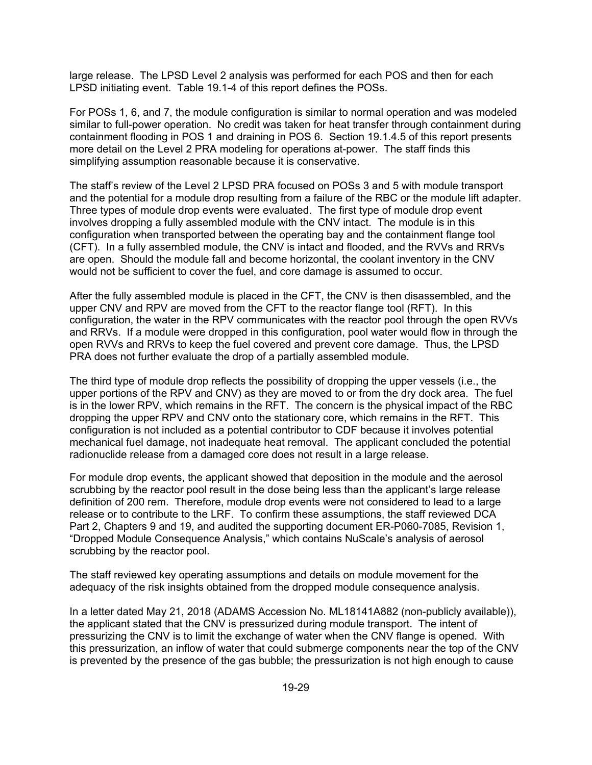large release. The LPSD Level 2 analysis was performed for each POS and then for each LPSD initiating event. Table 19.1-4 of this report defines the POSs.

For POSs 1, 6, and 7, the module configuration is similar to normal operation and was modeled similar to full-power operation. No credit was taken for heat transfer through containment during containment flooding in POS 1 and draining in POS 6. Section 19.1.4.5 of this report presents more detail on the Level 2 PRA modeling for operations at-power. The staff finds this simplifying assumption reasonable because it is conservative.

The staff's review of the Level 2 LPSD PRA focused on POSs 3 and 5 with module transport and the potential for a module drop resulting from a failure of the RBC or the module lift adapter. Three types of module drop events were evaluated. The first type of module drop event involves dropping a fully assembled module with the CNV intact. The module is in this configuration when transported between the operating bay and the containment flange tool (CFT). In a fully assembled module, the CNV is intact and flooded, and the RVVs and RRVs are open. Should the module fall and become horizontal, the coolant inventory in the CNV would not be sufficient to cover the fuel, and core damage is assumed to occur.

After the fully assembled module is placed in the CFT, the CNV is then disassembled, and the upper CNV and RPV are moved from the CFT to the reactor flange tool (RFT). In this configuration, the water in the RPV communicates with the reactor pool through the open RVVs and RRVs. If a module were dropped in this configuration, pool water would flow in through the open RVVs and RRVs to keep the fuel covered and prevent core damage. Thus, the LPSD PRA does not further evaluate the drop of a partially assembled module.

The third type of module drop reflects the possibility of dropping the upper vessels (i.e., the upper portions of the RPV and CNV) as they are moved to or from the dry dock area. The fuel is in the lower RPV, which remains in the RFT. The concern is the physical impact of the RBC dropping the upper RPV and CNV onto the stationary core, which remains in the RFT. This configuration is not included as a potential contributor to CDF because it involves potential mechanical fuel damage, not inadequate heat removal. The applicant concluded the potential radionuclide release from a damaged core does not result in a large release.

For module drop events, the applicant showed that deposition in the module and the aerosol scrubbing by the reactor pool result in the dose being less than the applicant's large release definition of 200 rem. Therefore, module drop events were not considered to lead to a large release or to contribute to the LRF. To confirm these assumptions, the staff reviewed DCA Part 2, Chapters 9 and 19, and audited the supporting document ER-P060-7085, Revision 1, "Dropped Module Consequence Analysis," which contains NuScale's analysis of aerosol scrubbing by the reactor pool.

The staff reviewed key operating assumptions and details on module movement for the adequacy of the risk insights obtained from the dropped module consequence analysis.

In a letter dated May 21, 2018 (ADAMS Accession No. ML18141A882 (non-publicly available)), the applicant stated that the CNV is pressurized during module transport. The intent of pressurizing the CNV is to limit the exchange of water when the CNV flange is opened. With this pressurization, an inflow of water that could submerge components near the top of the CNV is prevented by the presence of the gas bubble; the pressurization is not high enough to cause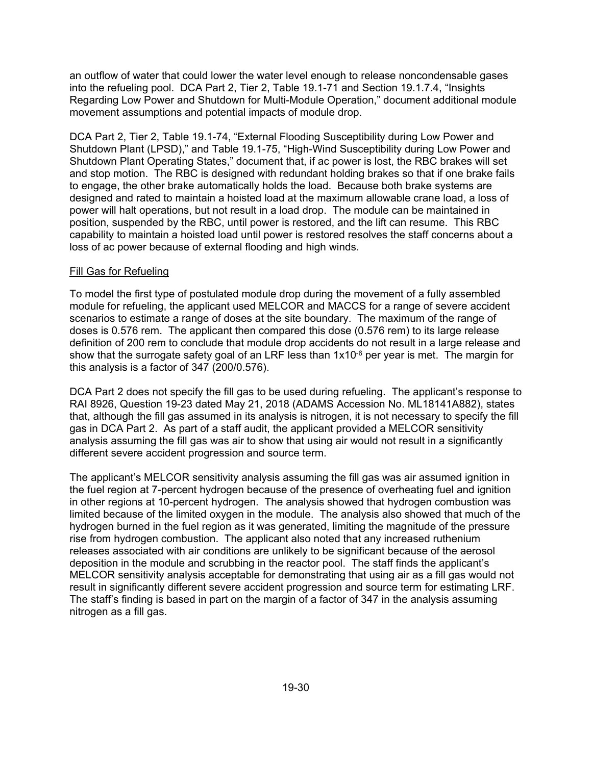an outflow of water that could lower the water level enough to release noncondensable gases into the refueling pool. DCA Part 2, Tier 2, Table 19.1-71 and Section 19.1.7.4, "Insights Regarding Low Power and Shutdown for Multi-Module Operation," document additional module movement assumptions and potential impacts of module drop.

DCA Part 2, Tier 2, Table 19.1-74, "External Flooding Susceptibility during Low Power and Shutdown Plant (LPSD)," and Table 19.1-75, "High-Wind Susceptibility during Low Power and Shutdown Plant Operating States," document that, if ac power is lost, the RBC brakes will set and stop motion. The RBC is designed with redundant holding brakes so that if one brake fails to engage, the other brake automatically holds the load. Because both brake systems are designed and rated to maintain a hoisted load at the maximum allowable crane load, a loss of power will halt operations, but not result in a load drop. The module can be maintained in position, suspended by the RBC, until power is restored, and the lift can resume. This RBC capability to maintain a hoisted load until power is restored resolves the staff concerns about a loss of ac power because of external flooding and high winds.

#### Fill Gas for Refueling

To model the first type of postulated module drop during the movement of a fully assembled module for refueling, the applicant used MELCOR and MACCS for a range of severe accident scenarios to estimate a range of doses at the site boundary. The maximum of the range of doses is 0.576 rem. The applicant then compared this dose (0.576 rem) to its large release definition of 200 rem to conclude that module drop accidents do not result in a large release and show that the surrogate safety goal of an LRF less than  $1x10^{-6}$  per year is met. The margin for this analysis is a factor of 347 (200/0.576).

DCA Part 2 does not specify the fill gas to be used during refueling. The applicant's response to RAI 8926, Question 19-23 dated May 21, 2018 (ADAMS Accession No. ML18141A882), states that, although the fill gas assumed in its analysis is nitrogen, it is not necessary to specify the fill gas in DCA Part 2. As part of a staff audit, the applicant provided a MELCOR sensitivity analysis assuming the fill gas was air to show that using air would not result in a significantly different severe accident progression and source term.

The applicant's MELCOR sensitivity analysis assuming the fill gas was air assumed ignition in the fuel region at 7-percent hydrogen because of the presence of overheating fuel and ignition in other regions at 10-percent hydrogen. The analysis showed that hydrogen combustion was limited because of the limited oxygen in the module. The analysis also showed that much of the hydrogen burned in the fuel region as it was generated, limiting the magnitude of the pressure rise from hydrogen combustion. The applicant also noted that any increased ruthenium releases associated with air conditions are unlikely to be significant because of the aerosol deposition in the module and scrubbing in the reactor pool. The staff finds the applicant's MELCOR sensitivity analysis acceptable for demonstrating that using air as a fill gas would not result in significantly different severe accident progression and source term for estimating LRF. The staff's finding is based in part on the margin of a factor of 347 in the analysis assuming nitrogen as a fill gas.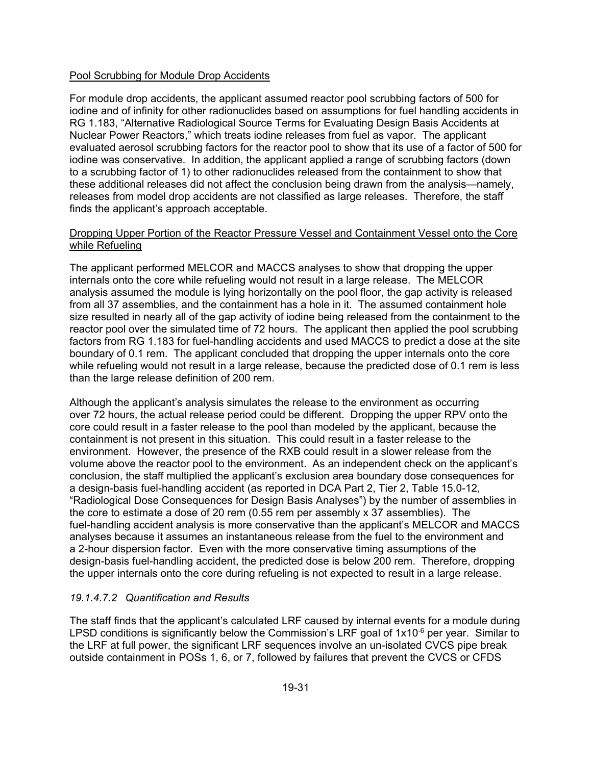#### Pool Scrubbing for Module Drop Accidents

For module drop accidents, the applicant assumed reactor pool scrubbing factors of 500 for iodine and of infinity for other radionuclides based on assumptions for fuel handling accidents in RG 1.183, "Alternative Radiological Source Terms for Evaluating Design Basis Accidents at Nuclear Power Reactors," which treats iodine releases from fuel as vapor. The applicant evaluated aerosol scrubbing factors for the reactor pool to show that its use of a factor of 500 for iodine was conservative. In addition, the applicant applied a range of scrubbing factors (down to a scrubbing factor of 1) to other radionuclides released from the containment to show that these additional releases did not affect the conclusion being drawn from the analysis—namely, releases from model drop accidents are not classified as large releases. Therefore, the staff finds the applicant's approach acceptable.

#### Dropping Upper Portion of the Reactor Pressure Vessel and Containment Vessel onto the Core while Refueling

The applicant performed MELCOR and MACCS analyses to show that dropping the upper internals onto the core while refueling would not result in a large release. The MELCOR analysis assumed the module is lying horizontally on the pool floor, the gap activity is released from all 37 assemblies, and the containment has a hole in it. The assumed containment hole size resulted in nearly all of the gap activity of iodine being released from the containment to the reactor pool over the simulated time of 72 hours. The applicant then applied the pool scrubbing factors from RG 1.183 for fuel-handling accidents and used MACCS to predict a dose at the site boundary of 0.1 rem. The applicant concluded that dropping the upper internals onto the core while refueling would not result in a large release, because the predicted dose of 0.1 rem is less than the large release definition of 200 rem.

Although the applicant's analysis simulates the release to the environment as occurring over 72 hours, the actual release period could be different. Dropping the upper RPV onto the core could result in a faster release to the pool than modeled by the applicant, because the containment is not present in this situation. This could result in a faster release to the environment. However, the presence of the RXB could result in a slower release from the volume above the reactor pool to the environment. As an independent check on the applicant's conclusion, the staff multiplied the applicant's exclusion area boundary dose consequences for a design-basis fuel-handling accident (as reported in DCA Part 2, Tier 2, Table 15.0-12, "Radiological Dose Consequences for Design Basis Analyses") by the number of assemblies in the core to estimate a dose of 20 rem (0.55 rem per assembly x 37 assemblies). The fuel-handling accident analysis is more conservative than the applicant's MELCOR and MACCS analyses because it assumes an instantaneous release from the fuel to the environment and a 2-hour dispersion factor. Even with the more conservative timing assumptions of the design-basis fuel-handling accident, the predicted dose is below 200 rem. Therefore, dropping the upper internals onto the core during refueling is not expected to result in a large release.

### *19.1.4.7.2 Quantification and Results*

The staff finds that the applicant's calculated LRF caused by internal events for a module during LPSD conditions is significantly below the Commission's LRF goal of  $1x10^{-6}$  per year. Similar to the LRF at full power, the significant LRF sequences involve an un-isolated CVCS pipe break outside containment in POSs 1, 6, or 7, followed by failures that prevent the CVCS or CFDS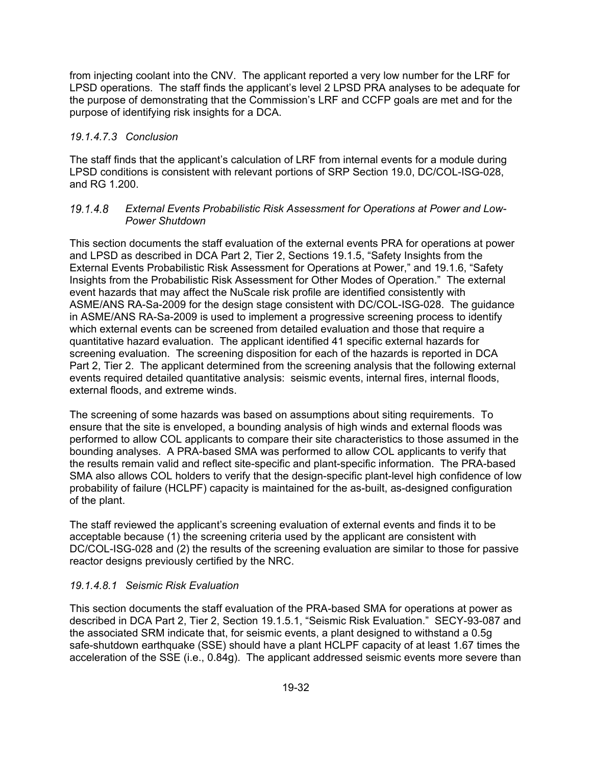from injecting coolant into the CNV. The applicant reported a very low number for the LRF for LPSD operations. The staff finds the applicant's level 2 LPSD PRA analyses to be adequate for the purpose of demonstrating that the Commission's LRF and CCFP goals are met and for the purpose of identifying risk insights for a DCA.

### *19.1.4.7.3 Conclusion*

The staff finds that the applicant's calculation of LRF from internal events for a module during LPSD conditions is consistent with relevant portions of SRP Section 19.0, DC/COL-ISG-028, and RG 1.200.

#### *External Events Probabilistic Risk Assessment for Operations at Power and Low-Power Shutdown*

This section documents the staff evaluation of the external events PRA for operations at power and LPSD as described in DCA Part 2, Tier 2, Sections 19.1.5, "Safety Insights from the External Events Probabilistic Risk Assessment for Operations at Power," and 19.1.6, "Safety Insights from the Probabilistic Risk Assessment for Other Modes of Operation." The external event hazards that may affect the NuScale risk profile are identified consistently with ASME/ANS RA-Sa-2009 for the design stage consistent with DC/COL-ISG-028. The guidance in ASME/ANS RA-Sa-2009 is used to implement a progressive screening process to identify which external events can be screened from detailed evaluation and those that require a quantitative hazard evaluation. The applicant identified 41 specific external hazards for screening evaluation. The screening disposition for each of the hazards is reported in DCA Part 2, Tier 2. The applicant determined from the screening analysis that the following external events required detailed quantitative analysis: seismic events, internal fires, internal floods, external floods, and extreme winds.

The screening of some hazards was based on assumptions about siting requirements. To ensure that the site is enveloped, a bounding analysis of high winds and external floods was performed to allow COL applicants to compare their site characteristics to those assumed in the bounding analyses. A PRA-based SMA was performed to allow COL applicants to verify that the results remain valid and reflect site-specific and plant-specific information. The PRA-based SMA also allows COL holders to verify that the design-specific plant-level high confidence of low probability of failure (HCLPF) capacity is maintained for the as-built, as-designed configuration of the plant.

The staff reviewed the applicant's screening evaluation of external events and finds it to be acceptable because (1) the screening criteria used by the applicant are consistent with DC/COL-ISG-028 and (2) the results of the screening evaluation are similar to those for passive reactor designs previously certified by the NRC.

### *19.1.4.8.1 Seismic Risk Evaluation*

This section documents the staff evaluation of the PRA-based SMA for operations at power as described in DCA Part 2, Tier 2, Section 19.1.5.1, "Seismic Risk Evaluation." SECY-93-087 and the associated SRM indicate that, for seismic events, a plant designed to withstand a 0.5g safe-shutdown earthquake (SSE) should have a plant HCLPF capacity of at least 1.67 times the acceleration of the SSE (i.e., 0.84g). The applicant addressed seismic events more severe than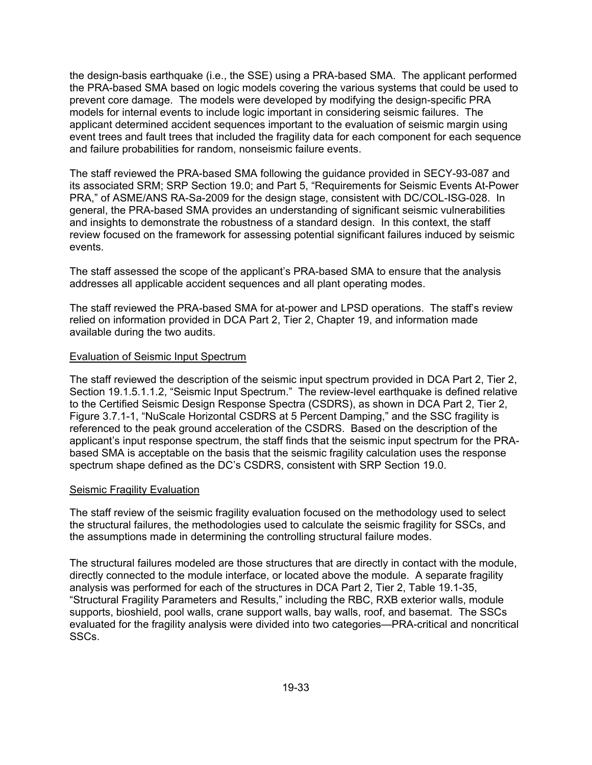the design-basis earthquake (i.e., the SSE) using a PRA-based SMA. The applicant performed the PRA-based SMA based on logic models covering the various systems that could be used to prevent core damage. The models were developed by modifying the design-specific PRA models for internal events to include logic important in considering seismic failures. The applicant determined accident sequences important to the evaluation of seismic margin using event trees and fault trees that included the fragility data for each component for each sequence and failure probabilities for random, nonseismic failure events.

The staff reviewed the PRA-based SMA following the guidance provided in SECY-93-087 and its associated SRM; SRP Section 19.0; and Part 5, "Requirements for Seismic Events At-Power PRA," of ASME/ANS RA-Sa-2009 for the design stage, consistent with DC/COL-ISG-028. In general, the PRA-based SMA provides an understanding of significant seismic vulnerabilities and insights to demonstrate the robustness of a standard design. In this context, the staff review focused on the framework for assessing potential significant failures induced by seismic events.

The staff assessed the scope of the applicant's PRA-based SMA to ensure that the analysis addresses all applicable accident sequences and all plant operating modes.

The staff reviewed the PRA-based SMA for at-power and LPSD operations. The staff's review relied on information provided in DCA Part 2, Tier 2, Chapter 19, and information made available during the two audits.

#### Evaluation of Seismic Input Spectrum

The staff reviewed the description of the seismic input spectrum provided in DCA Part 2, Tier 2, Section 19.1.5.1.1.2, "Seismic Input Spectrum." The review-level earthquake is defined relative to the Certified Seismic Design Response Spectra (CSDRS), as shown in DCA Part 2, Tier 2, Figure 3.7.1-1, "NuScale Horizontal CSDRS at 5 Percent Damping," and the SSC fragility is referenced to the peak ground acceleration of the CSDRS. Based on the description of the applicant's input response spectrum, the staff finds that the seismic input spectrum for the PRAbased SMA is acceptable on the basis that the seismic fragility calculation uses the response spectrum shape defined as the DC's CSDRS, consistent with SRP Section 19.0.

#### Seismic Fragility Evaluation

The staff review of the seismic fragility evaluation focused on the methodology used to select the structural failures, the methodologies used to calculate the seismic fragility for SSCs, and the assumptions made in determining the controlling structural failure modes.

The structural failures modeled are those structures that are directly in contact with the module, directly connected to the module interface, or located above the module. A separate fragility analysis was performed for each of the structures in DCA Part 2, Tier 2, Table 19.1-35, "Structural Fragility Parameters and Results," including the RBC, RXB exterior walls, module supports, bioshield, pool walls, crane support walls, bay walls, roof, and basemat. The SSCs evaluated for the fragility analysis were divided into two categories—PRA-critical and noncritical SSCs.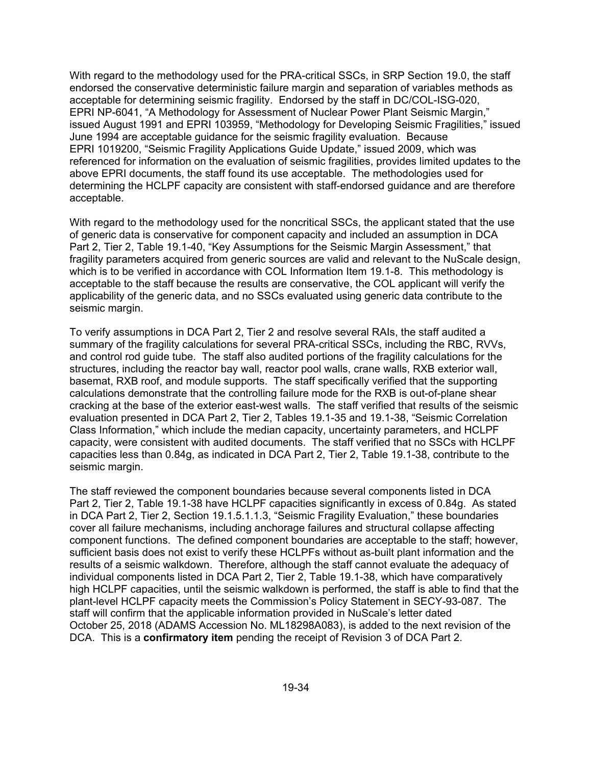With regard to the methodology used for the PRA-critical SSCs, in SRP Section 19.0, the staff endorsed the conservative deterministic failure margin and separation of variables methods as acceptable for determining seismic fragility. Endorsed by the staff in DC/COL-ISG-020, EPRI NP-6041, "A Methodology for Assessment of Nuclear Power Plant Seismic Margin," issued August 1991 and EPRI 103959, "Methodology for Developing Seismic Fragilities," issued June 1994 are acceptable guidance for the seismic fragility evaluation. Because EPRI 1019200, "Seismic Fragility Applications Guide Update," issued 2009, which was referenced for information on the evaluation of seismic fragilities, provides limited updates to the above EPRI documents, the staff found its use acceptable. The methodologies used for determining the HCLPF capacity are consistent with staff-endorsed guidance and are therefore acceptable.

With regard to the methodology used for the noncritical SSCs, the applicant stated that the use of generic data is conservative for component capacity and included an assumption in DCA Part 2, Tier 2, Table 19.1-40, "Key Assumptions for the Seismic Margin Assessment," that fragility parameters acquired from generic sources are valid and relevant to the NuScale design, which is to be verified in accordance with COL Information Item 19.1-8. This methodology is acceptable to the staff because the results are conservative, the COL applicant will verify the applicability of the generic data, and no SSCs evaluated using generic data contribute to the seismic margin.

To verify assumptions in DCA Part 2, Tier 2 and resolve several RAIs, the staff audited a summary of the fragility calculations for several PRA-critical SSCs, including the RBC, RVVs, and control rod guide tube. The staff also audited portions of the fragility calculations for the structures, including the reactor bay wall, reactor pool walls, crane walls, RXB exterior wall, basemat, RXB roof, and module supports. The staff specifically verified that the supporting calculations demonstrate that the controlling failure mode for the RXB is out-of-plane shear cracking at the base of the exterior east-west walls. The staff verified that results of the seismic evaluation presented in DCA Part 2, Tier 2, Tables 19.1-35 and 19.1-38, "Seismic Correlation Class Information," which include the median capacity, uncertainty parameters, and HCLPF capacity, were consistent with audited documents. The staff verified that no SSCs with HCLPF capacities less than 0.84g, as indicated in DCA Part 2, Tier 2, Table 19.1-38, contribute to the seismic margin.

The staff reviewed the component boundaries because several components listed in DCA Part 2, Tier 2, Table 19.1-38 have HCLPF capacities significantly in excess of 0.84g. As stated in DCA Part 2, Tier 2, Section 19.1.5.1.1.3, "Seismic Fragility Evaluation," these boundaries cover all failure mechanisms, including anchorage failures and structural collapse affecting component functions. The defined component boundaries are acceptable to the staff; however, sufficient basis does not exist to verify these HCLPFs without as-built plant information and the results of a seismic walkdown. Therefore, although the staff cannot evaluate the adequacy of individual components listed in DCA Part 2, Tier 2, Table 19.1-38, which have comparatively high HCLPF capacities, until the seismic walkdown is performed, the staff is able to find that the plant-level HCLPF capacity meets the Commission's Policy Statement in SECY-93-087. The staff will confirm that the applicable information provided in NuScale's letter dated October 25, 2018 (ADAMS Accession No. ML18298A083), is added to the next revision of the DCA. This is a **confirmatory item** pending the receipt of Revision 3 of DCA Part 2.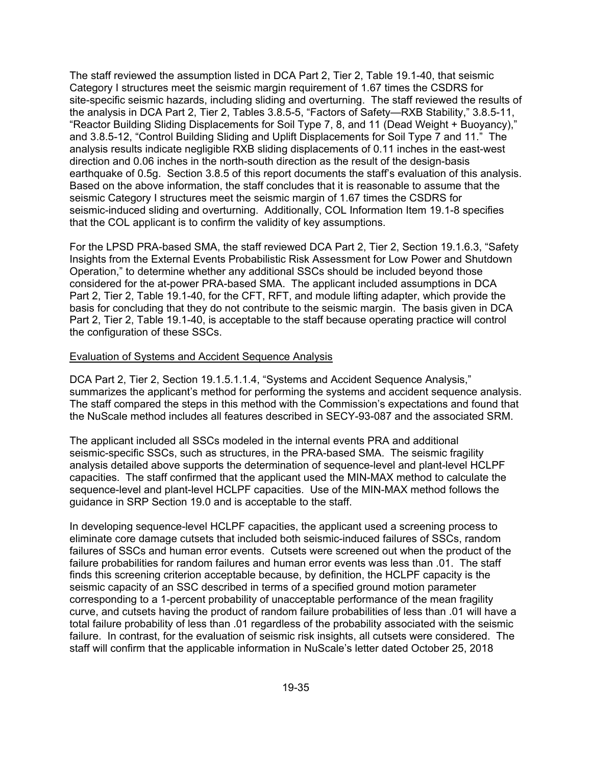The staff reviewed the assumption listed in DCA Part 2, Tier 2, Table 19.1-40, that seismic Category I structures meet the seismic margin requirement of 1.67 times the CSDRS for site-specific seismic hazards, including sliding and overturning. The staff reviewed the results of the analysis in DCA Part 2, Tier 2, Tables 3.8.5-5, "Factors of Safety—RXB Stability," 3.8.5-11, "Reactor Building Sliding Displacements for Soil Type 7, 8, and 11 (Dead Weight + Buoyancy)," and 3.8.5-12, "Control Building Sliding and Uplift Displacements for Soil Type 7 and 11." The analysis results indicate negligible RXB sliding displacements of 0.11 inches in the east-west direction and 0.06 inches in the north-south direction as the result of the design-basis earthquake of 0.5g. Section 3.8.5 of this report documents the staff's evaluation of this analysis. Based on the above information, the staff concludes that it is reasonable to assume that the seismic Category I structures meet the seismic margin of 1.67 times the CSDRS for seismic-induced sliding and overturning. Additionally, COL Information Item 19.1-8 specifies that the COL applicant is to confirm the validity of key assumptions.

For the LPSD PRA-based SMA, the staff reviewed DCA Part 2, Tier 2, Section 19.1.6.3, "Safety Insights from the External Events Probabilistic Risk Assessment for Low Power and Shutdown Operation," to determine whether any additional SSCs should be included beyond those considered for the at-power PRA-based SMA. The applicant included assumptions in DCA Part 2, Tier 2, Table 19.1-40, for the CFT, RFT, and module lifting adapter, which provide the basis for concluding that they do not contribute to the seismic margin. The basis given in DCA Part 2, Tier 2, Table 19.1-40, is acceptable to the staff because operating practice will control the configuration of these SSCs.

#### Evaluation of Systems and Accident Sequence Analysis

DCA Part 2, Tier 2, Section 19.1.5.1.1.4, "Systems and Accident Sequence Analysis," summarizes the applicant's method for performing the systems and accident sequence analysis. The staff compared the steps in this method with the Commission's expectations and found that the NuScale method includes all features described in SECY-93-087 and the associated SRM.

The applicant included all SSCs modeled in the internal events PRA and additional seismic-specific SSCs, such as structures, in the PRA-based SMA. The seismic fragility analysis detailed above supports the determination of sequence-level and plant-level HCLPF capacities. The staff confirmed that the applicant used the MIN-MAX method to calculate the sequence-level and plant-level HCLPF capacities. Use of the MIN-MAX method follows the guidance in SRP Section 19.0 and is acceptable to the staff.

In developing sequence-level HCLPF capacities, the applicant used a screening process to eliminate core damage cutsets that included both seismic-induced failures of SSCs, random failures of SSCs and human error events. Cutsets were screened out when the product of the failure probabilities for random failures and human error events was less than .01. The staff finds this screening criterion acceptable because, by definition, the HCLPF capacity is the seismic capacity of an SSC described in terms of a specified ground motion parameter corresponding to a 1-percent probability of unacceptable performance of the mean fragility curve, and cutsets having the product of random failure probabilities of less than .01 will have a total failure probability of less than .01 regardless of the probability associated with the seismic failure. In contrast, for the evaluation of seismic risk insights, all cutsets were considered. The staff will confirm that the applicable information in NuScale's letter dated October 25, 2018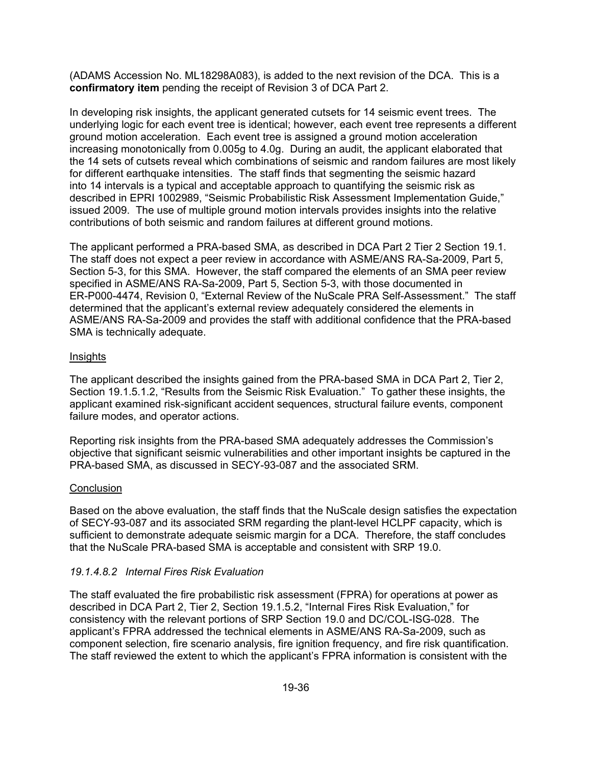(ADAMS Accession No. ML18298A083), is added to the next revision of the DCA. This is a **confirmatory item** pending the receipt of Revision 3 of DCA Part 2.

In developing risk insights, the applicant generated cutsets for 14 seismic event trees. The underlying logic for each event tree is identical; however, each event tree represents a different ground motion acceleration. Each event tree is assigned a ground motion acceleration increasing monotonically from 0.005g to 4.0g. During an audit, the applicant elaborated that the 14 sets of cutsets reveal which combinations of seismic and random failures are most likely for different earthquake intensities. The staff finds that segmenting the seismic hazard into 14 intervals is a typical and acceptable approach to quantifying the seismic risk as described in EPRI 1002989, "Seismic Probabilistic Risk Assessment Implementation Guide," issued 2009. The use of multiple ground motion intervals provides insights into the relative contributions of both seismic and random failures at different ground motions.

The applicant performed a PRA-based SMA, as described in DCA Part 2 Tier 2 Section 19.1. The staff does not expect a peer review in accordance with ASME/ANS RA-Sa-2009, Part 5, Section 5-3, for this SMA. However, the staff compared the elements of an SMA peer review specified in ASME/ANS RA-Sa-2009, Part 5, Section 5-3, with those documented in ER-P000-4474, Revision 0, "External Review of the NuScale PRA Self-Assessment." The staff determined that the applicant's external review adequately considered the elements in ASME/ANS RA-Sa-2009 and provides the staff with additional confidence that the PRA-based SMA is technically adequate.

#### Insights

The applicant described the insights gained from the PRA-based SMA in DCA Part 2, Tier 2, Section 19.1.5.1.2, "Results from the Seismic Risk Evaluation." To gather these insights, the applicant examined risk-significant accident sequences, structural failure events, component failure modes, and operator actions.

Reporting risk insights from the PRA-based SMA adequately addresses the Commission's objective that significant seismic vulnerabilities and other important insights be captured in the PRA-based SMA, as discussed in SECY-93-087 and the associated SRM.

### **Conclusion**

Based on the above evaluation, the staff finds that the NuScale design satisfies the expectation of SECY-93-087 and its associated SRM regarding the plant-level HCLPF capacity, which is sufficient to demonstrate adequate seismic margin for a DCA. Therefore, the staff concludes that the NuScale PRA-based SMA is acceptable and consistent with SRP 19.0.

### *19.1.4.8.2 Internal Fires Risk Evaluation*

The staff evaluated the fire probabilistic risk assessment (FPRA) for operations at power as described in DCA Part 2, Tier 2, Section 19.1.5.2, "Internal Fires Risk Evaluation," for consistency with the relevant portions of SRP Section 19.0 and DC/COL-ISG-028. The applicant's FPRA addressed the technical elements in ASME/ANS RA-Sa-2009, such as component selection, fire scenario analysis, fire ignition frequency, and fire risk quantification. The staff reviewed the extent to which the applicant's FPRA information is consistent with the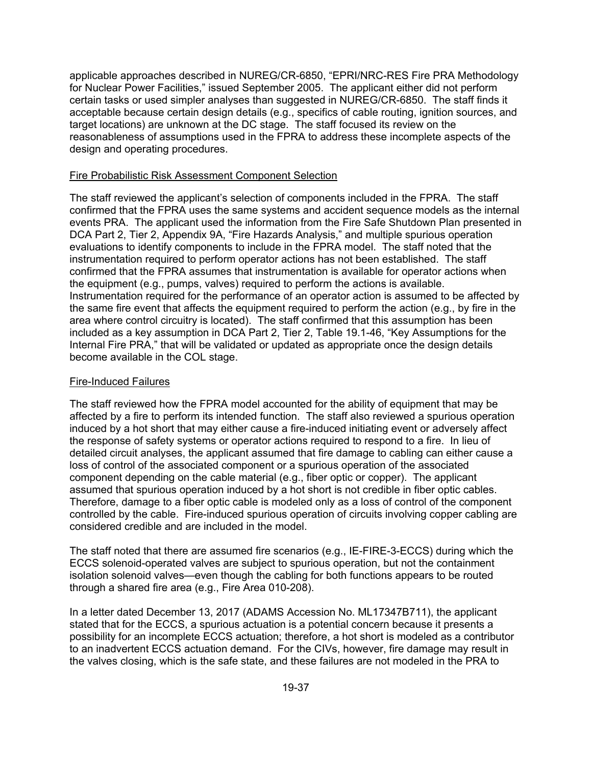applicable approaches described in NUREG/CR-6850, "EPRI/NRC-RES Fire PRA Methodology for Nuclear Power Facilities," issued September 2005. The applicant either did not perform certain tasks or used simpler analyses than suggested in NUREG/CR-6850. The staff finds it acceptable because certain design details (e.g., specifics of cable routing, ignition sources, and target locations) are unknown at the DC stage. The staff focused its review on the reasonableness of assumptions used in the FPRA to address these incomplete aspects of the design and operating procedures.

#### Fire Probabilistic Risk Assessment Component Selection

The staff reviewed the applicant's selection of components included in the FPRA. The staff confirmed that the FPRA uses the same systems and accident sequence models as the internal events PRA. The applicant used the information from the Fire Safe Shutdown Plan presented in DCA Part 2, Tier 2, Appendix 9A, "Fire Hazards Analysis," and multiple spurious operation evaluations to identify components to include in the FPRA model. The staff noted that the instrumentation required to perform operator actions has not been established. The staff confirmed that the FPRA assumes that instrumentation is available for operator actions when the equipment (e.g., pumps, valves) required to perform the actions is available. Instrumentation required for the performance of an operator action is assumed to be affected by the same fire event that affects the equipment required to perform the action (e.g., by fire in the area where control circuitry is located). The staff confirmed that this assumption has been included as a key assumption in DCA Part 2, Tier 2, Table 19.1-46, "Key Assumptions for the Internal Fire PRA," that will be validated or updated as appropriate once the design details become available in the COL stage.

#### Fire-Induced Failures

The staff reviewed how the FPRA model accounted for the ability of equipment that may be affected by a fire to perform its intended function. The staff also reviewed a spurious operation induced by a hot short that may either cause a fire-induced initiating event or adversely affect the response of safety systems or operator actions required to respond to a fire. In lieu of detailed circuit analyses, the applicant assumed that fire damage to cabling can either cause a loss of control of the associated component or a spurious operation of the associated component depending on the cable material (e.g., fiber optic or copper). The applicant assumed that spurious operation induced by a hot short is not credible in fiber optic cables. Therefore, damage to a fiber optic cable is modeled only as a loss of control of the component controlled by the cable. Fire-induced spurious operation of circuits involving copper cabling are considered credible and are included in the model.

The staff noted that there are assumed fire scenarios (e.g., IE-FIRE-3-ECCS) during which the ECCS solenoid-operated valves are subject to spurious operation, but not the containment isolation solenoid valves—even though the cabling for both functions appears to be routed through a shared fire area (e.g., Fire Area 010-208).

In a letter dated December 13, 2017 (ADAMS Accession No. ML17347B711), the applicant stated that for the ECCS, a spurious actuation is a potential concern because it presents a possibility for an incomplete ECCS actuation; therefore, a hot short is modeled as a contributor to an inadvertent ECCS actuation demand. For the CIVs, however, fire damage may result in the valves closing, which is the safe state, and these failures are not modeled in the PRA to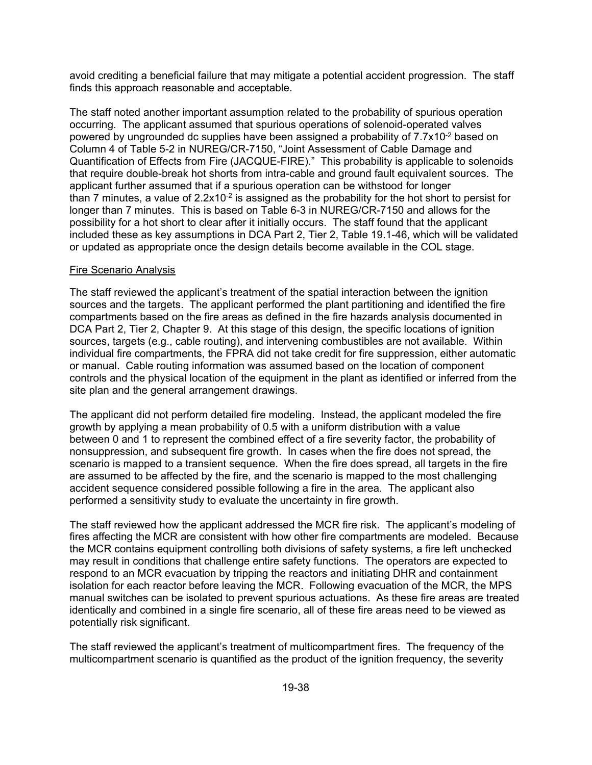avoid crediting a beneficial failure that may mitigate a potential accident progression. The staff finds this approach reasonable and acceptable.

The staff noted another important assumption related to the probability of spurious operation occurring. The applicant assumed that spurious operations of solenoid-operated valves powered by ungrounded dc supplies have been assigned a probability of 7.7x10<sup>-2</sup> based on Column 4 of Table 5-2 in NUREG/CR-7150, "Joint Assessment of Cable Damage and Quantification of Effects from Fire (JACQUE-FIRE)." This probability is applicable to solenoids that require double-break hot shorts from intra-cable and ground fault equivalent sources. The applicant further assumed that if a spurious operation can be withstood for longer than 7 minutes, a value of  $2.2x10^{-2}$  is assigned as the probability for the hot short to persist for longer than 7 minutes. This is based on Table 6-3 in NUREG/CR-7150 and allows for the possibility for a hot short to clear after it initially occurs. The staff found that the applicant included these as key assumptions in DCA Part 2, Tier 2, Table 19.1-46, which will be validated or updated as appropriate once the design details become available in the COL stage.

#### Fire Scenario Analysis

The staff reviewed the applicant's treatment of the spatial interaction between the ignition sources and the targets. The applicant performed the plant partitioning and identified the fire compartments based on the fire areas as defined in the fire hazards analysis documented in DCA Part 2, Tier 2, Chapter 9. At this stage of this design, the specific locations of ignition sources, targets (e.g., cable routing), and intervening combustibles are not available. Within individual fire compartments, the FPRA did not take credit for fire suppression, either automatic or manual. Cable routing information was assumed based on the location of component controls and the physical location of the equipment in the plant as identified or inferred from the site plan and the general arrangement drawings.

The applicant did not perform detailed fire modeling. Instead, the applicant modeled the fire growth by applying a mean probability of 0.5 with a uniform distribution with a value between 0 and 1 to represent the combined effect of a fire severity factor, the probability of nonsuppression, and subsequent fire growth. In cases when the fire does not spread, the scenario is mapped to a transient sequence. When the fire does spread, all targets in the fire are assumed to be affected by the fire, and the scenario is mapped to the most challenging accident sequence considered possible following a fire in the area. The applicant also performed a sensitivity study to evaluate the uncertainty in fire growth.

The staff reviewed how the applicant addressed the MCR fire risk. The applicant's modeling of fires affecting the MCR are consistent with how other fire compartments are modeled. Because the MCR contains equipment controlling both divisions of safety systems, a fire left unchecked may result in conditions that challenge entire safety functions. The operators are expected to respond to an MCR evacuation by tripping the reactors and initiating DHR and containment isolation for each reactor before leaving the MCR. Following evacuation of the MCR, the MPS manual switches can be isolated to prevent spurious actuations. As these fire areas are treated identically and combined in a single fire scenario, all of these fire areas need to be viewed as potentially risk significant.

The staff reviewed the applicant's treatment of multicompartment fires. The frequency of the multicompartment scenario is quantified as the product of the ignition frequency, the severity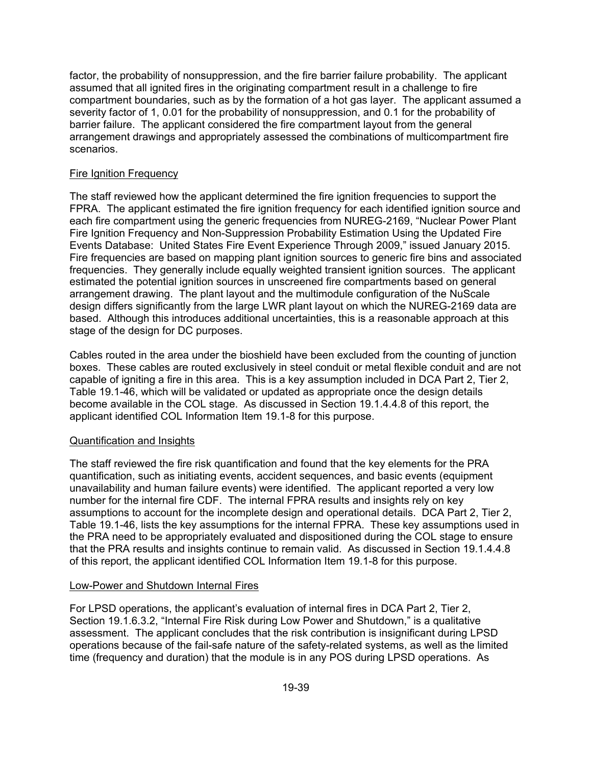factor, the probability of nonsuppression, and the fire barrier failure probability. The applicant assumed that all ignited fires in the originating compartment result in a challenge to fire compartment boundaries, such as by the formation of a hot gas layer. The applicant assumed a severity factor of 1, 0.01 for the probability of nonsuppression, and 0.1 for the probability of barrier failure. The applicant considered the fire compartment layout from the general arrangement drawings and appropriately assessed the combinations of multicompartment fire scenarios.

### Fire Ignition Frequency

The staff reviewed how the applicant determined the fire ignition frequencies to support the FPRA. The applicant estimated the fire ignition frequency for each identified ignition source and each fire compartment using the generic frequencies from NUREG-2169, "Nuclear Power Plant Fire Ignition Frequency and Non-Suppression Probability Estimation Using the Updated Fire Events Database: United States Fire Event Experience Through 2009," issued January 2015. Fire frequencies are based on mapping plant ignition sources to generic fire bins and associated frequencies. They generally include equally weighted transient ignition sources. The applicant estimated the potential ignition sources in unscreened fire compartments based on general arrangement drawing. The plant layout and the multimodule configuration of the NuScale design differs significantly from the large LWR plant layout on which the NUREG-2169 data are based. Although this introduces additional uncertainties, this is a reasonable approach at this stage of the design for DC purposes.

Cables routed in the area under the bioshield have been excluded from the counting of junction boxes. These cables are routed exclusively in steel conduit or metal flexible conduit and are not capable of igniting a fire in this area. This is a key assumption included in DCA Part 2, Tier 2, Table 19.1-46, which will be validated or updated as appropriate once the design details become available in the COL stage. As discussed in Section 19.1.4.4.8 of this report, the applicant identified COL Information Item 19.1-8 for this purpose.

### Quantification and Insights

The staff reviewed the fire risk quantification and found that the key elements for the PRA quantification, such as initiating events, accident sequences, and basic events (equipment unavailability and human failure events) were identified. The applicant reported a very low number for the internal fire CDF. The internal FPRA results and insights rely on key assumptions to account for the incomplete design and operational details. DCA Part 2, Tier 2, Table 19.1-46, lists the key assumptions for the internal FPRA. These key assumptions used in the PRA need to be appropriately evaluated and dispositioned during the COL stage to ensure that the PRA results and insights continue to remain valid. As discussed in Section 19.1.4.4.8 of this report, the applicant identified COL Information Item 19.1-8 for this purpose.

### Low-Power and Shutdown Internal Fires

For LPSD operations, the applicant's evaluation of internal fires in DCA Part 2, Tier 2, Section 19.1.6.3.2, "Internal Fire Risk during Low Power and Shutdown," is a qualitative assessment. The applicant concludes that the risk contribution is insignificant during LPSD operations because of the fail-safe nature of the safety-related systems, as well as the limited time (frequency and duration) that the module is in any POS during LPSD operations. As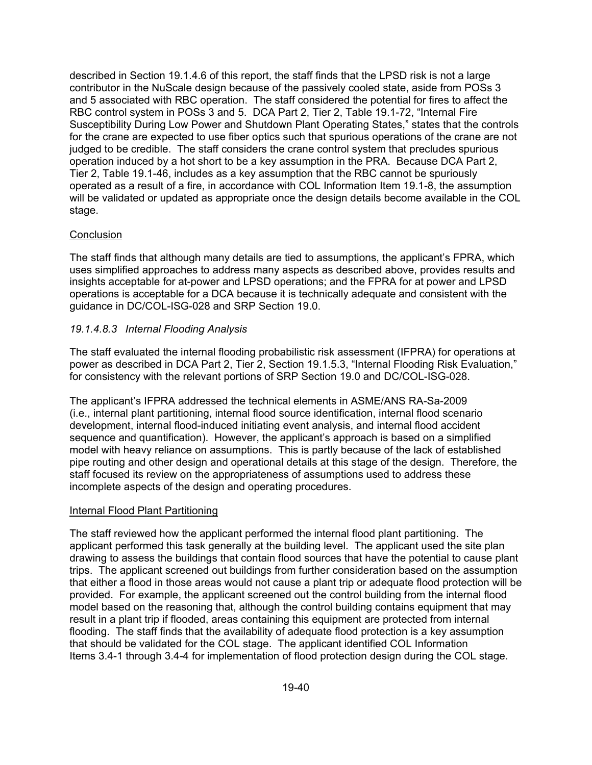described in Section 19.1.4.6 of this report, the staff finds that the LPSD risk is not a large contributor in the NuScale design because of the passively cooled state, aside from POSs 3 and 5 associated with RBC operation. The staff considered the potential for fires to affect the RBC control system in POSs 3 and 5. DCA Part 2, Tier 2, Table 19.1-72, "Internal Fire Susceptibility During Low Power and Shutdown Plant Operating States," states that the controls for the crane are expected to use fiber optics such that spurious operations of the crane are not judged to be credible. The staff considers the crane control system that precludes spurious operation induced by a hot short to be a key assumption in the PRA. Because DCA Part 2, Tier 2, Table 19.1-46, includes as a key assumption that the RBC cannot be spuriously operated as a result of a fire, in accordance with COL Information Item 19.1-8, the assumption will be validated or updated as appropriate once the design details become available in the COL stage.

### **Conclusion**

The staff finds that although many details are tied to assumptions, the applicant's FPRA, which uses simplified approaches to address many aspects as described above, provides results and insights acceptable for at-power and LPSD operations; and the FPRA for at power and LPSD operations is acceptable for a DCA because it is technically adequate and consistent with the guidance in DC/COL-ISG-028 and SRP Section 19.0.

### *19.1.4.8.3 Internal Flooding Analysis*

The staff evaluated the internal flooding probabilistic risk assessment (IFPRA) for operations at power as described in DCA Part 2, Tier 2, Section 19.1.5.3, "Internal Flooding Risk Evaluation," for consistency with the relevant portions of SRP Section 19.0 and DC/COL-ISG-028.

The applicant's IFPRA addressed the technical elements in ASME/ANS RA-Sa-2009 (i.e., internal plant partitioning, internal flood source identification, internal flood scenario development, internal flood-induced initiating event analysis, and internal flood accident sequence and quantification). However, the applicant's approach is based on a simplified model with heavy reliance on assumptions. This is partly because of the lack of established pipe routing and other design and operational details at this stage of the design. Therefore, the staff focused its review on the appropriateness of assumptions used to address these incomplete aspects of the design and operating procedures.

### Internal Flood Plant Partitioning

The staff reviewed how the applicant performed the internal flood plant partitioning. The applicant performed this task generally at the building level. The applicant used the site plan drawing to assess the buildings that contain flood sources that have the potential to cause plant trips. The applicant screened out buildings from further consideration based on the assumption that either a flood in those areas would not cause a plant trip or adequate flood protection will be provided. For example, the applicant screened out the control building from the internal flood model based on the reasoning that, although the control building contains equipment that may result in a plant trip if flooded, areas containing this equipment are protected from internal flooding. The staff finds that the availability of adequate flood protection is a key assumption that should be validated for the COL stage. The applicant identified COL Information Items 3.4-1 through 3.4-4 for implementation of flood protection design during the COL stage.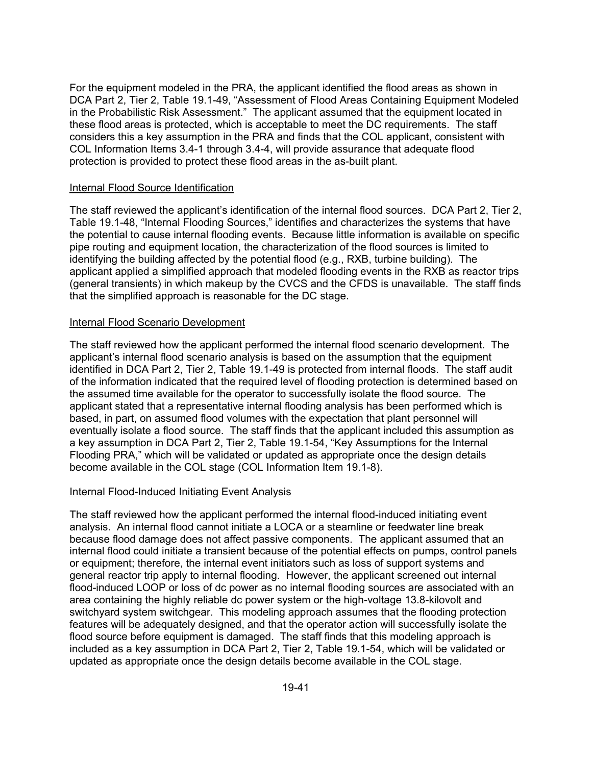For the equipment modeled in the PRA, the applicant identified the flood areas as shown in DCA Part 2, Tier 2, Table 19.1-49, "Assessment of Flood Areas Containing Equipment Modeled in the Probabilistic Risk Assessment." The applicant assumed that the equipment located in these flood areas is protected, which is acceptable to meet the DC requirements. The staff considers this a key assumption in the PRA and finds that the COL applicant, consistent with COL Information Items 3.4-1 through 3.4-4, will provide assurance that adequate flood protection is provided to protect these flood areas in the as-built plant.

#### Internal Flood Source Identification

The staff reviewed the applicant's identification of the internal flood sources. DCA Part 2, Tier 2, Table 19.1-48, "Internal Flooding Sources," identifies and characterizes the systems that have the potential to cause internal flooding events. Because little information is available on specific pipe routing and equipment location, the characterization of the flood sources is limited to identifying the building affected by the potential flood (e.g., RXB, turbine building). The applicant applied a simplified approach that modeled flooding events in the RXB as reactor trips (general transients) in which makeup by the CVCS and the CFDS is unavailable. The staff finds that the simplified approach is reasonable for the DC stage.

#### Internal Flood Scenario Development

The staff reviewed how the applicant performed the internal flood scenario development. The applicant's internal flood scenario analysis is based on the assumption that the equipment identified in DCA Part 2, Tier 2, Table 19.1-49 is protected from internal floods. The staff audit of the information indicated that the required level of flooding protection is determined based on the assumed time available for the operator to successfully isolate the flood source. The applicant stated that a representative internal flooding analysis has been performed which is based, in part, on assumed flood volumes with the expectation that plant personnel will eventually isolate a flood source. The staff finds that the applicant included this assumption as a key assumption in DCA Part 2, Tier 2, Table 19.1-54, "Key Assumptions for the Internal Flooding PRA," which will be validated or updated as appropriate once the design details become available in the COL stage (COL Information Item 19.1-8).

#### Internal Flood-Induced Initiating Event Analysis

The staff reviewed how the applicant performed the internal flood-induced initiating event analysis. An internal flood cannot initiate a LOCA or a steamline or feedwater line break because flood damage does not affect passive components. The applicant assumed that an internal flood could initiate a transient because of the potential effects on pumps, control panels or equipment; therefore, the internal event initiators such as loss of support systems and general reactor trip apply to internal flooding. However, the applicant screened out internal flood-induced LOOP or loss of dc power as no internal flooding sources are associated with an area containing the highly reliable dc power system or the high-voltage 13.8-kilovolt and switchyard system switchgear. This modeling approach assumes that the flooding protection features will be adequately designed, and that the operator action will successfully isolate the flood source before equipment is damaged. The staff finds that this modeling approach is included as a key assumption in DCA Part 2, Tier 2, Table 19.1-54, which will be validated or updated as appropriate once the design details become available in the COL stage.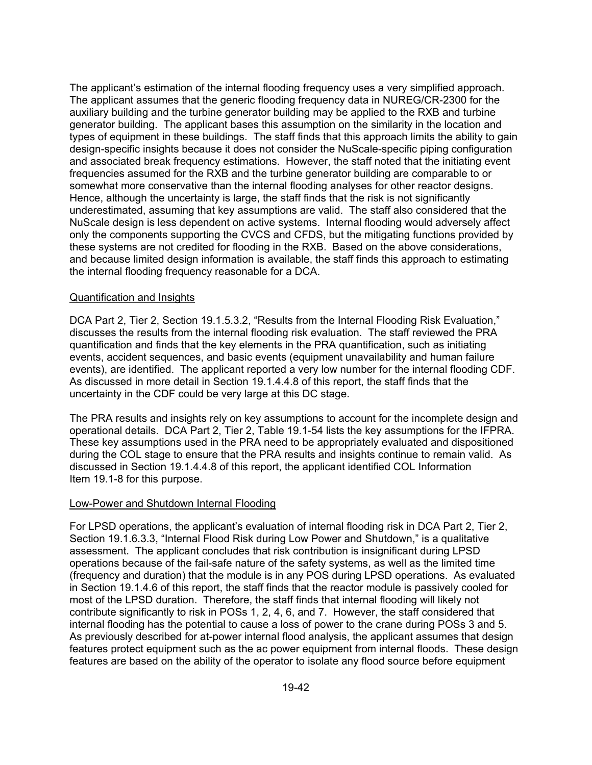The applicant's estimation of the internal flooding frequency uses a very simplified approach. The applicant assumes that the generic flooding frequency data in NUREG/CR-2300 for the auxiliary building and the turbine generator building may be applied to the RXB and turbine generator building. The applicant bases this assumption on the similarity in the location and types of equipment in these buildings. The staff finds that this approach limits the ability to gain design-specific insights because it does not consider the NuScale-specific piping configuration and associated break frequency estimations. However, the staff noted that the initiating event frequencies assumed for the RXB and the turbine generator building are comparable to or somewhat more conservative than the internal flooding analyses for other reactor designs. Hence, although the uncertainty is large, the staff finds that the risk is not significantly underestimated, assuming that key assumptions are valid. The staff also considered that the NuScale design is less dependent on active systems. Internal flooding would adversely affect only the components supporting the CVCS and CFDS, but the mitigating functions provided by these systems are not credited for flooding in the RXB. Based on the above considerations, and because limited design information is available, the staff finds this approach to estimating the internal flooding frequency reasonable for a DCA.

#### Quantification and Insights

DCA Part 2, Tier 2, Section 19.1.5.3.2, "Results from the Internal Flooding Risk Evaluation," discusses the results from the internal flooding risk evaluation. The staff reviewed the PRA quantification and finds that the key elements in the PRA quantification, such as initiating events, accident sequences, and basic events (equipment unavailability and human failure events), are identified. The applicant reported a very low number for the internal flooding CDF. As discussed in more detail in Section 19.1.4.4.8 of this report, the staff finds that the uncertainty in the CDF could be very large at this DC stage.

The PRA results and insights rely on key assumptions to account for the incomplete design and operational details. DCA Part 2, Tier 2, Table 19.1-54 lists the key assumptions for the IFPRA. These key assumptions used in the PRA need to be appropriately evaluated and dispositioned during the COL stage to ensure that the PRA results and insights continue to remain valid. As discussed in Section 19.1.4.4.8 of this report, the applicant identified COL Information Item 19.1-8 for this purpose.

#### Low-Power and Shutdown Internal Flooding

For LPSD operations, the applicant's evaluation of internal flooding risk in DCA Part 2, Tier 2, Section 19.1.6.3.3, "Internal Flood Risk during Low Power and Shutdown," is a qualitative assessment. The applicant concludes that risk contribution is insignificant during LPSD operations because of the fail-safe nature of the safety systems, as well as the limited time (frequency and duration) that the module is in any POS during LPSD operations. As evaluated in Section 19.1.4.6 of this report, the staff finds that the reactor module is passively cooled for most of the LPSD duration. Therefore, the staff finds that internal flooding will likely not contribute significantly to risk in POSs 1, 2, 4, 6, and 7. However, the staff considered that internal flooding has the potential to cause a loss of power to the crane during POSs 3 and 5. As previously described for at-power internal flood analysis, the applicant assumes that design features protect equipment such as the ac power equipment from internal floods. These design features are based on the ability of the operator to isolate any flood source before equipment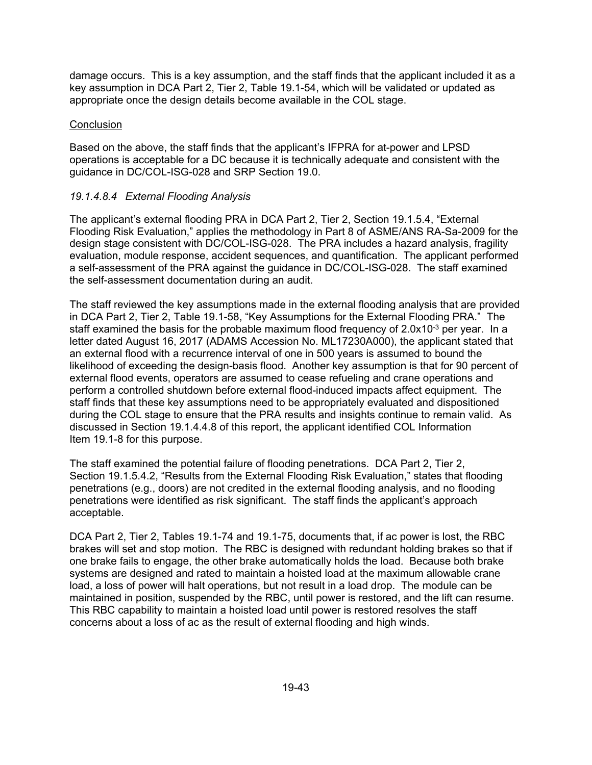damage occurs. This is a key assumption, and the staff finds that the applicant included it as a key assumption in DCA Part 2, Tier 2, Table 19.1-54, which will be validated or updated as appropriate once the design details become available in the COL stage.

#### **Conclusion**

Based on the above, the staff finds that the applicant's IFPRA for at-power and LPSD operations is acceptable for a DC because it is technically adequate and consistent with the guidance in DC/COL-ISG-028 and SRP Section 19.0.

### *19.1.4.8.4 External Flooding Analysis*

The applicant's external flooding PRA in DCA Part 2, Tier 2, Section 19.1.5.4, "External Flooding Risk Evaluation," applies the methodology in Part 8 of ASME/ANS RA-Sa-2009 for the design stage consistent with DC/COL-ISG-028. The PRA includes a hazard analysis, fragility evaluation, module response, accident sequences, and quantification. The applicant performed a self-assessment of the PRA against the guidance in DC/COL-ISG-028. The staff examined the self-assessment documentation during an audit.

The staff reviewed the key assumptions made in the external flooding analysis that are provided in DCA Part 2, Tier 2, Table 19.1-58, "Key Assumptions for the External Flooding PRA." The staff examined the basis for the probable maximum flood frequency of 2.0x10<sup>-3</sup> per year. In a letter dated August 16, 2017 (ADAMS Accession No. ML17230A000), the applicant stated that an external flood with a recurrence interval of one in 500 years is assumed to bound the likelihood of exceeding the design-basis flood. Another key assumption is that for 90 percent of external flood events, operators are assumed to cease refueling and crane operations and perform a controlled shutdown before external flood-induced impacts affect equipment. The staff finds that these key assumptions need to be appropriately evaluated and dispositioned during the COL stage to ensure that the PRA results and insights continue to remain valid. As discussed in Section 19.1.4.4.8 of this report, the applicant identified COL Information Item 19.1-8 for this purpose.

The staff examined the potential failure of flooding penetrations. DCA Part 2, Tier 2, Section 19.1.5.4.2, "Results from the External Flooding Risk Evaluation," states that flooding penetrations (e.g., doors) are not credited in the external flooding analysis, and no flooding penetrations were identified as risk significant. The staff finds the applicant's approach acceptable.

DCA Part 2, Tier 2, Tables 19.1-74 and 19.1-75, documents that, if ac power is lost, the RBC brakes will set and stop motion. The RBC is designed with redundant holding brakes so that if one brake fails to engage, the other brake automatically holds the load. Because both brake systems are designed and rated to maintain a hoisted load at the maximum allowable crane load, a loss of power will halt operations, but not result in a load drop. The module can be maintained in position, suspended by the RBC, until power is restored, and the lift can resume. This RBC capability to maintain a hoisted load until power is restored resolves the staff concerns about a loss of ac as the result of external flooding and high winds.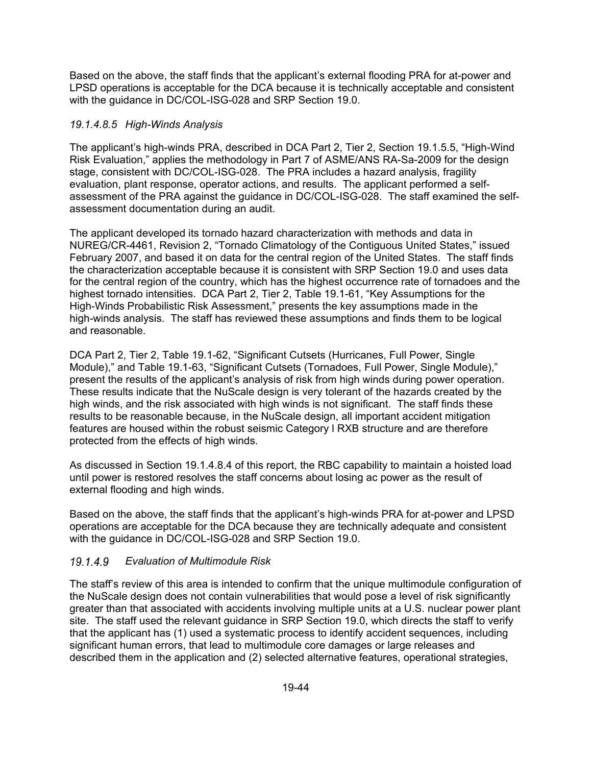Based on the above, the staff finds that the applicant's external flooding PRA for at-power and LPSD operations is acceptable for the DCA because it is technically acceptable and consistent with the guidance in DC/COL-ISG-028 and SRP Section 19.0.

### *19.1.4.8.5 High-Winds Analysis*

The applicant's high-winds PRA, described in DCA Part 2, Tier 2, Section 19.1.5.5, "High-Wind Risk Evaluation," applies the methodology in Part 7 of ASME/ANS RA-Sa-2009 for the design stage, consistent with DC/COL-ISG-028. The PRA includes a hazard analysis, fragility evaluation, plant response, operator actions, and results. The applicant performed a selfassessment of the PRA against the guidance in DC/COL-ISG-028. The staff examined the selfassessment documentation during an audit.

The applicant developed its tornado hazard characterization with methods and data in NUREG/CR-4461, Revision 2, "Tornado Climatology of the Contiguous United States," issued February 2007, and based it on data for the central region of the United States. The staff finds the characterization acceptable because it is consistent with SRP Section 19.0 and uses data for the central region of the country, which has the highest occurrence rate of tornadoes and the highest tornado intensities. DCA Part 2, Tier 2, Table 19.1-61, "Key Assumptions for the High-Winds Probabilistic Risk Assessment," presents the key assumptions made in the high-winds analysis. The staff has reviewed these assumptions and finds them to be logical and reasonable.

DCA Part 2, Tier 2, Table 19.1-62, "Significant Cutsets (Hurricanes, Full Power, Single Module)," and Table 19.1-63, "Significant Cutsets (Tornadoes, Full Power, Single Module)," present the results of the applicant's analysis of risk from high winds during power operation. These results indicate that the NuScale design is very tolerant of the hazards created by the high winds, and the risk associated with high winds is not significant. The staff finds these results to be reasonable because, in the NuScale design, all important accident mitigation features are housed within the robust seismic Category l RXB structure and are therefore protected from the effects of high winds.

As discussed in Section 19.1.4.8.4 of this report, the RBC capability to maintain a hoisted load until power is restored resolves the staff concerns about losing ac power as the result of external flooding and high winds.

Based on the above, the staff finds that the applicant's high-winds PRA for at-power and LPSD operations are acceptable for the DCA because they are technically adequate and consistent with the guidance in DC/COL-ISG-028 and SRP Section 19.0.

## *Evaluation of Multimodule Risk*

The staff's review of this area is intended to confirm that the unique multimodule configuration of the NuScale design does not contain vulnerabilities that would pose a level of risk significantly greater than that associated with accidents involving multiple units at a U.S. nuclear power plant site. The staff used the relevant guidance in SRP Section 19.0, which directs the staff to verify that the applicant has (1) used a systematic process to identify accident sequences, including significant human errors, that lead to multimodule core damages or large releases and described them in the application and (2) selected alternative features, operational strategies,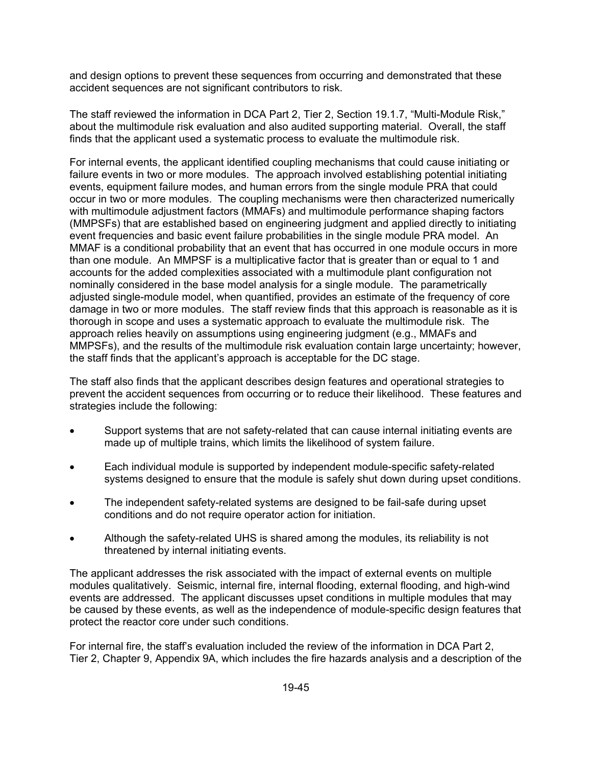and design options to prevent these sequences from occurring and demonstrated that these accident sequences are not significant contributors to risk.

The staff reviewed the information in DCA Part 2, Tier 2, Section 19.1.7, "Multi-Module Risk," about the multimodule risk evaluation and also audited supporting material. Overall, the staff finds that the applicant used a systematic process to evaluate the multimodule risk.

For internal events, the applicant identified coupling mechanisms that could cause initiating or failure events in two or more modules. The approach involved establishing potential initiating events, equipment failure modes, and human errors from the single module PRA that could occur in two or more modules. The coupling mechanisms were then characterized numerically with multimodule adjustment factors (MMAFs) and multimodule performance shaping factors (MMPSFs) that are established based on engineering judgment and applied directly to initiating event frequencies and basic event failure probabilities in the single module PRA model. An MMAF is a conditional probability that an event that has occurred in one module occurs in more than one module. An MMPSF is a multiplicative factor that is greater than or equal to 1 and accounts for the added complexities associated with a multimodule plant configuration not nominally considered in the base model analysis for a single module. The parametrically adjusted single-module model, when quantified, provides an estimate of the frequency of core damage in two or more modules. The staff review finds that this approach is reasonable as it is thorough in scope and uses a systematic approach to evaluate the multimodule risk. The approach relies heavily on assumptions using engineering judgment (e.g., MMAFs and MMPSFs), and the results of the multimodule risk evaluation contain large uncertainty; however, the staff finds that the applicant's approach is acceptable for the DC stage.

The staff also finds that the applicant describes design features and operational strategies to prevent the accident sequences from occurring or to reduce their likelihood. These features and strategies include the following:

- Support systems that are not safety-related that can cause internal initiating events are made up of multiple trains, which limits the likelihood of system failure.
- Each individual module is supported by independent module-specific safety-related systems designed to ensure that the module is safely shut down during upset conditions.
- The independent safety-related systems are designed to be fail-safe during upset conditions and do not require operator action for initiation.
- Although the safety-related UHS is shared among the modules, its reliability is not threatened by internal initiating events.

The applicant addresses the risk associated with the impact of external events on multiple modules qualitatively. Seismic, internal fire, internal flooding, external flooding, and high-wind events are addressed. The applicant discusses upset conditions in multiple modules that may be caused by these events, as well as the independence of module-specific design features that protect the reactor core under such conditions.

For internal fire, the staff's evaluation included the review of the information in DCA Part 2, Tier 2, Chapter 9, Appendix 9A, which includes the fire hazards analysis and a description of the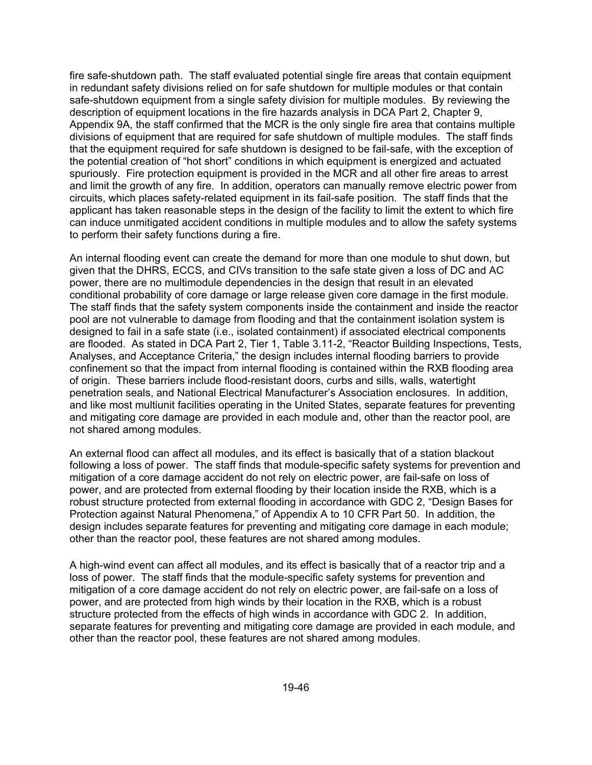fire safe-shutdown path. The staff evaluated potential single fire areas that contain equipment in redundant safety divisions relied on for safe shutdown for multiple modules or that contain safe-shutdown equipment from a single safety division for multiple modules. By reviewing the description of equipment locations in the fire hazards analysis in DCA Part 2, Chapter 9, Appendix 9A, the staff confirmed that the MCR is the only single fire area that contains multiple divisions of equipment that are required for safe shutdown of multiple modules. The staff finds that the equipment required for safe shutdown is designed to be fail-safe, with the exception of the potential creation of "hot short" conditions in which equipment is energized and actuated spuriously. Fire protection equipment is provided in the MCR and all other fire areas to arrest and limit the growth of any fire. In addition, operators can manually remove electric power from circuits, which places safety-related equipment in its fail-safe position. The staff finds that the applicant has taken reasonable steps in the design of the facility to limit the extent to which fire can induce unmitigated accident conditions in multiple modules and to allow the safety systems to perform their safety functions during a fire.

An internal flooding event can create the demand for more than one module to shut down, but given that the DHRS, ECCS, and CIVs transition to the safe state given a loss of DC and AC power, there are no multimodule dependencies in the design that result in an elevated conditional probability of core damage or large release given core damage in the first module. The staff finds that the safety system components inside the containment and inside the reactor pool are not vulnerable to damage from flooding and that the containment isolation system is designed to fail in a safe state (i.e., isolated containment) if associated electrical components are flooded. As stated in DCA Part 2, Tier 1, Table 3.11-2, "Reactor Building Inspections, Tests, Analyses, and Acceptance Criteria," the design includes internal flooding barriers to provide confinement so that the impact from internal flooding is contained within the RXB flooding area of origin. These barriers include flood-resistant doors, curbs and sills, walls, watertight penetration seals, and National Electrical Manufacturer's Association enclosures. In addition, and like most multiunit facilities operating in the United States, separate features for preventing and mitigating core damage are provided in each module and, other than the reactor pool, are not shared among modules.

An external flood can affect all modules, and its effect is basically that of a station blackout following a loss of power. The staff finds that module-specific safety systems for prevention and mitigation of a core damage accident do not rely on electric power, are fail-safe on loss of power, and are protected from external flooding by their location inside the RXB, which is a robust structure protected from external flooding in accordance with GDC 2, "Design Bases for Protection against Natural Phenomena," of Appendix A to 10 CFR Part 50. In addition, the design includes separate features for preventing and mitigating core damage in each module; other than the reactor pool, these features are not shared among modules.

A high-wind event can affect all modules, and its effect is basically that of a reactor trip and a loss of power. The staff finds that the module-specific safety systems for prevention and mitigation of a core damage accident do not rely on electric power, are fail-safe on a loss of power, and are protected from high winds by their location in the RXB, which is a robust structure protected from the effects of high winds in accordance with GDC 2. In addition, separate features for preventing and mitigating core damage are provided in each module, and other than the reactor pool, these features are not shared among modules.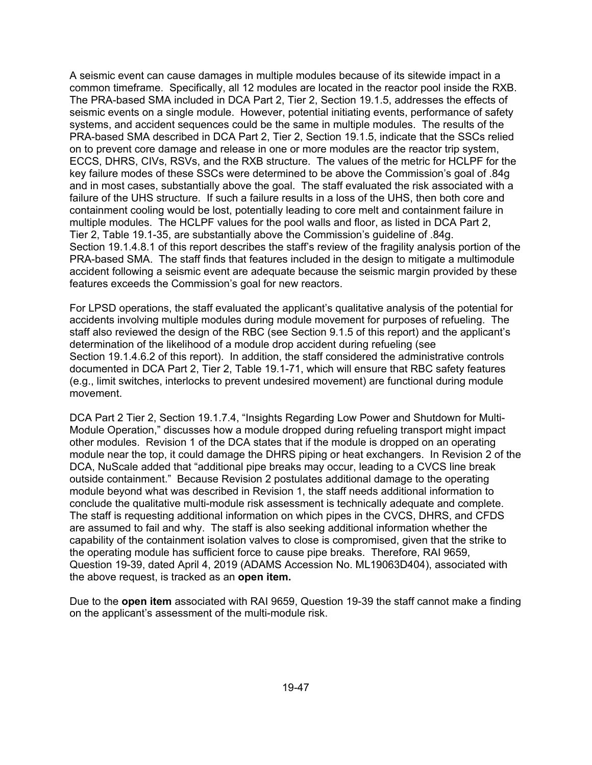A seismic event can cause damages in multiple modules because of its sitewide impact in a common timeframe. Specifically, all 12 modules are located in the reactor pool inside the RXB. The PRA-based SMA included in DCA Part 2, Tier 2, Section 19.1.5, addresses the effects of seismic events on a single module. However, potential initiating events, performance of safety systems, and accident sequences could be the same in multiple modules. The results of the PRA-based SMA described in DCA Part 2, Tier 2, Section 19.1.5, indicate that the SSCs relied on to prevent core damage and release in one or more modules are the reactor trip system, ECCS, DHRS, CIVs, RSVs, and the RXB structure. The values of the metric for HCLPF for the key failure modes of these SSCs were determined to be above the Commission's goal of .84g and in most cases, substantially above the goal. The staff evaluated the risk associated with a failure of the UHS structure. If such a failure results in a loss of the UHS, then both core and containment cooling would be lost, potentially leading to core melt and containment failure in multiple modules. The HCLPF values for the pool walls and floor, as listed in DCA Part 2, Tier 2, Table 19.1-35, are substantially above the Commission's guideline of .84g. Section 19.1.4.8.1 of this report describes the staff's review of the fragility analysis portion of the PRA-based SMA. The staff finds that features included in the design to mitigate a multimodule accident following a seismic event are adequate because the seismic margin provided by these features exceeds the Commission's goal for new reactors.

For LPSD operations, the staff evaluated the applicant's qualitative analysis of the potential for accidents involving multiple modules during module movement for purposes of refueling. The staff also reviewed the design of the RBC (see Section 9.1.5 of this report) and the applicant's determination of the likelihood of a module drop accident during refueling (see Section 19.1.4.6.2 of this report). In addition, the staff considered the administrative controls documented in DCA Part 2, Tier 2, Table 19.1-71, which will ensure that RBC safety features (e.g., limit switches, interlocks to prevent undesired movement) are functional during module movement.

DCA Part 2 Tier 2, Section 19.1.7.4, "Insights Regarding Low Power and Shutdown for Multi-Module Operation," discusses how a module dropped during refueling transport might impact other modules. Revision 1 of the DCA states that if the module is dropped on an operating module near the top, it could damage the DHRS piping or heat exchangers. In Revision 2 of the DCA, NuScale added that "additional pipe breaks may occur, leading to a CVCS line break outside containment." Because Revision 2 postulates additional damage to the operating module beyond what was described in Revision 1, the staff needs additional information to conclude the qualitative multi-module risk assessment is technically adequate and complete. The staff is requesting additional information on which pipes in the CVCS, DHRS, and CFDS are assumed to fail and why. The staff is also seeking additional information whether the capability of the containment isolation valves to close is compromised, given that the strike to the operating module has sufficient force to cause pipe breaks. Therefore, RAI 9659, Question 19-39, dated April 4, 2019 (ADAMS Accession No. ML19063D404), associated with the above request, is tracked as an **open item.** 

Due to the **open item** associated with RAI 9659, Question 19-39 the staff cannot make a finding on the applicant's assessment of the multi-module risk.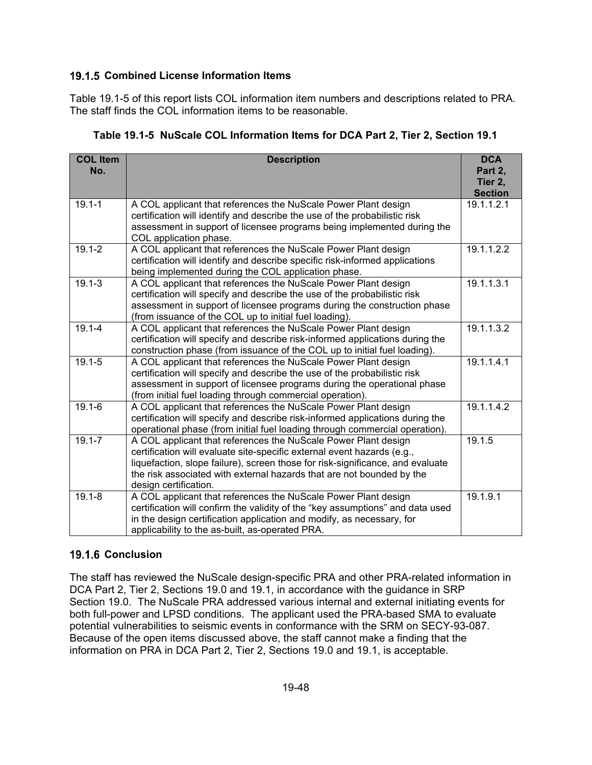## **19.1.5 Combined License Information Items**

Table 19.1-5 of this report lists COL information item numbers and descriptions related to PRA. The staff finds the COL information items to be reasonable.

| <b>COL Item</b><br>No. | <b>Description</b>                                                                                                                                                                                                                                                                                                            | <b>DCA</b><br>Part 2,<br>Tier 2,<br><b>Section</b> |
|------------------------|-------------------------------------------------------------------------------------------------------------------------------------------------------------------------------------------------------------------------------------------------------------------------------------------------------------------------------|----------------------------------------------------|
| $19.1 - 1$             | A COL applicant that references the NuScale Power Plant design<br>certification will identify and describe the use of the probabilistic risk<br>assessment in support of licensee programs being implemented during the<br>COL application phase.                                                                             | 19.1.1.2.1                                         |
| $19.1 - 2$             | A COL applicant that references the NuScale Power Plant design<br>certification will identify and describe specific risk-informed applications<br>being implemented during the COL application phase.                                                                                                                         | 19.1.1.2.2                                         |
| $19.1 - 3$             | A COL applicant that references the NuScale Power Plant design<br>certification will specify and describe the use of the probabilistic risk<br>assessment in support of licensee programs during the construction phase<br>(from issuance of the COL up to initial fuel loading).                                             | 19.1.1.3.1                                         |
| $19.1 - 4$             | A COL applicant that references the NuScale Power Plant design<br>certification will specify and describe risk-informed applications during the<br>construction phase (from issuance of the COL up to initial fuel loading).                                                                                                  | 19.1.1.3.2                                         |
| $19.1 - 5$             | A COL applicant that references the NuScale Power Plant design<br>certification will specify and describe the use of the probabilistic risk<br>assessment in support of licensee programs during the operational phase<br>(from initial fuel loading through commercial operation).                                           | 19.1.1.4.1                                         |
| $19.1 - 6$             | A COL applicant that references the NuScale Power Plant design<br>certification will specify and describe risk-informed applications during the<br>operational phase (from initial fuel loading through commercial operation).                                                                                                | 19.1.1.4.2                                         |
| $19.1 - 7$             | A COL applicant that references the NuScale Power Plant design<br>certification will evaluate site-specific external event hazards (e.g.,<br>liquefaction, slope failure), screen those for risk-significance, and evaluate<br>the risk associated with external hazards that are not bounded by the<br>design certification. | 19.1.5                                             |
| $19.1 - 8$             | A COL applicant that references the NuScale Power Plant design<br>certification will confirm the validity of the "key assumptions" and data used<br>in the design certification application and modify, as necessary, for<br>applicability to the as-built, as-operated PRA.                                                  | 19.1.9.1                                           |

**Table 19.1-5 NuScale COL Information Items for DCA Part 2, Tier 2, Section 19.1** 

## **19.1.6 Conclusion**

The staff has reviewed the NuScale design-specific PRA and other PRA-related information in DCA Part 2, Tier 2, Sections 19.0 and 19.1, in accordance with the guidance in SRP Section 19.0. The NuScale PRA addressed various internal and external initiating events for both full-power and LPSD conditions. The applicant used the PRA-based SMA to evaluate potential vulnerabilities to seismic events in conformance with the SRM on SECY-93-087. Because of the open items discussed above, the staff cannot make a finding that the information on PRA in DCA Part 2, Tier 2, Sections 19.0 and 19.1, is acceptable.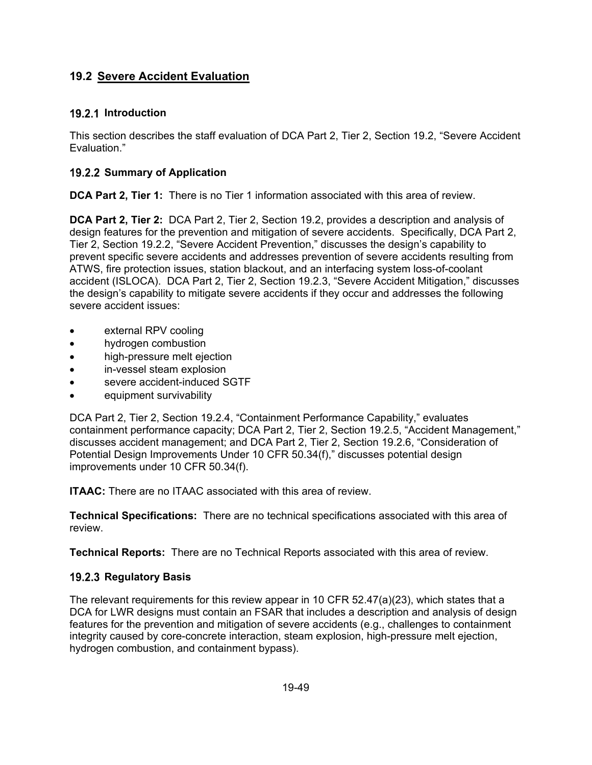# **19.2 Severe Accident Evaluation**

### **19.2.1 Introduction**

This section describes the staff evaluation of DCA Part 2, Tier 2, Section 19.2, "Severe Accident Evaluation."

### **19.2.2 Summary of Application**

**DCA Part 2, Tier 1:** There is no Tier 1 information associated with this area of review.

**DCA Part 2, Tier 2:** DCA Part 2, Tier 2, Section 19.2, provides a description and analysis of design features for the prevention and mitigation of severe accidents. Specifically, DCA Part 2, Tier 2, Section 19.2.2, "Severe Accident Prevention," discusses the design's capability to prevent specific severe accidents and addresses prevention of severe accidents resulting from ATWS, fire protection issues, station blackout, and an interfacing system loss-of-coolant accident (ISLOCA). DCA Part 2, Tier 2, Section 19.2.3, "Severe Accident Mitigation," discusses the design's capability to mitigate severe accidents if they occur and addresses the following severe accident issues:

- external RPV cooling
- hydrogen combustion
- high-pressure melt ejection
- in-vessel steam explosion
- severe accident-induced SGTF
- equipment survivability

DCA Part 2, Tier 2, Section 19.2.4, "Containment Performance Capability," evaluates containment performance capacity; DCA Part 2, Tier 2, Section 19.2.5, "Accident Management," discusses accident management; and DCA Part 2, Tier 2, Section 19.2.6, "Consideration of Potential Design Improvements Under 10 CFR 50.34(f)," discusses potential design improvements under 10 CFR 50.34(f).

**ITAAC:** There are no ITAAC associated with this area of review.

**Technical Specifications:** There are no technical specifications associated with this area of review.

**Technical Reports:** There are no Technical Reports associated with this area of review.

## **19.2.3 Regulatory Basis**

The relevant requirements for this review appear in 10 CFR 52.47(a)(23), which states that a DCA for LWR designs must contain an FSAR that includes a description and analysis of design features for the prevention and mitigation of severe accidents (e.g., challenges to containment integrity caused by core-concrete interaction, steam explosion, high-pressure melt ejection, hydrogen combustion, and containment bypass).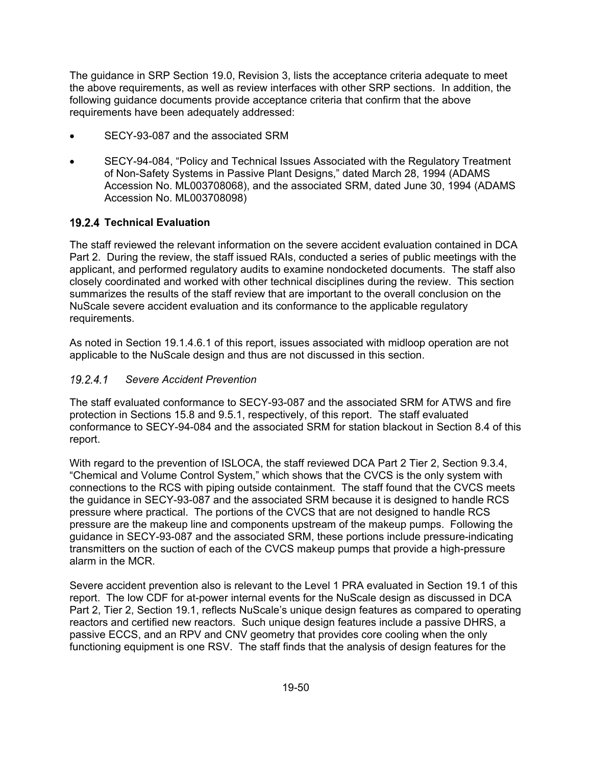The guidance in SRP Section 19.0, Revision 3, lists the acceptance criteria adequate to meet the above requirements, as well as review interfaces with other SRP sections. In addition, the following guidance documents provide acceptance criteria that confirm that the above requirements have been adequately addressed:

- SECY-93-087 and the associated SRM
- SECY-94-084, "Policy and Technical Issues Associated with the Regulatory Treatment of Non-Safety Systems in Passive Plant Designs," dated March 28, 1994 (ADAMS Accession No. ML003708068), and the associated SRM, dated June 30, 1994 (ADAMS Accession No. ML003708098)

## **Technical Evaluation**

The staff reviewed the relevant information on the severe accident evaluation contained in DCA Part 2. During the review, the staff issued RAIs, conducted a series of public meetings with the applicant, and performed regulatory audits to examine nondocketed documents. The staff also closely coordinated and worked with other technical disciplines during the review. This section summarizes the results of the staff review that are important to the overall conclusion on the NuScale severe accident evaluation and its conformance to the applicable regulatory requirements.

As noted in Section 19.1.4.6.1 of this report, issues associated with midloop operation are not applicable to the NuScale design and thus are not discussed in this section.

### *Severe Accident Prevention*

The staff evaluated conformance to SECY-93-087 and the associated SRM for ATWS and fire protection in Sections 15.8 and 9.5.1, respectively, of this report. The staff evaluated conformance to SECY-94-084 and the associated SRM for station blackout in Section 8.4 of this report.

With regard to the prevention of ISLOCA, the staff reviewed DCA Part 2 Tier 2, Section 9.3.4, "Chemical and Volume Control System," which shows that the CVCS is the only system with connections to the RCS with piping outside containment. The staff found that the CVCS meets the guidance in SECY-93-087 and the associated SRM because it is designed to handle RCS pressure where practical. The portions of the CVCS that are not designed to handle RCS pressure are the makeup line and components upstream of the makeup pumps. Following the guidance in SECY-93-087 and the associated SRM, these portions include pressure-indicating transmitters on the suction of each of the CVCS makeup pumps that provide a high-pressure alarm in the MCR.

Severe accident prevention also is relevant to the Level 1 PRA evaluated in Section 19.1 of this report. The low CDF for at-power internal events for the NuScale design as discussed in DCA Part 2, Tier 2, Section 19.1, reflects NuScale's unique design features as compared to operating reactors and certified new reactors. Such unique design features include a passive DHRS, a passive ECCS, and an RPV and CNV geometry that provides core cooling when the only functioning equipment is one RSV. The staff finds that the analysis of design features for the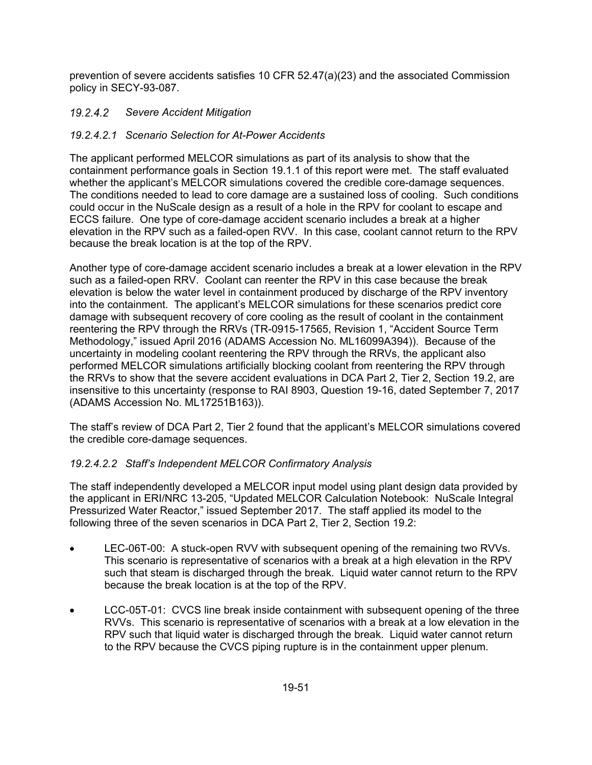prevention of severe accidents satisfies 10 CFR 52.47(a)(23) and the associated Commission policy in SECY-93-087.

# *Severe Accident Mitigation*

# *19.2.4.2.1 Scenario Selection for At-Power Accidents*

The applicant performed MELCOR simulations as part of its analysis to show that the containment performance goals in Section 19.1.1 of this report were met. The staff evaluated whether the applicant's MELCOR simulations covered the credible core-damage sequences. The conditions needed to lead to core damage are a sustained loss of cooling. Such conditions could occur in the NuScale design as a result of a hole in the RPV for coolant to escape and ECCS failure. One type of core-damage accident scenario includes a break at a higher elevation in the RPV such as a failed-open RVV. In this case, coolant cannot return to the RPV because the break location is at the top of the RPV.

Another type of core-damage accident scenario includes a break at a lower elevation in the RPV such as a failed-open RRV. Coolant can reenter the RPV in this case because the break elevation is below the water level in containment produced by discharge of the RPV inventory into the containment. The applicant's MELCOR simulations for these scenarios predict core damage with subsequent recovery of core cooling as the result of coolant in the containment reentering the RPV through the RRVs (TR-0915-17565, Revision 1, "Accident Source Term Methodology," issued April 2016 (ADAMS Accession No. ML16099A394)). Because of the uncertainty in modeling coolant reentering the RPV through the RRVs, the applicant also performed MELCOR simulations artificially blocking coolant from reentering the RPV through the RRVs to show that the severe accident evaluations in DCA Part 2, Tier 2, Section 19.2, are insensitive to this uncertainty (response to RAI 8903, Question 19-16, dated September 7, 2017 (ADAMS Accession No. ML17251B163)).

The staff's review of DCA Part 2, Tier 2 found that the applicant's MELCOR simulations covered the credible core-damage sequences.

# *19.2.4.2.2 Staff's Independent MELCOR Confirmatory Analysis*

The staff independently developed a MELCOR input model using plant design data provided by the applicant in ERI/NRC 13-205, "Updated MELCOR Calculation Notebook: NuScale Integral Pressurized Water Reactor," issued September 2017. The staff applied its model to the following three of the seven scenarios in DCA Part 2, Tier 2, Section 19.2:

- LEC-06T-00: A stuck-open RVV with subsequent opening of the remaining two RVVs. This scenario is representative of scenarios with a break at a high elevation in the RPV such that steam is discharged through the break. Liquid water cannot return to the RPV because the break location is at the top of the RPV.
- LCC-05T-01: CVCS line break inside containment with subsequent opening of the three RVVs. This scenario is representative of scenarios with a break at a low elevation in the RPV such that liquid water is discharged through the break. Liquid water cannot return to the RPV because the CVCS piping rupture is in the containment upper plenum.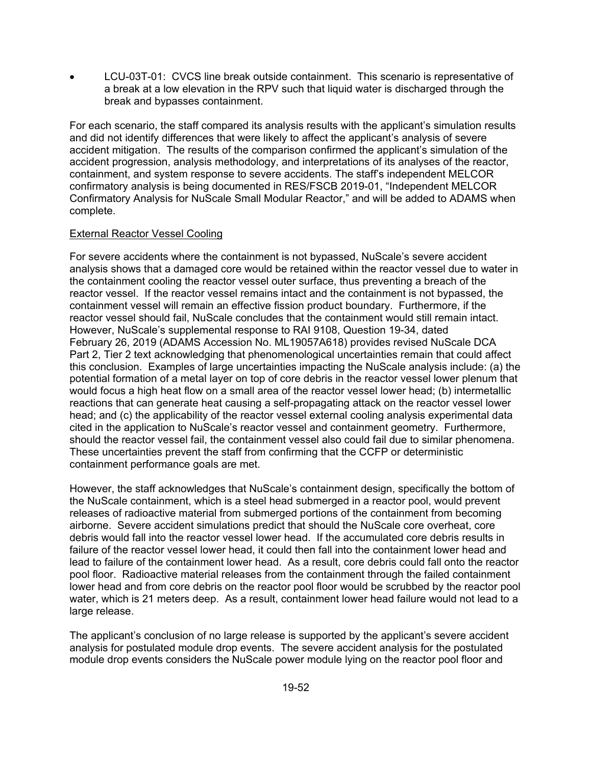LCU-03T-01: CVCS line break outside containment. This scenario is representative of a break at a low elevation in the RPV such that liquid water is discharged through the break and bypasses containment.

For each scenario, the staff compared its analysis results with the applicant's simulation results and did not identify differences that were likely to affect the applicant's analysis of severe accident mitigation. The results of the comparison confirmed the applicant's simulation of the accident progression, analysis methodology, and interpretations of its analyses of the reactor, containment, and system response to severe accidents. The staff's independent MELCOR confirmatory analysis is being documented in RES/FSCB 2019-01, "Independent MELCOR Confirmatory Analysis for NuScale Small Modular Reactor," and will be added to ADAMS when complete.

#### External Reactor Vessel Cooling

For severe accidents where the containment is not bypassed, NuScale's severe accident analysis shows that a damaged core would be retained within the reactor vessel due to water in the containment cooling the reactor vessel outer surface, thus preventing a breach of the reactor vessel. If the reactor vessel remains intact and the containment is not bypassed, the containment vessel will remain an effective fission product boundary. Furthermore, if the reactor vessel should fail, NuScale concludes that the containment would still remain intact. However, NuScale's supplemental response to RAI 9108, Question 19-34, dated February 26, 2019 (ADAMS Accession No. ML19057A618) provides revised NuScale DCA Part 2, Tier 2 text acknowledging that phenomenological uncertainties remain that could affect this conclusion. Examples of large uncertainties impacting the NuScale analysis include: (a) the potential formation of a metal layer on top of core debris in the reactor vessel lower plenum that would focus a high heat flow on a small area of the reactor vessel lower head; (b) intermetallic reactions that can generate heat causing a self-propagating attack on the reactor vessel lower head; and (c) the applicability of the reactor vessel external cooling analysis experimental data cited in the application to NuScale's reactor vessel and containment geometry. Furthermore, should the reactor vessel fail, the containment vessel also could fail due to similar phenomena. These uncertainties prevent the staff from confirming that the CCFP or deterministic containment performance goals are met.

However, the staff acknowledges that NuScale's containment design, specifically the bottom of the NuScale containment, which is a steel head submerged in a reactor pool, would prevent releases of radioactive material from submerged portions of the containment from becoming airborne. Severe accident simulations predict that should the NuScale core overheat, core debris would fall into the reactor vessel lower head. If the accumulated core debris results in failure of the reactor vessel lower head, it could then fall into the containment lower head and lead to failure of the containment lower head. As a result, core debris could fall onto the reactor pool floor. Radioactive material releases from the containment through the failed containment lower head and from core debris on the reactor pool floor would be scrubbed by the reactor pool water, which is 21 meters deep. As a result, containment lower head failure would not lead to a large release.

The applicant's conclusion of no large release is supported by the applicant's severe accident analysis for postulated module drop events. The severe accident analysis for the postulated module drop events considers the NuScale power module lying on the reactor pool floor and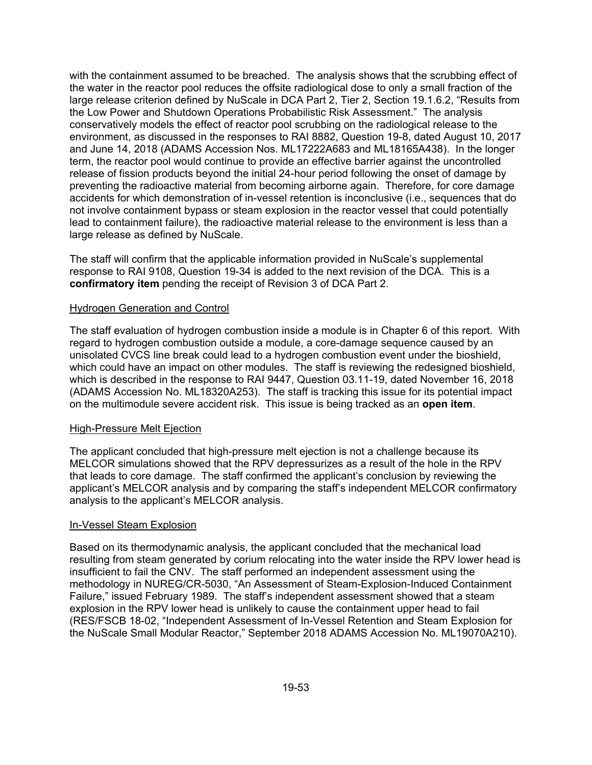with the containment assumed to be breached. The analysis shows that the scrubbing effect of the water in the reactor pool reduces the offsite radiological dose to only a small fraction of the large release criterion defined by NuScale in DCA Part 2, Tier 2, Section 19.1.6.2, "Results from the Low Power and Shutdown Operations Probabilistic Risk Assessment." The analysis conservatively models the effect of reactor pool scrubbing on the radiological release to the environment, as discussed in the responses to RAI 8882, Question 19-8, dated August 10, 2017 and June 14, 2018 (ADAMS Accession Nos. ML17222A683 and ML18165A438). In the longer term, the reactor pool would continue to provide an effective barrier against the uncontrolled release of fission products beyond the initial 24-hour period following the onset of damage by preventing the radioactive material from becoming airborne again. Therefore, for core damage accidents for which demonstration of in-vessel retention is inconclusive (i.e., sequences that do not involve containment bypass or steam explosion in the reactor vessel that could potentially lead to containment failure), the radioactive material release to the environment is less than a large release as defined by NuScale.

The staff will confirm that the applicable information provided in NuScale's supplemental response to RAI 9108, Question 19-34 is added to the next revision of the DCA. This is a **confirmatory item** pending the receipt of Revision 3 of DCA Part 2.

#### Hydrogen Generation and Control

The staff evaluation of hydrogen combustion inside a module is in Chapter 6 of this report. With regard to hydrogen combustion outside a module, a core-damage sequence caused by an unisolated CVCS line break could lead to a hydrogen combustion event under the bioshield, which could have an impact on other modules. The staff is reviewing the redesigned bioshield, which is described in the response to RAI 9447, Question 03.11-19, dated November 16, 2018 (ADAMS Accession No. ML18320A253). The staff is tracking this issue for its potential impact on the multimodule severe accident risk. This issue is being tracked as an **open item**.

#### High-Pressure Melt Ejection

The applicant concluded that high-pressure melt ejection is not a challenge because its MELCOR simulations showed that the RPV depressurizes as a result of the hole in the RPV that leads to core damage. The staff confirmed the applicant's conclusion by reviewing the applicant's MELCOR analysis and by comparing the staff's independent MELCOR confirmatory analysis to the applicant's MELCOR analysis.

#### In-Vessel Steam Explosion

Based on its thermodynamic analysis, the applicant concluded that the mechanical load resulting from steam generated by corium relocating into the water inside the RPV lower head is insufficient to fail the CNV. The staff performed an independent assessment using the methodology in NUREG/CR-5030, "An Assessment of Steam-Explosion-Induced Containment Failure," issued February 1989. The staff's independent assessment showed that a steam explosion in the RPV lower head is unlikely to cause the containment upper head to fail (RES/FSCB 18-02, "Independent Assessment of In-Vessel Retention and Steam Explosion for the NuScale Small Modular Reactor," September 2018 ADAMS Accession No. ML19070A210).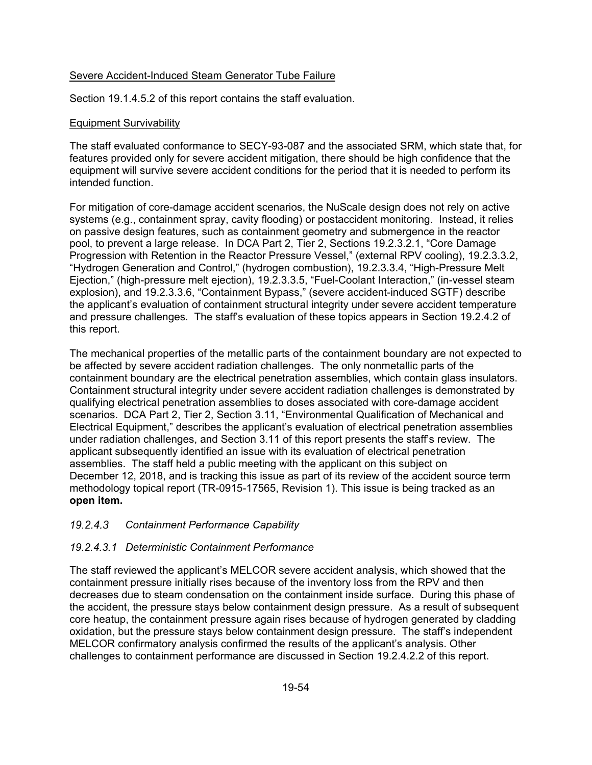### Severe Accident-Induced Steam Generator Tube Failure

Section 19.1.4.5.2 of this report contains the staff evaluation.

#### Equipment Survivability

The staff evaluated conformance to SECY-93-087 and the associated SRM, which state that, for features provided only for severe accident mitigation, there should be high confidence that the equipment will survive severe accident conditions for the period that it is needed to perform its intended function.

For mitigation of core-damage accident scenarios, the NuScale design does not rely on active systems (e.g., containment spray, cavity flooding) or postaccident monitoring. Instead, it relies on passive design features, such as containment geometry and submergence in the reactor pool, to prevent a large release. In DCA Part 2, Tier 2, Sections 19.2.3.2.1, "Core Damage Progression with Retention in the Reactor Pressure Vessel," (external RPV cooling), 19.2.3.3.2, "Hydrogen Generation and Control," (hydrogen combustion), 19.2.3.3.4, "High-Pressure Melt Ejection," (high-pressure melt ejection), 19.2.3.3.5, "Fuel-Coolant Interaction," (in-vessel steam explosion), and 19.2.3.3.6, "Containment Bypass," (severe accident-induced SGTF) describe the applicant's evaluation of containment structural integrity under severe accident temperature and pressure challenges. The staff's evaluation of these topics appears in Section 19.2.4.2 of this report.

The mechanical properties of the metallic parts of the containment boundary are not expected to be affected by severe accident radiation challenges. The only nonmetallic parts of the containment boundary are the electrical penetration assemblies, which contain glass insulators. Containment structural integrity under severe accident radiation challenges is demonstrated by qualifying electrical penetration assemblies to doses associated with core-damage accident scenarios. DCA Part 2, Tier 2, Section 3.11, "Environmental Qualification of Mechanical and Electrical Equipment," describes the applicant's evaluation of electrical penetration assemblies under radiation challenges, and Section 3.11 of this report presents the staff's review. The applicant subsequently identified an issue with its evaluation of electrical penetration assemblies. The staff held a public meeting with the applicant on this subject on December 12, 2018, and is tracking this issue as part of its review of the accident source term methodology topical report (TR-0915-17565, Revision 1). This issue is being tracked as an **open item.**

### *Containment Performance Capability*

### *19.2.4.3.1 Deterministic Containment Performance*

The staff reviewed the applicant's MELCOR severe accident analysis, which showed that the containment pressure initially rises because of the inventory loss from the RPV and then decreases due to steam condensation on the containment inside surface. During this phase of the accident, the pressure stays below containment design pressure. As a result of subsequent core heatup, the containment pressure again rises because of hydrogen generated by cladding oxidation, but the pressure stays below containment design pressure. The staff's independent MELCOR confirmatory analysis confirmed the results of the applicant's analysis. Other challenges to containment performance are discussed in Section 19.2.4.2.2 of this report.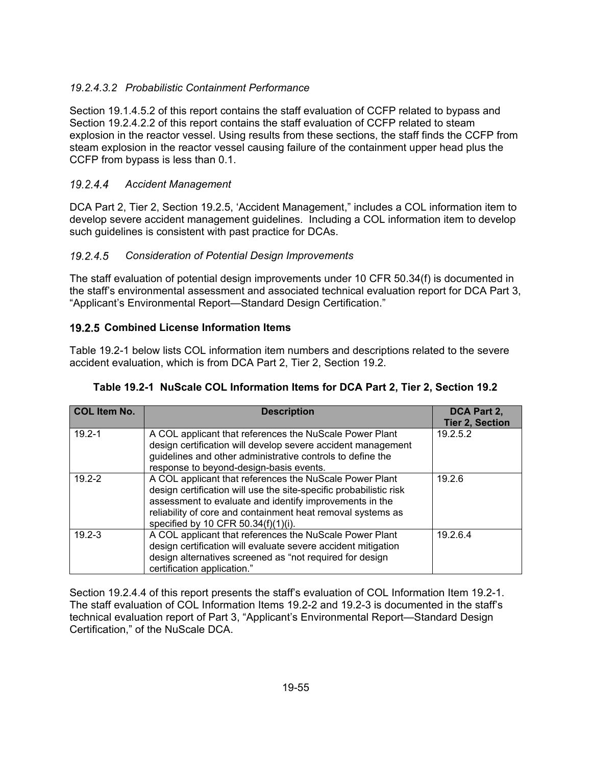## *19.2.4.3.2 Probabilistic Containment Performance*

Section 19.1.4.5.2 of this report contains the staff evaluation of CCFP related to bypass and Section 19.2.4.2.2 of this report contains the staff evaluation of CCFP related to steam explosion in the reactor vessel. Using results from these sections, the staff finds the CCFP from steam explosion in the reactor vessel causing failure of the containment upper head plus the CCFP from bypass is less than 0.1.

## *Accident Management*

DCA Part 2, Tier 2, Section 19.2.5, 'Accident Management," includes a COL information item to develop severe accident management guidelines. Including a COL information item to develop such guidelines is consistent with past practice for DCAs.

## *Consideration of Potential Design Improvements*

The staff evaluation of potential design improvements under 10 CFR 50.34(f) is documented in the staff's environmental assessment and associated technical evaluation report for DCA Part 3, "Applicant's Environmental Report—Standard Design Certification."

### **19.2.5 Combined License Information Items**

Table 19.2-1 below lists COL information item numbers and descriptions related to the severe accident evaluation, which is from DCA Part 2, Tier 2, Section 19.2.

| <b>COL Item No.</b> | <b>Description</b>                                                                                                                                                                                                                                                                             | DCA Part 2,            |
|---------------------|------------------------------------------------------------------------------------------------------------------------------------------------------------------------------------------------------------------------------------------------------------------------------------------------|------------------------|
|                     |                                                                                                                                                                                                                                                                                                | <b>Tier 2, Section</b> |
| $19.2 - 1$          | A COL applicant that references the NuScale Power Plant<br>design certification will develop severe accident management                                                                                                                                                                        | 19.2.5.2               |
|                     | guidelines and other administrative controls to define the<br>response to beyond-design-basis events.                                                                                                                                                                                          |                        |
| $19.2 - 2$          | A COL applicant that references the NuScale Power Plant<br>design certification will use the site-specific probabilistic risk<br>assessment to evaluate and identify improvements in the<br>reliability of core and containment heat removal systems as<br>specified by 10 CFR 50.34(f)(1)(i). | 19.2.6                 |
| $19.2 - 3$          | A COL applicant that references the NuScale Power Plant<br>design certification will evaluate severe accident mitigation<br>design alternatives screened as "not required for design<br>certification application."                                                                            | 19.2.6.4               |

Section 19.2.4.4 of this report presents the staff's evaluation of COL Information Item 19.2-1. The staff evaluation of COL Information Items 19.2-2 and 19.2-3 is documented in the staff's technical evaluation report of Part 3, "Applicant's Environmental Report—Standard Design Certification," of the NuScale DCA.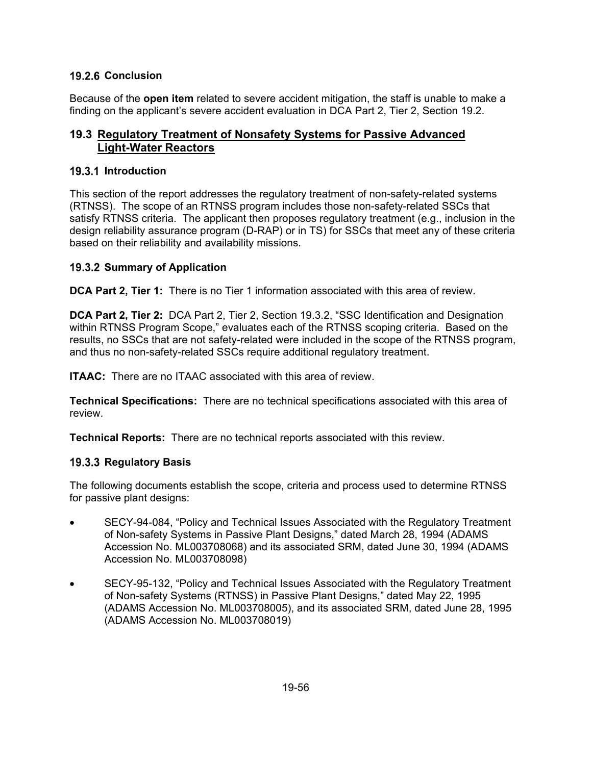## **19.2.6 Conclusion**

Because of the **open item** related to severe accident mitigation, the staff is unable to make a finding on the applicant's severe accident evaluation in DCA Part 2, Tier 2, Section 19.2.

## **19.3 Regulatory Treatment of Nonsafety Systems for Passive Advanced Light-Water Reactors**

### **19.3.1 Introduction**

This section of the report addresses the regulatory treatment of non-safety-related systems (RTNSS). The scope of an RTNSS program includes those non-safety-related SSCs that satisfy RTNSS criteria. The applicant then proposes regulatory treatment (e.g., inclusion in the design reliability assurance program (D-RAP) or in TS) for SSCs that meet any of these criteria based on their reliability and availability missions.

## **19.3.2 Summary of Application**

**DCA Part 2, Tier 1:** There is no Tier 1 information associated with this area of review.

**DCA Part 2, Tier 2:** DCA Part 2, Tier 2, Section 19.3.2, "SSC Identification and Designation within RTNSS Program Scope," evaluates each of the RTNSS scoping criteria. Based on the results, no SSCs that are not safety-related were included in the scope of the RTNSS program, and thus no non-safety-related SSCs require additional regulatory treatment.

**ITAAC:** There are no ITAAC associated with this area of review.

**Technical Specifications:** There are no technical specifications associated with this area of review.

**Technical Reports:** There are no technical reports associated with this review.

### **19.3.3 Regulatory Basis**

The following documents establish the scope, criteria and process used to determine RTNSS for passive plant designs:

- SECY-94-084, "Policy and Technical Issues Associated with the Regulatory Treatment of Non-safety Systems in Passive Plant Designs," dated March 28, 1994 (ADAMS Accession No. ML003708068) and its associated SRM, dated June 30, 1994 (ADAMS Accession No. ML003708098)
- SECY-95-132, "Policy and Technical Issues Associated with the Regulatory Treatment of Non-safety Systems (RTNSS) in Passive Plant Designs," dated May 22, 1995 (ADAMS Accession No. ML003708005), and its associated SRM, dated June 28, 1995 (ADAMS Accession No. ML003708019)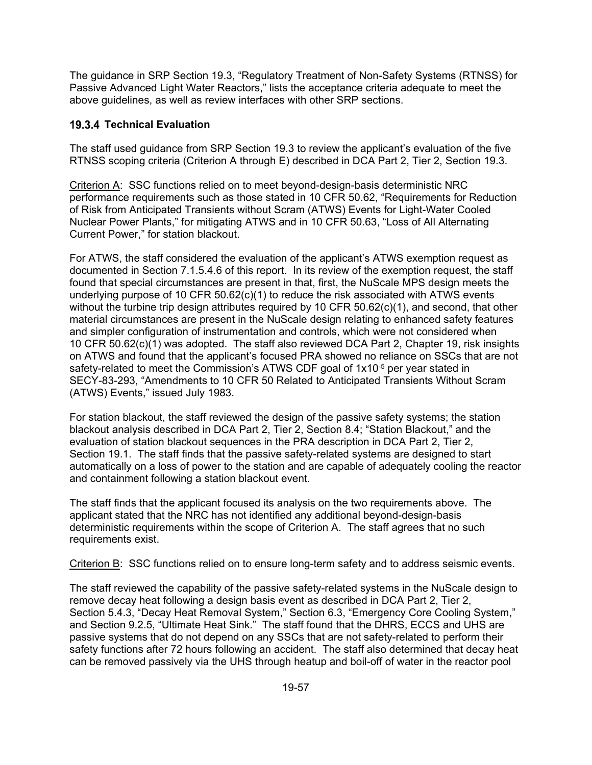The guidance in SRP Section 19.3, "Regulatory Treatment of Non-Safety Systems (RTNSS) for Passive Advanced Light Water Reactors," lists the acceptance criteria adequate to meet the above guidelines, as well as review interfaces with other SRP sections.

### **19.3.4 Technical Evaluation**

The staff used guidance from SRP Section 19.3 to review the applicant's evaluation of the five RTNSS scoping criteria (Criterion A through E) described in DCA Part 2, Tier 2, Section 19.3.

Criterion A: SSC functions relied on to meet beyond-design-basis deterministic NRC performance requirements such as those stated in 10 CFR 50.62, "Requirements for Reduction of Risk from Anticipated Transients without Scram (ATWS) Events for Light-Water Cooled Nuclear Power Plants," for mitigating ATWS and in 10 CFR 50.63, "Loss of All Alternating Current Power," for station blackout.

For ATWS, the staff considered the evaluation of the applicant's ATWS exemption request as documented in Section 7.1.5.4.6 of this report. In its review of the exemption request, the staff found that special circumstances are present in that, first, the NuScale MPS design meets the underlying purpose of 10 CFR 50.62(c)(1) to reduce the risk associated with ATWS events without the turbine trip design attributes required by 10 CFR 50.62(c)(1), and second, that other material circumstances are present in the NuScale design relating to enhanced safety features and simpler configuration of instrumentation and controls, which were not considered when 10 CFR 50.62(c)(1) was adopted. The staff also reviewed DCA Part 2, Chapter 19, risk insights on ATWS and found that the applicant's focused PRA showed no reliance on SSCs that are not safety-related to meet the Commission's ATWS CDF goal of 1x10<sup>-5</sup> per year stated in SECY-83-293, "Amendments to 10 CFR 50 Related to Anticipated Transients Without Scram (ATWS) Events," issued July 1983.

For station blackout, the staff reviewed the design of the passive safety systems; the station blackout analysis described in DCA Part 2, Tier 2, Section 8.4; "Station Blackout," and the evaluation of station blackout sequences in the PRA description in DCA Part 2, Tier 2, Section 19.1. The staff finds that the passive safety-related systems are designed to start automatically on a loss of power to the station and are capable of adequately cooling the reactor and containment following a station blackout event.

The staff finds that the applicant focused its analysis on the two requirements above. The applicant stated that the NRC has not identified any additional beyond-design-basis deterministic requirements within the scope of Criterion A. The staff agrees that no such requirements exist.

Criterion B: SSC functions relied on to ensure long-term safety and to address seismic events.

The staff reviewed the capability of the passive safety-related systems in the NuScale design to remove decay heat following a design basis event as described in DCA Part 2, Tier 2, Section 5.4.3, "Decay Heat Removal System," Section 6.3, "Emergency Core Cooling System," and Section 9.2.5, "Ultimate Heat Sink." The staff found that the DHRS, ECCS and UHS are passive systems that do not depend on any SSCs that are not safety-related to perform their safety functions after 72 hours following an accident. The staff also determined that decay heat can be removed passively via the UHS through heatup and boil-off of water in the reactor pool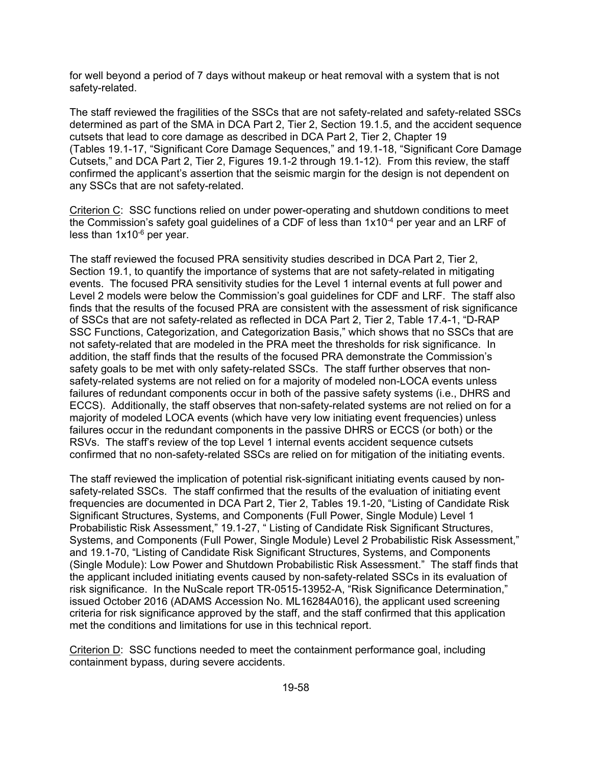for well beyond a period of 7 days without makeup or heat removal with a system that is not safety-related.

The staff reviewed the fragilities of the SSCs that are not safety-related and safety-related SSCs determined as part of the SMA in DCA Part 2, Tier 2, Section 19.1.5, and the accident sequence cutsets that lead to core damage as described in DCA Part 2, Tier 2, Chapter 19 (Tables 19.1-17, "Significant Core Damage Sequences," and 19.1-18, "Significant Core Damage Cutsets," and DCA Part 2, Tier 2, Figures 19.1-2 through 19.1-12). From this review, the staff confirmed the applicant's assertion that the seismic margin for the design is not dependent on any SSCs that are not safety-related.

Criterion C: SSC functions relied on under power-operating and shutdown conditions to meet the Commission's safety goal guidelines of a CDF of less than  $1x10^{-4}$  per year and an LRF of less than 1x10-6 per year.

The staff reviewed the focused PRA sensitivity studies described in DCA Part 2, Tier 2, Section 19.1, to quantify the importance of systems that are not safety-related in mitigating events. The focused PRA sensitivity studies for the Level 1 internal events at full power and Level 2 models were below the Commission's goal guidelines for CDF and LRF. The staff also finds that the results of the focused PRA are consistent with the assessment of risk significance of SSCs that are not safety-related as reflected in DCA Part 2, Tier 2, Table 17.4-1, "D-RAP SSC Functions, Categorization, and Categorization Basis," which shows that no SSCs that are not safety-related that are modeled in the PRA meet the thresholds for risk significance. In addition, the staff finds that the results of the focused PRA demonstrate the Commission's safety goals to be met with only safety-related SSCs. The staff further observes that nonsafety-related systems are not relied on for a majority of modeled non-LOCA events unless failures of redundant components occur in both of the passive safety systems (i.e., DHRS and ECCS). Additionally, the staff observes that non-safety-related systems are not relied on for a majority of modeled LOCA events (which have very low initiating event frequencies) unless failures occur in the redundant components in the passive DHRS or ECCS (or both) or the RSVs. The staff's review of the top Level 1 internal events accident sequence cutsets confirmed that no non-safety-related SSCs are relied on for mitigation of the initiating events.

The staff reviewed the implication of potential risk-significant initiating events caused by nonsafety-related SSCs. The staff confirmed that the results of the evaluation of initiating event frequencies are documented in DCA Part 2, Tier 2, Tables 19.1-20, "Listing of Candidate Risk Significant Structures, Systems, and Components (Full Power, Single Module) Level 1 Probabilistic Risk Assessment," 19.1-27, " Listing of Candidate Risk Significant Structures, Systems, and Components (Full Power, Single Module) Level 2 Probabilistic Risk Assessment," and 19.1-70, "Listing of Candidate Risk Significant Structures, Systems, and Components (Single Module): Low Power and Shutdown Probabilistic Risk Assessment." The staff finds that the applicant included initiating events caused by non-safety-related SSCs in its evaluation of risk significance. In the NuScale report TR-0515-13952-A, "Risk Significance Determination," issued October 2016 (ADAMS Accession No. ML16284A016), the applicant used screening criteria for risk significance approved by the staff, and the staff confirmed that this application met the conditions and limitations for use in this technical report.

Criterion D: SSC functions needed to meet the containment performance goal, including containment bypass, during severe accidents.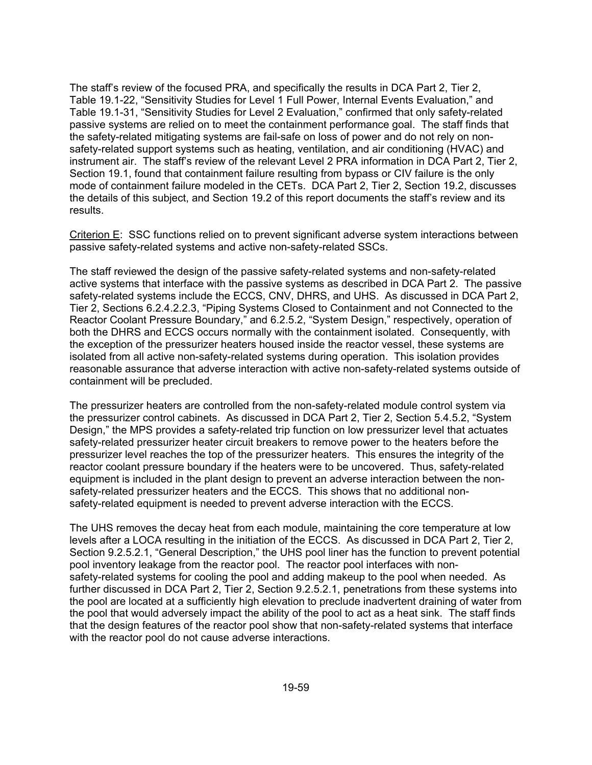The staff's review of the focused PRA, and specifically the results in DCA Part 2, Tier 2, Table 19.1-22, "Sensitivity Studies for Level 1 Full Power, Internal Events Evaluation," and Table 19.1-31, "Sensitivity Studies for Level 2 Evaluation," confirmed that only safety-related passive systems are relied on to meet the containment performance goal. The staff finds that the safety-related mitigating systems are fail-safe on loss of power and do not rely on nonsafety-related support systems such as heating, ventilation, and air conditioning (HVAC) and instrument air. The staff's review of the relevant Level 2 PRA information in DCA Part 2, Tier 2, Section 19.1, found that containment failure resulting from bypass or CIV failure is the only mode of containment failure modeled in the CETs. DCA Part 2, Tier 2, Section 19.2, discusses the details of this subject, and Section 19.2 of this report documents the staff's review and its results.

Criterion E: SSC functions relied on to prevent significant adverse system interactions between passive safety-related systems and active non-safety-related SSCs.

The staff reviewed the design of the passive safety-related systems and non-safety-related active systems that interface with the passive systems as described in DCA Part 2. The passive safety-related systems include the ECCS, CNV, DHRS, and UHS. As discussed in DCA Part 2, Tier 2, Sections 6.2.4.2.2.3, "Piping Systems Closed to Containment and not Connected to the Reactor Coolant Pressure Boundary," and 6.2.5.2, "System Design," respectively, operation of both the DHRS and ECCS occurs normally with the containment isolated. Consequently, with the exception of the pressurizer heaters housed inside the reactor vessel, these systems are isolated from all active non-safety-related systems during operation. This isolation provides reasonable assurance that adverse interaction with active non-safety-related systems outside of containment will be precluded.

The pressurizer heaters are controlled from the non-safety-related module control system via the pressurizer control cabinets. As discussed in DCA Part 2, Tier 2, Section 5.4.5.2, "System Design," the MPS provides a safety-related trip function on low pressurizer level that actuates safety-related pressurizer heater circuit breakers to remove power to the heaters before the pressurizer level reaches the top of the pressurizer heaters. This ensures the integrity of the reactor coolant pressure boundary if the heaters were to be uncovered. Thus, safety-related equipment is included in the plant design to prevent an adverse interaction between the nonsafety-related pressurizer heaters and the ECCS. This shows that no additional nonsafety-related equipment is needed to prevent adverse interaction with the ECCS.

The UHS removes the decay heat from each module, maintaining the core temperature at low levels after a LOCA resulting in the initiation of the ECCS. As discussed in DCA Part 2, Tier 2, Section 9.2.5.2.1, "General Description," the UHS pool liner has the function to prevent potential pool inventory leakage from the reactor pool. The reactor pool interfaces with nonsafety-related systems for cooling the pool and adding makeup to the pool when needed. As further discussed in DCA Part 2, Tier 2, Section 9.2.5.2.1, penetrations from these systems into the pool are located at a sufficiently high elevation to preclude inadvertent draining of water from the pool that would adversely impact the ability of the pool to act as a heat sink. The staff finds that the design features of the reactor pool show that non-safety-related systems that interface with the reactor pool do not cause adverse interactions.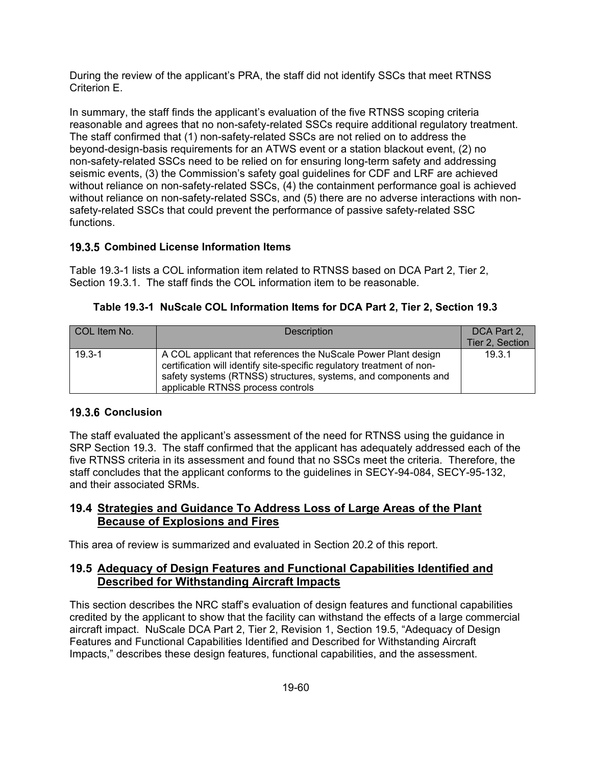During the review of the applicant's PRA, the staff did not identify SSCs that meet RTNSS Criterion E.

In summary, the staff finds the applicant's evaluation of the five RTNSS scoping criteria reasonable and agrees that no non-safety-related SSCs require additional regulatory treatment. The staff confirmed that (1) non-safety-related SSCs are not relied on to address the beyond-design-basis requirements for an ATWS event or a station blackout event, (2) no non-safety-related SSCs need to be relied on for ensuring long-term safety and addressing seismic events, (3) the Commission's safety goal guidelines for CDF and LRF are achieved without reliance on non-safety-related SSCs, (4) the containment performance goal is achieved without reliance on non-safety-related SSCs, and (5) there are no adverse interactions with nonsafety-related SSCs that could prevent the performance of passive safety-related SSC functions.

### **19.3.5 Combined License Information Items**

Table 19.3-1 lists a COL information item related to RTNSS based on DCA Part 2, Tier 2, Section 19.3.1. The staff finds the COL information item to be reasonable.

| COL Item No. | <b>Description</b>                                                                                                                                                                                                                              | DCA Part 2.     |
|--------------|-------------------------------------------------------------------------------------------------------------------------------------------------------------------------------------------------------------------------------------------------|-----------------|
|              |                                                                                                                                                                                                                                                 | Tier 2, Section |
| $19.3 - 1$   | A COL applicant that references the NuScale Power Plant design<br>certification will identify site-specific regulatory treatment of non-<br>safety systems (RTNSS) structures, systems, and components and<br>applicable RTNSS process controls | 19.3.1          |

**Table 19.3-1 NuScale COL Information Items for DCA Part 2, Tier 2, Section 19.3** 

## **19.3.6 Conclusion**

The staff evaluated the applicant's assessment of the need for RTNSS using the guidance in SRP Section 19.3. The staff confirmed that the applicant has adequately addressed each of the five RTNSS criteria in its assessment and found that no SSCs meet the criteria. Therefore, the staff concludes that the applicant conforms to the guidelines in SECY-94-084, SECY-95-132, and their associated SRMs.

## **19.4 Strategies and Guidance To Address Loss of Large Areas of the Plant Because of Explosions and Fires**

This area of review is summarized and evaluated in Section 20.2 of this report.

## **19.5 Adequacy of Design Features and Functional Capabilities Identified and Described for Withstanding Aircraft Impacts**

This section describes the NRC staff's evaluation of design features and functional capabilities credited by the applicant to show that the facility can withstand the effects of a large commercial aircraft impact. NuScale DCA Part 2, Tier 2, Revision 1, Section 19.5, "Adequacy of Design Features and Functional Capabilities Identified and Described for Withstanding Aircraft Impacts," describes these design features, functional capabilities, and the assessment.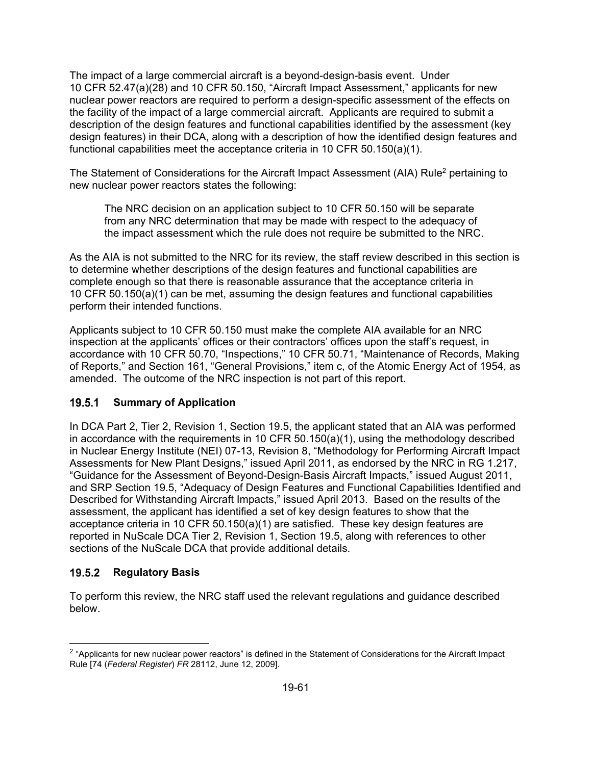The impact of a large commercial aircraft is a beyond-design-basis event. Under 10 CFR 52.47(a)(28) and 10 CFR 50.150, "Aircraft Impact Assessment," applicants for new nuclear power reactors are required to perform a design-specific assessment of the effects on the facility of the impact of a large commercial aircraft. Applicants are required to submit a description of the design features and functional capabilities identified by the assessment (key design features) in their DCA, along with a description of how the identified design features and functional capabilities meet the acceptance criteria in 10 CFR 50.150(a)(1).

The Statement of Considerations for the Aircraft Impact Assessment (AIA) Rule<sup>2</sup> pertaining to new nuclear power reactors states the following:

The NRC decision on an application subject to 10 CFR 50.150 will be separate from any NRC determination that may be made with respect to the adequacy of the impact assessment which the rule does not require be submitted to the NRC.

As the AIA is not submitted to the NRC for its review, the staff review described in this section is to determine whether descriptions of the design features and functional capabilities are complete enough so that there is reasonable assurance that the acceptance criteria in 10 CFR 50.150(a)(1) can be met, assuming the design features and functional capabilities perform their intended functions.

Applicants subject to 10 CFR 50.150 must make the complete AIA available for an NRC inspection at the applicants' offices or their contractors' offices upon the staff's request, in accordance with 10 CFR 50.70, "Inspections," 10 CFR 50.71, "Maintenance of Records, Making of Reports," and Section 161, "General Provisions," item c, of the Atomic Energy Act of 1954, as amended. The outcome of the NRC inspection is not part of this report.

## **19.5.1 Summary of Application**

In DCA Part 2, Tier 2, Revision 1, Section 19.5, the applicant stated that an AIA was performed in accordance with the requirements in 10 CFR 50.150(a)(1), using the methodology described in Nuclear Energy Institute (NEI) 07-13, Revision 8, "Methodology for Performing Aircraft Impact Assessments for New Plant Designs," issued April 2011, as endorsed by the NRC in RG 1.217, "Guidance for the Assessment of Beyond-Design-Basis Aircraft Impacts," issued August 2011, and SRP Section 19.5, "Adequacy of Design Features and Functional Capabilities Identified and Described for Withstanding Aircraft Impacts," issued April 2013. Based on the results of the assessment, the applicant has identified a set of key design features to show that the acceptance criteria in 10 CFR 50.150(a)(1) are satisfied. These key design features are reported in NuScale DCA Tier 2, Revision 1, Section 19.5, along with references to other sections of the NuScale DCA that provide additional details.

## **Regulatory Basis**

To perform this review, the NRC staff used the relevant regulations and guidance described below.

<sup>&</sup>lt;sup>2</sup> "Applicants for new nuclear power reactors" is defined in the Statement of Considerations for the Aircraft Impact Rule [74 (*Federal Register*) *FR* 28112, June 12, 2009].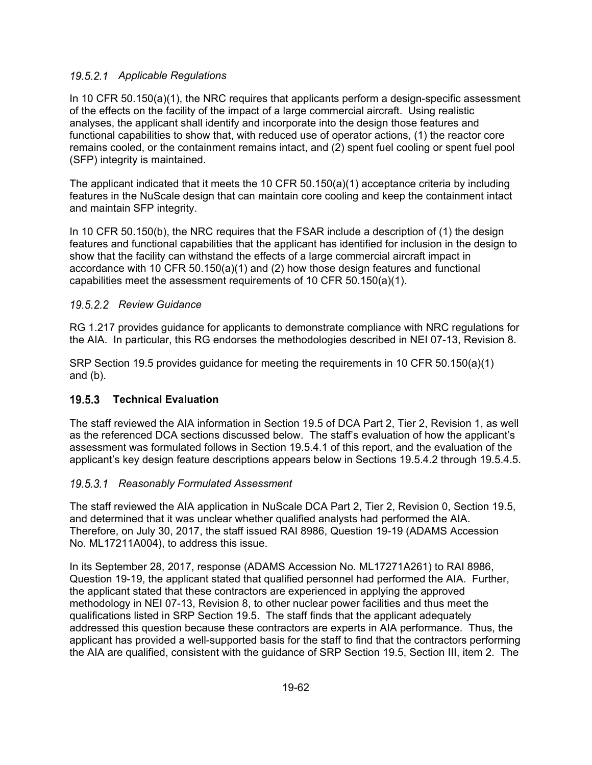## *Applicable Regulations*

In 10 CFR 50.150(a)(1), the NRC requires that applicants perform a design-specific assessment of the effects on the facility of the impact of a large commercial aircraft. Using realistic analyses, the applicant shall identify and incorporate into the design those features and functional capabilities to show that, with reduced use of operator actions, (1) the reactor core remains cooled, or the containment remains intact, and (2) spent fuel cooling or spent fuel pool (SFP) integrity is maintained.

The applicant indicated that it meets the 10 CFR 50.150(a)(1) acceptance criteria by including features in the NuScale design that can maintain core cooling and keep the containment intact and maintain SFP integrity.

In 10 CFR 50.150(b), the NRC requires that the FSAR include a description of (1) the design features and functional capabilities that the applicant has identified for inclusion in the design to show that the facility can withstand the effects of a large commercial aircraft impact in accordance with 10 CFR 50.150(a)(1) and (2) how those design features and functional capabilities meet the assessment requirements of 10 CFR 50.150(a)(1).

### *Review Guidance*

RG 1.217 provides guidance for applicants to demonstrate compliance with NRC regulations for the AIA. In particular, this RG endorses the methodologies described in NEI 07-13, Revision 8.

SRP Section 19.5 provides guidance for meeting the requirements in 10 CFR 50.150(a)(1) and (b).

## **Technical Evaluation**

The staff reviewed the AIA information in Section 19.5 of DCA Part 2, Tier 2, Revision 1, as well as the referenced DCA sections discussed below. The staff's evaluation of how the applicant's assessment was formulated follows in Section 19.5.4.1 of this report, and the evaluation of the applicant's key design feature descriptions appears below in Sections 19.5.4.2 through 19.5.4.5.

## *Reasonably Formulated Assessment*

The staff reviewed the AIA application in NuScale DCA Part 2, Tier 2, Revision 0, Section 19.5, and determined that it was unclear whether qualified analysts had performed the AIA. Therefore, on July 30, 2017, the staff issued RAI 8986, Question 19-19 (ADAMS Accession No. ML17211A004), to address this issue.

In its September 28, 2017, response (ADAMS Accession No. ML17271A261) to RAI 8986, Question 19-19, the applicant stated that qualified personnel had performed the AIA. Further, the applicant stated that these contractors are experienced in applying the approved methodology in NEI 07-13, Revision 8, to other nuclear power facilities and thus meet the qualifications listed in SRP Section 19.5. The staff finds that the applicant adequately addressed this question because these contractors are experts in AIA performance. Thus, the applicant has provided a well-supported basis for the staff to find that the contractors performing the AIA are qualified, consistent with the guidance of SRP Section 19.5, Section III, item 2. The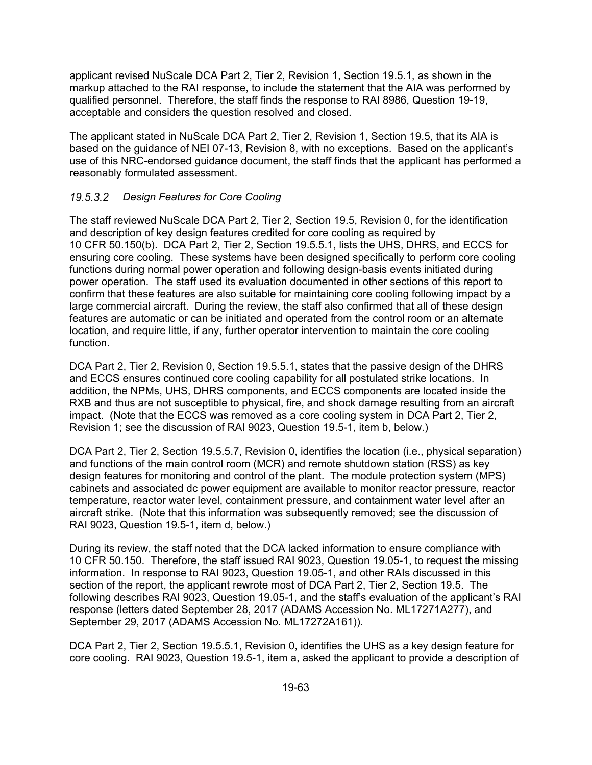applicant revised NuScale DCA Part 2, Tier 2, Revision 1, Section 19.5.1, as shown in the markup attached to the RAI response, to include the statement that the AIA was performed by qualified personnel. Therefore, the staff finds the response to RAI 8986, Question 19-19, acceptable and considers the question resolved and closed.

The applicant stated in NuScale DCA Part 2, Tier 2, Revision 1, Section 19.5, that its AIA is based on the guidance of NEI 07-13, Revision 8, with no exceptions. Based on the applicant's use of this NRC-endorsed guidance document, the staff finds that the applicant has performed a reasonably formulated assessment.

## *Design Features for Core Cooling*

The staff reviewed NuScale DCA Part 2, Tier 2, Section 19.5, Revision 0, for the identification and description of key design features credited for core cooling as required by 10 CFR 50.150(b). DCA Part 2, Tier 2, Section 19.5.5.1, lists the UHS, DHRS, and ECCS for ensuring core cooling. These systems have been designed specifically to perform core cooling functions during normal power operation and following design-basis events initiated during power operation. The staff used its evaluation documented in other sections of this report to confirm that these features are also suitable for maintaining core cooling following impact by a large commercial aircraft. During the review, the staff also confirmed that all of these design features are automatic or can be initiated and operated from the control room or an alternate location, and require little, if any, further operator intervention to maintain the core cooling function.

DCA Part 2, Tier 2, Revision 0, Section 19.5.5.1, states that the passive design of the DHRS and ECCS ensures continued core cooling capability for all postulated strike locations. In addition, the NPMs, UHS, DHRS components, and ECCS components are located inside the RXB and thus are not susceptible to physical, fire, and shock damage resulting from an aircraft impact. (Note that the ECCS was removed as a core cooling system in DCA Part 2, Tier 2, Revision 1; see the discussion of RAI 9023, Question 19.5-1, item b, below.)

DCA Part 2, Tier 2, Section 19.5.5.7, Revision 0, identifies the location (i.e., physical separation) and functions of the main control room (MCR) and remote shutdown station (RSS) as key design features for monitoring and control of the plant. The module protection system (MPS) cabinets and associated dc power equipment are available to monitor reactor pressure, reactor temperature, reactor water level, containment pressure, and containment water level after an aircraft strike. (Note that this information was subsequently removed; see the discussion of RAI 9023, Question 19.5-1, item d, below.)

During its review, the staff noted that the DCA lacked information to ensure compliance with 10 CFR 50.150. Therefore, the staff issued RAI 9023, Question 19.05-1, to request the missing information. In response to RAI 9023, Question 19.05-1, and other RAIs discussed in this section of the report, the applicant rewrote most of DCA Part 2, Tier 2, Section 19.5. The following describes RAI 9023, Question 19.05-1, and the staff's evaluation of the applicant's RAI response (letters dated September 28, 2017 (ADAMS Accession No. ML17271A277), and September 29, 2017 (ADAMS Accession No. ML17272A161)).

DCA Part 2, Tier 2, Section 19.5.5.1, Revision 0, identifies the UHS as a key design feature for core cooling. RAI 9023, Question 19.5-1, item a, asked the applicant to provide a description of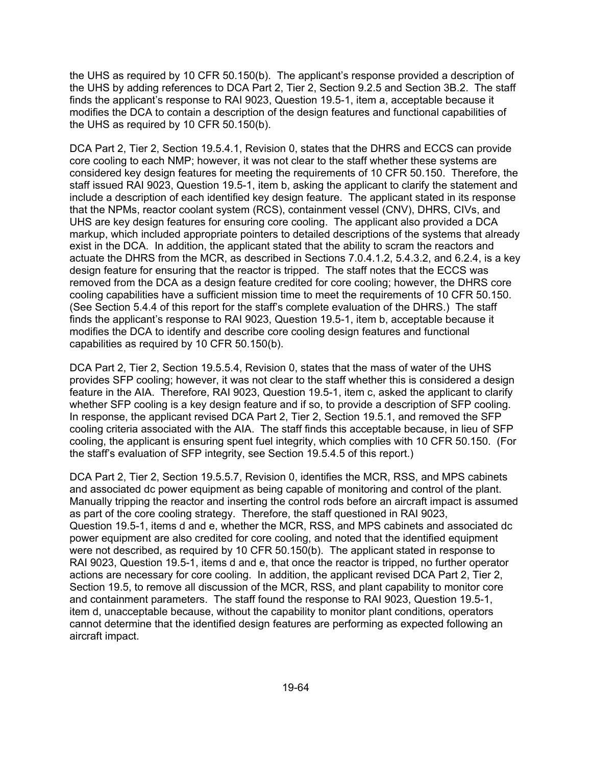the UHS as required by 10 CFR 50.150(b). The applicant's response provided a description of the UHS by adding references to DCA Part 2, Tier 2, Section 9.2.5 and Section 3B.2. The staff finds the applicant's response to RAI 9023, Question 19.5-1, item a, acceptable because it modifies the DCA to contain a description of the design features and functional capabilities of the UHS as required by 10 CFR 50.150(b).

DCA Part 2, Tier 2, Section 19.5.4.1, Revision 0, states that the DHRS and ECCS can provide core cooling to each NMP; however, it was not clear to the staff whether these systems are considered key design features for meeting the requirements of 10 CFR 50.150. Therefore, the staff issued RAI 9023, Question 19.5-1, item b, asking the applicant to clarify the statement and include a description of each identified key design feature. The applicant stated in its response that the NPMs, reactor coolant system (RCS), containment vessel (CNV), DHRS, CIVs, and UHS are key design features for ensuring core cooling. The applicant also provided a DCA markup, which included appropriate pointers to detailed descriptions of the systems that already exist in the DCA. In addition, the applicant stated that the ability to scram the reactors and actuate the DHRS from the MCR, as described in Sections 7.0.4.1.2, 5.4.3.2, and 6.2.4, is a key design feature for ensuring that the reactor is tripped. The staff notes that the ECCS was removed from the DCA as a design feature credited for core cooling; however, the DHRS core cooling capabilities have a sufficient mission time to meet the requirements of 10 CFR 50.150. (See Section 5.4.4 of this report for the staff's complete evaluation of the DHRS.) The staff finds the applicant's response to RAI 9023, Question 19.5-1, item b, acceptable because it modifies the DCA to identify and describe core cooling design features and functional capabilities as required by 10 CFR 50.150(b).

DCA Part 2, Tier 2, Section 19.5.5.4, Revision 0, states that the mass of water of the UHS provides SFP cooling; however, it was not clear to the staff whether this is considered a design feature in the AIA. Therefore, RAI 9023, Question 19.5-1, item c, asked the applicant to clarify whether SFP cooling is a key design feature and if so, to provide a description of SFP cooling. In response, the applicant revised DCA Part 2, Tier 2, Section 19.5.1, and removed the SFP cooling criteria associated with the AIA. The staff finds this acceptable because, in lieu of SFP cooling, the applicant is ensuring spent fuel integrity, which complies with 10 CFR 50.150. (For the staff's evaluation of SFP integrity, see Section 19.5.4.5 of this report.)

DCA Part 2, Tier 2, Section 19.5.5.7, Revision 0, identifies the MCR, RSS, and MPS cabinets and associated dc power equipment as being capable of monitoring and control of the plant. Manually tripping the reactor and inserting the control rods before an aircraft impact is assumed as part of the core cooling strategy. Therefore, the staff questioned in RAI 9023, Question 19.5-1, items d and e, whether the MCR, RSS, and MPS cabinets and associated dc power equipment are also credited for core cooling, and noted that the identified equipment were not described, as required by 10 CFR 50.150(b). The applicant stated in response to RAI 9023, Question 19.5-1, items d and e, that once the reactor is tripped, no further operator actions are necessary for core cooling. In addition, the applicant revised DCA Part 2, Tier 2, Section 19.5, to remove all discussion of the MCR, RSS, and plant capability to monitor core and containment parameters. The staff found the response to RAI 9023, Question 19.5-1, item d, unacceptable because, without the capability to monitor plant conditions, operators cannot determine that the identified design features are performing as expected following an aircraft impact.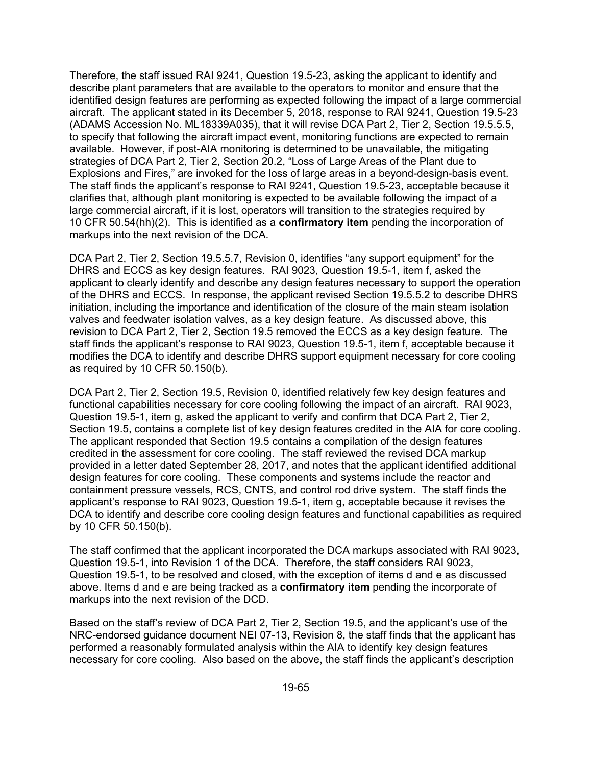Therefore, the staff issued RAI 9241, Question 19.5-23, asking the applicant to identify and describe plant parameters that are available to the operators to monitor and ensure that the identified design features are performing as expected following the impact of a large commercial aircraft. The applicant stated in its December 5, 2018, response to RAI 9241, Question 19.5-23 (ADAMS Accession No. ML18339A035), that it will revise DCA Part 2, Tier 2, Section 19.5.5.5, to specify that following the aircraft impact event, monitoring functions are expected to remain available. However, if post-AIA monitoring is determined to be unavailable, the mitigating strategies of DCA Part 2, Tier 2, Section 20.2, "Loss of Large Areas of the Plant due to Explosions and Fires," are invoked for the loss of large areas in a beyond-design-basis event. The staff finds the applicant's response to RAI 9241, Question 19.5-23, acceptable because it clarifies that, although plant monitoring is expected to be available following the impact of a large commercial aircraft, if it is lost, operators will transition to the strategies required by 10 CFR 50.54(hh)(2). This is identified as a **confirmatory item** pending the incorporation of markups into the next revision of the DCA.

DCA Part 2, Tier 2, Section 19.5.5.7, Revision 0, identifies "any support equipment" for the DHRS and ECCS as key design features. RAI 9023, Question 19.5-1, item f, asked the applicant to clearly identify and describe any design features necessary to support the operation of the DHRS and ECCS. In response, the applicant revised Section 19.5.5.2 to describe DHRS initiation, including the importance and identification of the closure of the main steam isolation valves and feedwater isolation valves, as a key design feature. As discussed above, this revision to DCA Part 2, Tier 2, Section 19.5 removed the ECCS as a key design feature. The staff finds the applicant's response to RAI 9023, Question 19.5-1, item f, acceptable because it modifies the DCA to identify and describe DHRS support equipment necessary for core cooling as required by 10 CFR 50.150(b).

DCA Part 2, Tier 2, Section 19.5, Revision 0, identified relatively few key design features and functional capabilities necessary for core cooling following the impact of an aircraft. RAI 9023, Question 19.5-1, item g, asked the applicant to verify and confirm that DCA Part 2, Tier 2, Section 19.5, contains a complete list of key design features credited in the AIA for core cooling. The applicant responded that Section 19.5 contains a compilation of the design features credited in the assessment for core cooling. The staff reviewed the revised DCA markup provided in a letter dated September 28, 2017, and notes that the applicant identified additional design features for core cooling. These components and systems include the reactor and containment pressure vessels, RCS, CNTS, and control rod drive system. The staff finds the applicant's response to RAI 9023, Question 19.5-1, item g, acceptable because it revises the DCA to identify and describe core cooling design features and functional capabilities as required by 10 CFR 50.150(b).

The staff confirmed that the applicant incorporated the DCA markups associated with RAI 9023, Question 19.5-1, into Revision 1 of the DCA. Therefore, the staff considers RAI 9023, Question 19.5-1, to be resolved and closed, with the exception of items d and e as discussed above. Items d and e are being tracked as a **confirmatory item** pending the incorporate of markups into the next revision of the DCD.

Based on the staff's review of DCA Part 2, Tier 2, Section 19.5, and the applicant's use of the NRC-endorsed guidance document NEI 07-13, Revision 8, the staff finds that the applicant has performed a reasonably formulated analysis within the AIA to identify key design features necessary for core cooling. Also based on the above, the staff finds the applicant's description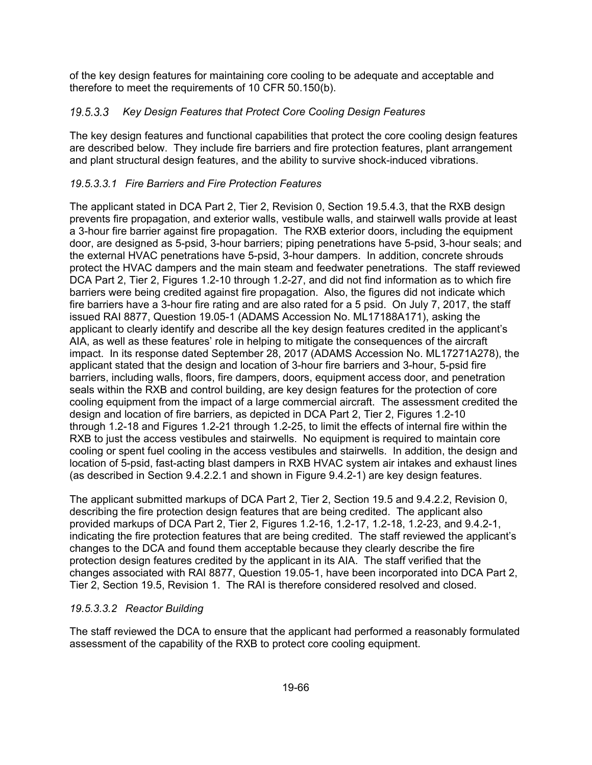of the key design features for maintaining core cooling to be adequate and acceptable and therefore to meet the requirements of 10 CFR 50.150(b).

## *Key Design Features that Protect Core Cooling Design Features*

The key design features and functional capabilities that protect the core cooling design features are described below. They include fire barriers and fire protection features, plant arrangement and plant structural design features, and the ability to survive shock-induced vibrations.

## *19.5.3.3.1 Fire Barriers and Fire Protection Features*

The applicant stated in DCA Part 2, Tier 2, Revision 0, Section 19.5.4.3, that the RXB design prevents fire propagation, and exterior walls, vestibule walls, and stairwell walls provide at least a 3-hour fire barrier against fire propagation. The RXB exterior doors, including the equipment door, are designed as 5-psid, 3-hour barriers; piping penetrations have 5-psid, 3-hour seals; and the external HVAC penetrations have 5-psid, 3-hour dampers. In addition, concrete shrouds protect the HVAC dampers and the main steam and feedwater penetrations. The staff reviewed DCA Part 2, Tier 2, Figures 1.2-10 through 1.2-27, and did not find information as to which fire barriers were being credited against fire propagation. Also, the figures did not indicate which fire barriers have a 3-hour fire rating and are also rated for a 5 psid. On July 7, 2017, the staff issued RAI 8877, Question 19.05-1 (ADAMS Accession No. ML17188A171), asking the applicant to clearly identify and describe all the key design features credited in the applicant's AIA, as well as these features' role in helping to mitigate the consequences of the aircraft impact. In its response dated September 28, 2017 (ADAMS Accession No. ML17271A278), the applicant stated that the design and location of 3-hour fire barriers and 3-hour, 5-psid fire barriers, including walls, floors, fire dampers, doors, equipment access door, and penetration seals within the RXB and control building, are key design features for the protection of core cooling equipment from the impact of a large commercial aircraft. The assessment credited the design and location of fire barriers, as depicted in DCA Part 2, Tier 2, Figures 1.2-10 through 1.2-18 and Figures 1.2-21 through 1.2-25, to limit the effects of internal fire within the RXB to just the access vestibules and stairwells. No equipment is required to maintain core cooling or spent fuel cooling in the access vestibules and stairwells. In addition, the design and location of 5-psid, fast-acting blast dampers in RXB HVAC system air intakes and exhaust lines (as described in Section 9.4.2.2.1 and shown in Figure 9.4.2-1) are key design features.

The applicant submitted markups of DCA Part 2, Tier 2, Section 19.5 and 9.4.2.2, Revision 0, describing the fire protection design features that are being credited. The applicant also provided markups of DCA Part 2, Tier 2, Figures 1.2-16, 1.2-17, 1.2-18, 1.2-23, and 9.4.2-1, indicating the fire protection features that are being credited. The staff reviewed the applicant's changes to the DCA and found them acceptable because they clearly describe the fire protection design features credited by the applicant in its AIA. The staff verified that the changes associated with RAI 8877, Question 19.05-1, have been incorporated into DCA Part 2, Tier 2, Section 19.5, Revision 1. The RAI is therefore considered resolved and closed.

## *19.5.3.3.2 Reactor Building*

The staff reviewed the DCA to ensure that the applicant had performed a reasonably formulated assessment of the capability of the RXB to protect core cooling equipment.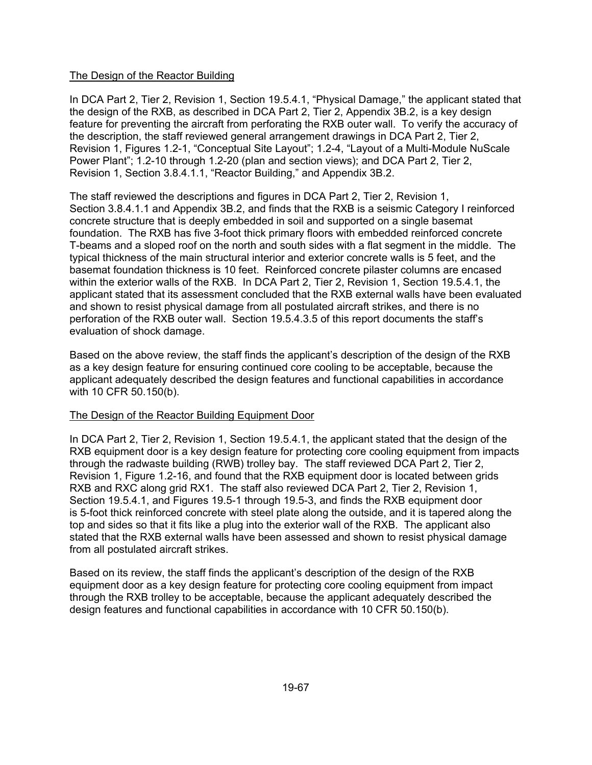### The Design of the Reactor Building

In DCA Part 2, Tier 2, Revision 1, Section 19.5.4.1, "Physical Damage," the applicant stated that the design of the RXB, as described in DCA Part 2, Tier 2, Appendix 3B.2, is a key design feature for preventing the aircraft from perforating the RXB outer wall. To verify the accuracy of the description, the staff reviewed general arrangement drawings in DCA Part 2, Tier 2, Revision 1, Figures 1.2-1, "Conceptual Site Layout"; 1.2-4, "Layout of a Multi-Module NuScale Power Plant"; 1.2-10 through 1.2-20 (plan and section views); and DCA Part 2, Tier 2, Revision 1, Section 3.8.4.1.1, "Reactor Building," and Appendix 3B.2.

The staff reviewed the descriptions and figures in DCA Part 2, Tier 2, Revision 1, Section 3.8.4.1.1 and Appendix 3B.2, and finds that the RXB is a seismic Category I reinforced concrete structure that is deeply embedded in soil and supported on a single basemat foundation. The RXB has five 3-foot thick primary floors with embedded reinforced concrete T-beams and a sloped roof on the north and south sides with a flat segment in the middle. The typical thickness of the main structural interior and exterior concrete walls is 5 feet, and the basemat foundation thickness is 10 feet. Reinforced concrete pilaster columns are encased within the exterior walls of the RXB. In DCA Part 2, Tier 2, Revision 1, Section 19.5.4.1, the applicant stated that its assessment concluded that the RXB external walls have been evaluated and shown to resist physical damage from all postulated aircraft strikes, and there is no perforation of the RXB outer wall. Section 19.5.4.3.5 of this report documents the staff's evaluation of shock damage.

Based on the above review, the staff finds the applicant's description of the design of the RXB as a key design feature for ensuring continued core cooling to be acceptable, because the applicant adequately described the design features and functional capabilities in accordance with 10 CFR 50.150(b).

### The Design of the Reactor Building Equipment Door

In DCA Part 2, Tier 2, Revision 1, Section 19.5.4.1, the applicant stated that the design of the RXB equipment door is a key design feature for protecting core cooling equipment from impacts through the radwaste building (RWB) trolley bay. The staff reviewed DCA Part 2, Tier 2, Revision 1, Figure 1.2-16, and found that the RXB equipment door is located between grids RXB and RXC along grid RX1. The staff also reviewed DCA Part 2, Tier 2, Revision 1, Section 19.5.4.1, and Figures 19.5-1 through 19.5-3, and finds the RXB equipment door is 5-foot thick reinforced concrete with steel plate along the outside, and it is tapered along the top and sides so that it fits like a plug into the exterior wall of the RXB. The applicant also stated that the RXB external walls have been assessed and shown to resist physical damage from all postulated aircraft strikes.

Based on its review, the staff finds the applicant's description of the design of the RXB equipment door as a key design feature for protecting core cooling equipment from impact through the RXB trolley to be acceptable, because the applicant adequately described the design features and functional capabilities in accordance with 10 CFR 50.150(b).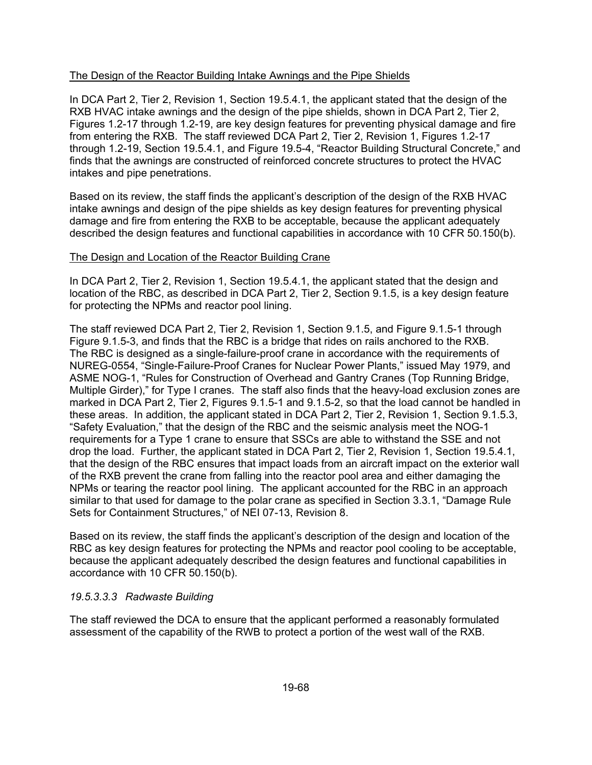### The Design of the Reactor Building Intake Awnings and the Pipe Shields

In DCA Part 2, Tier 2, Revision 1, Section 19.5.4.1, the applicant stated that the design of the RXB HVAC intake awnings and the design of the pipe shields, shown in DCA Part 2, Tier 2, Figures 1.2-17 through 1.2-19, are key design features for preventing physical damage and fire from entering the RXB. The staff reviewed DCA Part 2, Tier 2, Revision 1, Figures 1.2-17 through 1.2-19, Section 19.5.4.1, and Figure 19.5-4, "Reactor Building Structural Concrete," and finds that the awnings are constructed of reinforced concrete structures to protect the HVAC intakes and pipe penetrations.

Based on its review, the staff finds the applicant's description of the design of the RXB HVAC intake awnings and design of the pipe shields as key design features for preventing physical damage and fire from entering the RXB to be acceptable, because the applicant adequately described the design features and functional capabilities in accordance with 10 CFR 50.150(b).

#### The Design and Location of the Reactor Building Crane

In DCA Part 2, Tier 2, Revision 1, Section 19.5.4.1, the applicant stated that the design and location of the RBC, as described in DCA Part 2, Tier 2, Section 9.1.5, is a key design feature for protecting the NPMs and reactor pool lining.

The staff reviewed DCA Part 2, Tier 2, Revision 1, Section 9.1.5, and Figure 9.1.5-1 through Figure 9.1.5-3, and finds that the RBC is a bridge that rides on rails anchored to the RXB. The RBC is designed as a single-failure-proof crane in accordance with the requirements of NUREG-0554, "Single-Failure-Proof Cranes for Nuclear Power Plants," issued May 1979, and ASME NOG-1, "Rules for Construction of Overhead and Gantry Cranes (Top Running Bridge, Multiple Girder)," for Type I cranes. The staff also finds that the heavy-load exclusion zones are marked in DCA Part 2, Tier 2, Figures 9.1.5-1 and 9.1.5-2, so that the load cannot be handled in these areas. In addition, the applicant stated in DCA Part 2, Tier 2, Revision 1, Section 9.1.5.3, "Safety Evaluation," that the design of the RBC and the seismic analysis meet the NOG-1 requirements for a Type 1 crane to ensure that SSCs are able to withstand the SSE and not drop the load. Further, the applicant stated in DCA Part 2, Tier 2, Revision 1, Section 19.5.4.1, that the design of the RBC ensures that impact loads from an aircraft impact on the exterior wall of the RXB prevent the crane from falling into the reactor pool area and either damaging the NPMs or tearing the reactor pool lining. The applicant accounted for the RBC in an approach similar to that used for damage to the polar crane as specified in Section 3.3.1, "Damage Rule Sets for Containment Structures," of NEI 07-13, Revision 8.

Based on its review, the staff finds the applicant's description of the design and location of the RBC as key design features for protecting the NPMs and reactor pool cooling to be acceptable, because the applicant adequately described the design features and functional capabilities in accordance with 10 CFR 50.150(b).

### *19.5.3.3.3 Radwaste Building*

The staff reviewed the DCA to ensure that the applicant performed a reasonably formulated assessment of the capability of the RWB to protect a portion of the west wall of the RXB.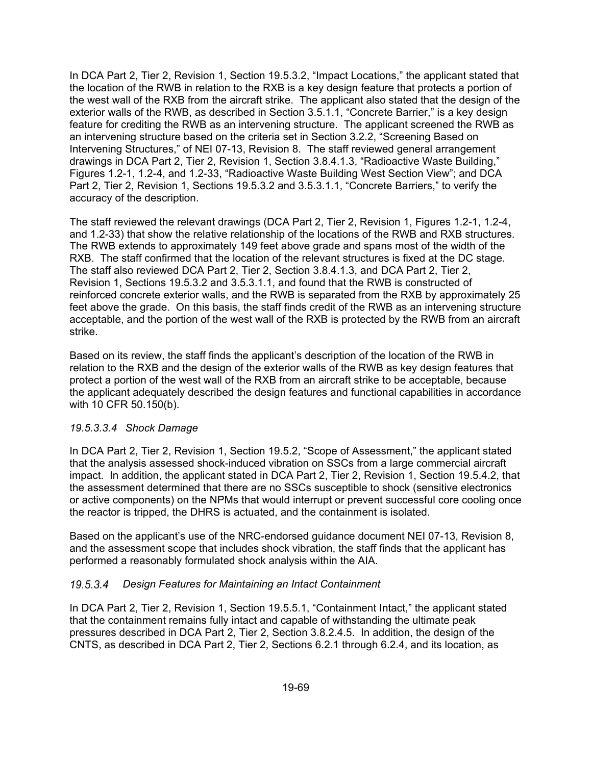In DCA Part 2, Tier 2, Revision 1, Section 19.5.3.2, "Impact Locations," the applicant stated that the location of the RWB in relation to the RXB is a key design feature that protects a portion of the west wall of the RXB from the aircraft strike. The applicant also stated that the design of the exterior walls of the RWB, as described in Section 3.5.1.1, "Concrete Barrier," is a key design feature for crediting the RWB as an intervening structure. The applicant screened the RWB as an intervening structure based on the criteria set in Section 3.2.2, "Screening Based on Intervening Structures," of NEI 07-13, Revision 8. The staff reviewed general arrangement drawings in DCA Part 2, Tier 2, Revision 1, Section 3.8.4.1.3, "Radioactive Waste Building," Figures 1.2-1, 1.2-4, and 1.2-33, "Radioactive Waste Building West Section View"; and DCA Part 2, Tier 2, Revision 1, Sections 19.5.3.2 and 3.5.3.1.1, "Concrete Barriers," to verify the accuracy of the description.

The staff reviewed the relevant drawings (DCA Part 2, Tier 2, Revision 1, Figures 1.2-1, 1.2-4, and 1.2-33) that show the relative relationship of the locations of the RWB and RXB structures. The RWB extends to approximately 149 feet above grade and spans most of the width of the RXB. The staff confirmed that the location of the relevant structures is fixed at the DC stage. The staff also reviewed DCA Part 2, Tier 2, Section 3.8.4.1.3, and DCA Part 2, Tier 2, Revision 1, Sections 19.5.3.2 and 3.5.3.1.1, and found that the RWB is constructed of reinforced concrete exterior walls, and the RWB is separated from the RXB by approximately 25 feet above the grade. On this basis, the staff finds credit of the RWB as an intervening structure acceptable, and the portion of the west wall of the RXB is protected by the RWB from an aircraft strike.

Based on its review, the staff finds the applicant's description of the location of the RWB in relation to the RXB and the design of the exterior walls of the RWB as key design features that protect a portion of the west wall of the RXB from an aircraft strike to be acceptable, because the applicant adequately described the design features and functional capabilities in accordance with 10 CFR 50.150(b).

### *19.5.3.3.4 Shock Damage*

In DCA Part 2, Tier 2, Revision 1, Section 19.5.2, "Scope of Assessment," the applicant stated that the analysis assessed shock-induced vibration on SSCs from a large commercial aircraft impact. In addition, the applicant stated in DCA Part 2, Tier 2, Revision 1, Section 19.5.4.2, that the assessment determined that there are no SSCs susceptible to shock (sensitive electronics or active components) on the NPMs that would interrupt or prevent successful core cooling once the reactor is tripped, the DHRS is actuated, and the containment is isolated.

Based on the applicant's use of the NRC-endorsed guidance document NEI 07-13, Revision 8, and the assessment scope that includes shock vibration, the staff finds that the applicant has performed a reasonably formulated shock analysis within the AIA.

### *Design Features for Maintaining an Intact Containment*

In DCA Part 2, Tier 2, Revision 1, Section 19.5.5.1, "Containment Intact," the applicant stated that the containment remains fully intact and capable of withstanding the ultimate peak pressures described in DCA Part 2, Tier 2, Section 3.8.2.4.5. In addition, the design of the CNTS, as described in DCA Part 2, Tier 2, Sections 6.2.1 through 6.2.4, and its location, as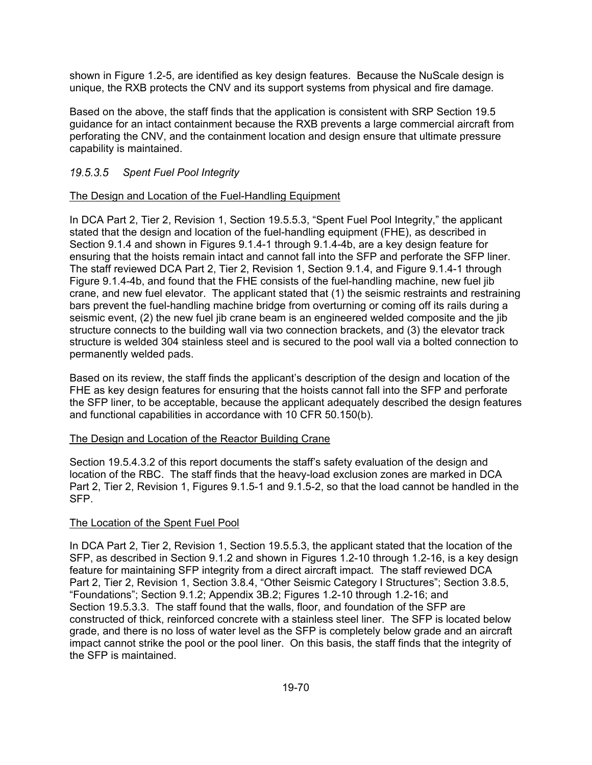shown in Figure 1.2-5, are identified as key design features. Because the NuScale design is unique, the RXB protects the CNV and its support systems from physical and fire damage.

Based on the above, the staff finds that the application is consistent with SRP Section 19.5 guidance for an intact containment because the RXB prevents a large commercial aircraft from perforating the CNV, and the containment location and design ensure that ultimate pressure capability is maintained.

### *Spent Fuel Pool Integrity*

### The Design and Location of the Fuel-Handling Equipment

In DCA Part 2, Tier 2, Revision 1, Section 19.5.5.3, "Spent Fuel Pool Integrity," the applicant stated that the design and location of the fuel-handling equipment (FHE), as described in Section 9.1.4 and shown in Figures 9.1.4-1 through 9.1.4-4b, are a key design feature for ensuring that the hoists remain intact and cannot fall into the SFP and perforate the SFP liner. The staff reviewed DCA Part 2, Tier 2, Revision 1, Section 9.1.4, and Figure 9.1.4-1 through Figure 9.1.4-4b, and found that the FHE consists of the fuel-handling machine, new fuel jib crane, and new fuel elevator. The applicant stated that (1) the seismic restraints and restraining bars prevent the fuel-handling machine bridge from overturning or coming off its rails during a seismic event, (2) the new fuel jib crane beam is an engineered welded composite and the jib structure connects to the building wall via two connection brackets, and (3) the elevator track structure is welded 304 stainless steel and is secured to the pool wall via a bolted connection to permanently welded pads.

Based on its review, the staff finds the applicant's description of the design and location of the FHE as key design features for ensuring that the hoists cannot fall into the SFP and perforate the SFP liner, to be acceptable, because the applicant adequately described the design features and functional capabilities in accordance with 10 CFR 50.150(b).

#### The Design and Location of the Reactor Building Crane

Section 19.5.4.3.2 of this report documents the staff's safety evaluation of the design and location of the RBC. The staff finds that the heavy-load exclusion zones are marked in DCA Part 2, Tier 2, Revision 1, Figures 9.1.5-1 and 9.1.5-2, so that the load cannot be handled in the SFP.

### The Location of the Spent Fuel Pool

In DCA Part 2, Tier 2, Revision 1, Section 19.5.5.3, the applicant stated that the location of the SFP, as described in Section 9.1.2 and shown in Figures 1.2-10 through 1.2-16, is a key design feature for maintaining SFP integrity from a direct aircraft impact. The staff reviewed DCA Part 2, Tier 2, Revision 1, Section 3.8.4, "Other Seismic Category I Structures"; Section 3.8.5, "Foundations"; Section 9.1.2; Appendix 3B.2; Figures 1.2-10 through 1.2-16; and Section 19.5.3.3. The staff found that the walls, floor, and foundation of the SFP are constructed of thick, reinforced concrete with a stainless steel liner. The SFP is located below grade, and there is no loss of water level as the SFP is completely below grade and an aircraft impact cannot strike the pool or the pool liner. On this basis, the staff finds that the integrity of the SFP is maintained.